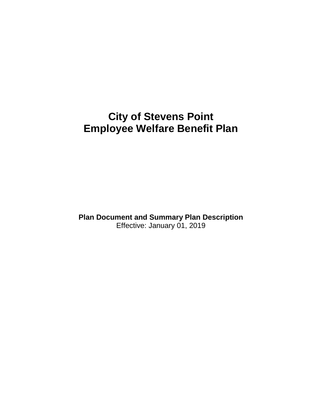# **City of Stevens Point Employee Welfare Benefit Plan**

**Plan Document and Summary Plan Description** Effective: January 01, 2019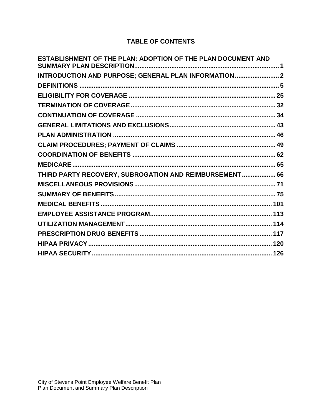# **TABLE OF CONTENTS**

| ESTABLISHMENT OF THE PLAN: ADOPTION OF THE PLAN DOCUMENT AND |  |
|--------------------------------------------------------------|--|
| INTRODUCTION AND PURPOSE; GENERAL PLAN INFORMATION  2        |  |
|                                                              |  |
|                                                              |  |
|                                                              |  |
|                                                              |  |
|                                                              |  |
|                                                              |  |
|                                                              |  |
|                                                              |  |
|                                                              |  |
| THIRD PARTY RECOVERY, SUBROGATION AND REIMBURSEMENT 66       |  |
|                                                              |  |
|                                                              |  |
|                                                              |  |
|                                                              |  |
|                                                              |  |
|                                                              |  |
|                                                              |  |
|                                                              |  |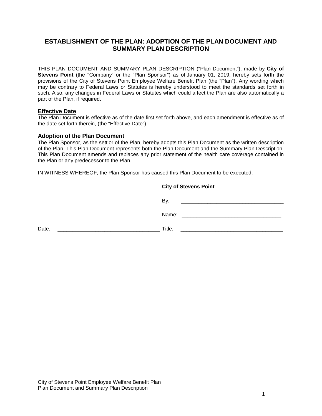# <span id="page-2-0"></span>**ESTABLISHMENT OF THE PLAN: ADOPTION OF THE PLAN DOCUMENT AND SUMMARY PLAN DESCRIPTION**

THIS PLAN DOCUMENT AND SUMMARY PLAN DESCRIPTION ("Plan Document"), made by **City of Stevens Point** (the "Company" or the "Plan Sponsor") as of January 01, 2019, hereby sets forth the provisions of the City of Stevens Point Employee Welfare Benefit Plan (the "Plan"). Any wording which may be contrary to Federal Laws or Statutes is hereby understood to meet the standards set forth in such. Also, any changes in Federal Laws or Statutes which could affect the Plan are also automatically a part of the Plan, if required.

# **Effective Date**

The Plan Document is effective as of the date first set forth above, and each amendment is effective as of the date set forth therein, (the "Effective Date").

# **Adoption of the Plan Document**

The Plan Sponsor, as the settlor of the Plan, hereby adopts this Plan Document as the written description of the Plan. This Plan Document represents both the Plan Document and the Summary Plan Description. This Plan Document amends and replaces any prior statement of the health care coverage contained in the Plan or any predecessor to the Plan.

IN WITNESS WHEREOF, the Plan Sponsor has caused this Plan Document to be executed.

# **City of Stevens Point**

Name:  $\Box$ 

| $\overline{\phantom{a}}$<br>. וריי<br>baw. | .  |  |
|--------------------------------------------|----|--|
|                                            | __ |  |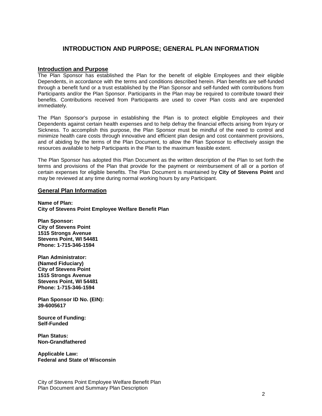# <span id="page-3-0"></span>**INTRODUCTION AND PURPOSE; GENERAL PLAN INFORMATION**

# **Introduction and Purpose**

The Plan Sponsor has established the Plan for the benefit of eligible Employees and their eligible Dependents, in accordance with the terms and conditions described herein. Plan benefits are self-funded through a benefit fund or a trust established by the Plan Sponsor and self-funded with contributions from Participants and/or the Plan Sponsor. Participants in the Plan may be required to contribute toward their benefits. Contributions received from Participants are used to cover Plan costs and are expended immediately.

The Plan Sponsor's purpose in establishing the Plan is to protect eligible Employees and their Dependents against certain health expenses and to help defray the financial effects arising from Injury or Sickness. To accomplish this purpose, the Plan Sponsor must be mindful of the need to control and minimize health care costs through innovative and efficient plan design and cost containment provisions, and of abiding by the terms of the Plan Document, to allow the Plan Sponsor to effectively assign the resources available to help Participants in the Plan to the maximum feasible extent.

The Plan Sponsor has adopted this Plan Document as the written description of the Plan to set forth the terms and provisions of the Plan that provide for the payment or reimbursement of all or a portion of certain expenses for eligible benefits. The Plan Document is maintained by **City of Stevens Point** and may be reviewed at any time during normal working hours by any Participant.

# **General Plan Information**

**Name of Plan: City of Stevens Point Employee Welfare Benefit Plan**

**Plan Sponsor: City of Stevens Point 1515 Strongs Avenue Stevens Point, WI 54481 Phone: 1-715-346-1594** 

**Plan Administrator: (Named Fiduciary) City of Stevens Point 1515 Strongs Avenue Stevens Point, WI 54481 Phone: 1-715-346-1594**

**Plan Sponsor ID No. (EIN): 39-6005617**

**Source of Funding: Self-Funded**

**Plan Status: Non-Grandfathered**

**Applicable Law: Federal and State of Wisconsin**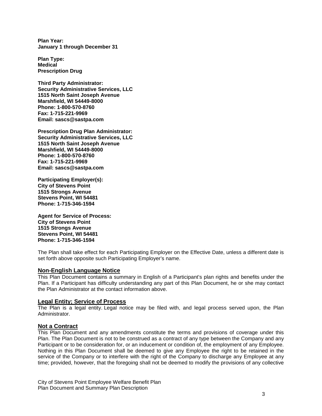**Plan Year: January 1 through December 31**

**Plan Type: Medical Prescription Drug**

**Third Party Administrator: Security Administrative Services, LLC 1515 North Saint Joseph Avenue Marshfield, WI 54449-8000 Phone: 1-800-570-8760 Fax: 1-715-221-9969 Email: sascs@sastpa.com**

**Prescription Drug Plan Administrator: Security Administrative Services, LLC 1515 North Saint Joseph Avenue Marshfield, WI 54449-8000 Phone: 1-800-570-8760 Fax: 1-715-221-9969 Email: sascs@sastpa.com**

**Participating Employer(s): City of Stevens Point 1515 Strongs Avenue Stevens Point, WI 54481 Phone: 1-715-346-1594**

**Agent for Service of Process: City of Stevens Point 1515 Strongs Avenue Stevens Point, WI 54481 Phone: 1-715-346-1594**

The Plan shall take effect for each Participating Employer on the Effective Date, unless a different date is set forth above opposite such Participating Employer's name.

#### **Non-English Language Notice**

This Plan Document contains a summary in English of a Participant's plan rights and benefits under the Plan. If a Participant has difficulty understanding any part of this Plan Document, he or she may contact the Plan Administrator at the contact information above.

#### **Legal Entity; Service of Process**

The Plan is a legal entity. Legal notice may be filed with, and legal process served upon, the Plan Administrator.

#### **Not a Contract**

This Plan Document and any amendments constitute the terms and provisions of coverage under this Plan. The Plan Document is not to be construed as a contract of any type between the Company and any Participant or to be consideration for, or an inducement or condition of, the employment of any Employee. Nothing in this Plan Document shall be deemed to give any Employee the right to be retained in the service of the Company or to interfere with the right of the Company to discharge any Employee at any time; provided, however, that the foregoing shall not be deemed to modify the provisions of any collective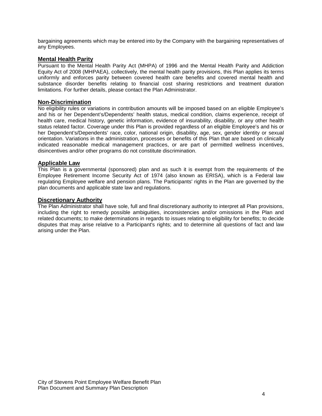bargaining agreements which may be entered into by the Company with the bargaining representatives of any Employees.

# **Mental Health Parity**

Pursuant to the Mental Health Parity Act (MHPA) of 1996 and the Mental Health Parity and Addiction Equity Act of 2008 (MHPAEA), collectively, the mental health parity provisions, this Plan applies its terms uniformly and enforces parity between covered health care benefits and covered mental health and substance disorder benefits relating to financial cost sharing restrictions and treatment duration limitations. For further details, please contact the Plan Administrator.

# **Non-Discrimination**

No eligibility rules or variations in contribution amounts will be imposed based on an eligible Employee's and his or her Dependent's/Dependents' health status, medical condition, claims experience, receipt of health care, medical history, genetic information, evidence of insurability, disability, or any other health status related factor. Coverage under this Plan is provided regardless of an eligible Employee's and his or her Dependent's/Dependents' race, color, national origin, disability, age, sex, gender identity or sexual orientation. Variations in the administration, processes or benefits of this Plan that are based on clinically indicated reasonable medical management practices, or are part of permitted wellness incentives, disincentives and/or other programs do not constitute discrimination.

# **Applicable Law**

This Plan is a governmental (sponsored) plan and as such it is exempt from the requirements of the Employee Retirement Income Security Act of 1974 (also known as ERISA), which is a Federal law regulating Employee welfare and pension plans. The Participants' rights in the Plan are governed by the plan documents and applicable state law and regulations.

# **Discretionary Authority**

The Plan Administrator shall have sole, full and final discretionary authority to interpret all Plan provisions, including the right to remedy possible ambiguities, inconsistencies and/or omissions in the Plan and related documents; to make determinations in regards to issues relating to eligibility for benefits; to decide disputes that may arise relative to a Participant's rights; and to determine all questions of fact and law arising under the Plan.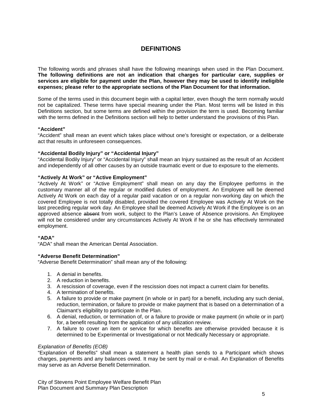# **DEFINITIONS**

<span id="page-6-0"></span>The following words and phrases shall have the following meanings when used in the Plan Document. **The following definitions are not an indication that charges for particular care, supplies or services are eligible for payment under the Plan, however they may be used to identify ineligible expenses; please refer to the appropriate sections of the Plan Document for that information.**

Some of the terms used in this document begin with a capital letter, even though the term normally would not be capitalized. These terms have special meaning under the Plan. Most terms will be listed in this Definitions section, but some terms are defined within the provision the term is used. Becoming familiar with the terms defined in the Definitions section will help to better understand the provisions of this Plan.

#### **"Accident"**

"Accident" shall mean an event which takes place without one's foresight or expectation, or a deliberate act that results in unforeseen consequences.

# **"Accidental Bodily Injury" or "Accidental Injury"**

"Accidental Bodily Injury" or "Accidental Injury" shall mean an Injury sustained as the result of an Accident and independently of all other causes by an outside traumatic event or due to exposure to the elements.

# **"Actively At Work" or "Active Employment"**

"Actively At Work" or "Active Employment" shall mean on any day the Employee performs in the customary manner all of the regular or modified duties of employment. An Employee will be deemed Actively At Work on each day of a regular paid vacation or on a regular non-working day on which the covered Employee is not totally disabled, provided the covered Employee was Actively At Work on the last preceding regular work day. An Employee shall be deemed Actively At Work if the Employee is on an approved absence absent from work, subject to the Plan's Leave of Absence provisions. An Employee will not be considered under any circumstances Actively At Work if he or she has effectively terminated employment.

# **"ADA"**

"ADA" shall mean the American Dental Association.

#### **"Adverse Benefit Determination"**

"Adverse Benefit Determination" shall mean any of the following:

- 1. A denial in benefits.
- 2. A reduction in benefits.
- 3. A rescission of coverage, even if the rescission does not impact a current claim for benefits.
- 4. A termination of benefits.
- 5. A failure to provide or make payment (in whole or in part) for a benefit, including any such denial, reduction, termination, or failure to provide or make payment that is based on a determination of a Claimant's eligibility to participate in the Plan.
- 6. A denial, reduction, or termination of, or a failure to provide or make payment (in whole or in part) for, a benefit resulting from the application of any utilization review.
- 7. A failure to cover an item or service for which benefits are otherwise provided because it is determined to be Experimental or Investigational or not Medically Necessary or appropriate.

#### *Explanation of Benefits (EOB)*

"Explanation of Benefits" shall mean a statement a health plan sends to a Participant which shows charges, payments and any balances owed. It may be sent by mail or e-mail. An Explanation of Benefits may serve as an Adverse Benefit Determination.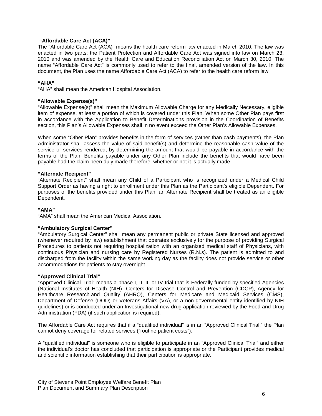# **"Affordable Care Act (ACA)"**

The "Affordable Care Act (ACA)" means the health care reform law enacted in March 2010. The law was enacted in two parts: the Patient Protection and Affordable Care Act was signed into law on March 23, 2010 and was amended by the Health Care and Education Reconciliation Act on March 30, 2010. The name "Affordable Care Act" is commonly used to refer to the final, amended version of the law. In this document, the Plan uses the name Affordable Care Act (ACA) to refer to the health care reform law.

# **"AHA"**

"AHA" shall mean the American Hospital Association.

#### **"Allowable Expense(s)"**

"Allowable Expense(s)" shall mean the Maximum Allowable Charge for any Medically Necessary, eligible item of expense, at least a portion of which is covered under this Plan. When some Other Plan pays first in accordance with the Application to Benefit Determinations provision in the Coordination of Benefits section, this Plan's Allowable Expenses shall in no event exceed the Other Plan's Allowable Expenses.

When some "Other Plan" provides benefits in the form of services (rather than cash payments), the Plan Administrator shall assess the value of said benefit(s) and determine the reasonable cash value of the service or services rendered, by determining the amount that would be payable in accordance with the terms of the Plan. Benefits payable under any Other Plan include the benefits that would have been payable had the claim been duly made therefore, whether or not it is actually made.

#### **"Alternate Recipient"**

"Alternate Recipient" shall mean any Child of a Participant who is recognized under a Medical Child Support Order as having a right to enrollment under this Plan as the Participant's eligible Dependent. For purposes of the benefits provided under this Plan, an Alternate Recipient shall be treated as an eligible Dependent.

#### **"AMA"**

"AMA" shall mean the American Medical Association.

#### **"Ambulatory Surgical Center"**

"Ambulatory Surgical Center" shall mean any permanent public or private State licensed and approved (whenever required by law) establishment that operates exclusively for the purpose of providing Surgical Procedures to patients not requiring hospitalization with an organized medical staff of Physicians, with continuous Physician and nursing care by Registered Nurses (R.N.s). The patient is admitted to and discharged from the facility within the same working day as the facility does not provide service or other accommodations for patients to stay overnight.

#### **"Approved Clinical Trial"**

"Approved Clinical Trial" means a phase I, II, III or IV trial that is Federally funded by specified Agencies (National Institutes of Health (NIH), Centers for Disease Control and Prevention (CDCP), Agency for Healthcare Research and Quality (AHRQ), Centers for Medicare and Medicaid Services (CMS), Department of Defense (DOD) or Veterans Affairs (VA), or a non-governmental entity identified by NIH guidelines) or is conducted under an Investigational new drug application reviewed by the Food and Drug Administration (FDA) (if such application is required).

The Affordable Care Act requires that if a "qualified individual" is in an "Approved Clinical Trial," the Plan cannot deny coverage for related services ("routine patient costs").

A "qualified individual" is someone who is eligible to participate in an "Approved Clinical Trial" and either the individual's doctor has concluded that participation is appropriate or the Participant provides medical and scientific information establishing that their participation is appropriate.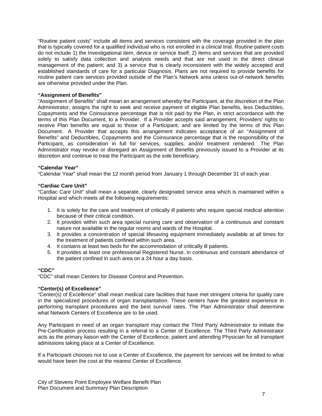"Routine patient costs" include all items and services consistent with the coverage provided in the plan that is typically covered for a qualified individual who is not enrolled in a clinical trial. Routine patient costs do not include 1) the Investigational item, device or service itself; 2) items and services that are provided solely to satisfy data collection and analysis needs and that are not used in the direct clinical management of the patient; and 3) a service that is clearly inconsistent with the widely accepted and established standards of care for a particular Diagnosis. Plans are not required to provide benefits for routine patient care services provided outside of the Plan's Network area unless out-of-network benefits are otherwise provided under the Plan.

# **"Assignment of Benefits"**

"Assignment of Benefits" shall mean an arrangement whereby the Participant, at the discretion of the Plan Administrator, assigns the right to seek and receive payment of eligible Plan benefits, less Deductibles, Copayments and the Coinsurance percentage that is not paid by the Plan, in strict accordance with the terms of this Plan Document, to a Provider. If a Provider accepts said arrangement, Providers' rights to receive Plan benefits are equal to those of a Participant, and are limited by the terms of this Plan Document. A Provider that accepts this arrangement indicates acceptance of an "Assignment of Benefits" and Deductibles, Copayments and the Coinsurance percentage that is the responsibility of the Participant, as consideration in full for services, supplies, and/or treatment rendered. The Plan Administrator may revoke or disregard an Assignment of Benefits previously issued to a Provider at its discretion and continue to treat the Participant as the sole beneficiary.

# **"Calendar Year"**

"Calendar Year" shall mean the 12 month period from January 1 through December 31 of each year.

# **"Cardiac Care Unit"**

"Cardiac Care Unit" shall mean a separate, clearly designated service area which is maintained within a Hospital and which meets all the following requirements:

- 1. It is solely for the care and treatment of critically ill patients who require special medical attention because of their critical condition.
- 2. It provides within such area special nursing care and observation of a continuous and constant nature not available in the regular rooms and wards of the Hospital.
- 3. It provides a concentration of special lifesaving equipment immediately available at all times for the treatment of patients confined within such area.
- 4. It contains at least two beds for the accommodation of critically ill patients.
- 5. It provides at least one professional Registered Nurse, in continuous and constant attendance of the patient confined in such area on a 24 hour a day basis.

### **"CDC"**

"CDC" shall mean Centers for Disease Control and Prevention.

# **"Center(s) of Excellence"**

"Center(s) of Excellence" shall mean medical care facilities that have met stringent criteria for quality care in the specialized procedures of organ transplantation. These centers have the greatest experience in performing transplant procedures and the best survival rates. The Plan Administrator shall determine what Network Centers of Excellence are to be used.

Any Participant in need of an organ transplant may contact the Third Party Administrator to initiate the Pre-Certification process resulting in a referral to a Center of Excellence. The Third Party Administrator acts as the primary liaison with the Center of Excellence, patient and attending Physician for all transplant admissions taking place at a Center of Excellence.

If a Participant chooses not to use a Center of Excellence, the payment for services will be limited to what would have been the cost at the nearest Center of Excellence.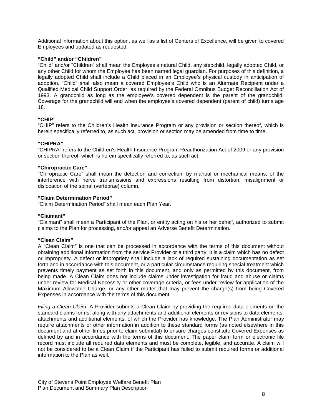Additional information about this option, as well as a list of Centers of Excellence, will be given to covered Employees and updated as requested.

# **"Child" and/or "Children"**

"Child" and/or "Children" shall mean the Employee's natural Child, any stepchild, legally adopted Child, or any other Child for whom the Employee has been named legal guardian. For purposes of this definition, a legally adopted Child shall include a Child placed in an Employee's physical custody in anticipation of adoption. "Child" shall also mean a covered Employee's Child who is an Alternate Recipient under a Qualified Medical Child Support Order, as required by the Federal Omnibus Budget Reconciliation Act of 1993. A grandchild as long as the employee's covered dependent is the parent of the grandchild. Coverage for the grandchild will end when the employee's covered dependent (parent of child) turns age 18.

# **"CHIP"**

"CHIP" refers to the Children's Health Insurance Program or any provision or section thereof, which is herein specifically referred to, as such act, provision or section may be amended from time to time.

# **"CHIPRA"**

"CHIPRA" refers to the Children's Health Insurance Program Reauthorization Act of 2009 or any provision or section thereof, which is herein specifically referred to, as such act.

# **"Chiropractic Care"**

"Chiropractic Care" shall mean the detection and correction, by manual or mechanical means, of the interference with nerve transmissions and expressions resulting from distortion, misalignment or dislocation of the spinal (vertebrae) column.

# **"Claim Determination Period"**

"Claim Determination Period" shall mean each Plan Year.

#### **"Claimant"**

"Claimant" shall mean a Participant of the Plan, or entity acting on his or her behalf, authorized to submit claims to the Plan for processing, and/or appeal an Adverse Benefit Determination.

# **"Clean Claim"**

A "Clean Claim" is one that can be processed in accordance with the terms of this document without obtaining additional information from the service Provider or a third party. It is a claim which has no defect or impropriety. A defect or impropriety shall include a lack of required sustaining documentation as set forth and in accordance with this document, or a particular circumstance requiring special treatment which prevents timely payment as set forth in this document, and only as permitted by this document, from being made. A Clean Claim does not include claims under investigation for fraud and abuse or claims under review for Medical Necessity or other coverage criteria, or fees under review for application of the Maximum Allowable Charge, or any other matter that may prevent the charge(s) from being Covered Expenses in accordance with the terms of this document.

*Filing a Clean Claim.* A Provider submits a Clean Claim by providing the required data elements on the standard claims forms, along with any attachments and additional elements or revisions to data elements, attachments and additional elements, of which the Provider has knowledge. The Plan Administrator may require attachments or other information in addition to these standard forms (as noted elsewhere in this document and at other times prior to claim submittal) to ensure charges constitute Covered Expenses as defined by and in accordance with the terms of this document. The paper claim form or electronic file record must include all required data elements and must be complete, legible, and accurate. A claim will not be considered to be a Clean Claim if the Participant has failed to submit required forms or additional information to the Plan as well.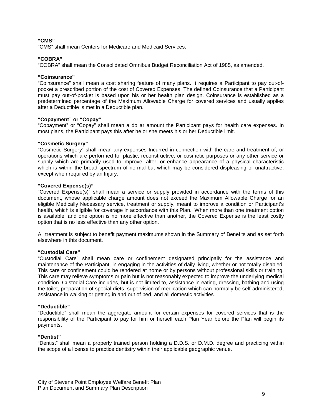# **"CMS"**

"CMS" shall mean Centers for Medicare and Medicaid Services.

# **"COBRA"**

"COBRA" shall mean the Consolidated Omnibus Budget Reconciliation Act of 1985, as amended.

# **"Coinsurance"**

"Coinsurance" shall mean a cost sharing feature of many plans. It requires a Participant to pay out-ofpocket a prescribed portion of the cost of Covered Expenses. The defined Coinsurance that a Participant must pay out-of-pocket is based upon his or her health plan design. Coinsurance is established as a predetermined percentage of the Maximum Allowable Charge for covered services and usually applies after a Deductible is met in a Deductible plan.

#### **"Copayment" or "Copay"**

"Copayment" or "Copay" shall mean a dollar amount the Participant pays for health care expenses. In most plans, the Participant pays this after he or she meets his or her Deductible limit.

#### **"Cosmetic Surgery"**

"Cosmetic Surgery" shall mean any expenses Incurred in connection with the care and treatment of, or operations which are performed for plastic, reconstructive, or cosmetic purposes or any other service or supply which are primarily used to improve, alter, or enhance appearance of a physical characteristic which is within the broad spectrum of normal but which may be considered displeasing or unattractive, except when required by an Injury.

#### **"Covered Expense(s)"**

"Covered Expense(s)" shall mean a service or supply provided in accordance with the terms of this document, whose applicable charge amount does not exceed the Maximum Allowable Charge for an eligible Medically Necessary service, treatment or supply, meant to improve a condition or Participant's health, which is eligible for coverage in accordance with this Plan. When more than one treatment option is available, and one option is no more effective than another, the Covered Expense is the least costly option that is no less effective than any other option.

All treatment is subject to benefit payment maximums shown in the Summary of Benefits and as set forth elsewhere in this document.

# **"Custodial Care"**

"Custodial Care" shall mean care or confinement designated principally for the assistance and maintenance of the Participant, in engaging in the activities of daily living, whether or not totally disabled. This care or confinement could be rendered at home or by persons without professional skills or training. This care may relieve symptoms or pain but is not reasonably expected to improve the underlying medical condition. Custodial Care includes, but is not limited to, assistance in eating, dressing, bathing and using the toilet, preparation of special diets, supervision of medication which can normally be self-administered, assistance in walking or getting in and out of bed, and all domestic activities.

#### **"Deductible"**

"Deductible" shall mean the aggregate amount for certain expenses for covered services that is the responsibility of the Participant to pay for him or herself each Plan Year before the Plan will begin its payments.

#### **"Dentist"**

"Dentist" shall mean a properly trained person holding a D.D.S. or D.M.D. degree and practicing within the scope of a license to practice dentistry within their applicable geographic venue.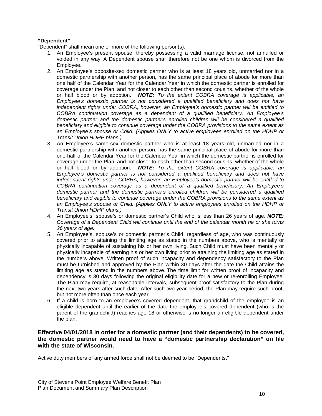# **"Dependent"**

"Dependent" shall mean one or more of the following person(s):

- 1. An Employee's present spouse, thereby possessing a valid marriage license, not annulled or voided in any way. A Dependent spouse shall therefore not be one whom is divorced from the Employee.
- 2. An Employee's opposite-sex domestic partner who is at least 18 years old, unmarried nor in a domestic partnership with another person, has the same principal place of abode for more than one half of the Calendar Year for the Calendar Year in which the domestic partner is enrolled for coverage under the Plan, and not closer to each other than second cousins, whether of the whole or half blood or by adoption. *NOTE: To the extent COBRA coverage is applicable, an Employee's domestic partner is not considered a qualified beneficiary and does not have independent rights under COBRA; however, an Employee's domestic partner will be entitled to COBRA continuation coverage as a dependent of a qualified beneficiary. An Employee's domestic partner and the domestic partner's enrolled children will be considered a qualified beneficiary and eligible to continue coverage under the COBRA provisions to the same extent as an Employee's spouse or Child. (Applies ONLY to active employees enrolled on the HDHP or Transit Union HDHP plans.)*
- 3. An Employee's same-sex domestic partner who is at least 18 years old, unmarried nor in a domestic partnership with another person, has the same principal place of abode for more than one half of the Calendar Year for the Calendar Year in which the domestic partner is enrolled for coverage under the Plan, and not closer to each other than second cousins, whether of the whole or half blood or by adoption. *NOTE: To the extent COBRA coverage is applicable, an Employee's domestic partner is not considered a qualified beneficiary and does not have independent rights under COBRA; however, an Employee's domestic partner will be entitled to COBRA continuation coverage as a dependent of a qualified beneficiary. An Employee's domestic partner and the domestic partner's enrolled children will be considered a qualified beneficiary and eligible to continue coverage under the COBRA provisions to the same extent as an Employee's spouse or Child. (Applies ONLY to active employees enrolled on the HDHP or Transit Union HDHP plans.)*
- 4. An Employee's, spouse's or domestic partner's Child who is less than 26 years of age. *NOTE: Coverage of a Dependent Child will continue until the end of the calendar month he or she turns 26 years of age.*
- 5. An Employee's, spouse's or domestic partner's Child, regardless of age, who was continuously covered prior to attaining the limiting age as stated in the numbers above, who is mentally or physically incapable of sustaining his or her own living. Such Child must have been mentally or physically incapable of earning his or her own living prior to attaining the limiting age as stated in the numbers above. Written proof of such incapacity and dependency satisfactory to the Plan must be furnished and approved by the Plan within 30 days after the date the Child attains the limiting age as stated in the numbers above. The time limit for written proof of incapacity and dependency is 30 days following the original eligibility date for a new or re-enrolling Employee. The Plan may require, at reasonable intervals, subsequent proof satisfactory to the Plan during the next two years after such date. After such two year period, the Plan may require such proof, but not more often than once each year.
- 6. If a child is born to an employee's covered dependent, that grandchild of the employee is an eligible dependent until the earlier of the date the employee's covered dependent (who is the parent of the grandchild) reaches age 18 or otherwise is no longer an eligible dependent under the plan.

# **Effective 04/01/2018 in order for a domestic partner (and their dependents) to be covered, the domestic partner would need to have a "domestic partnership declaration" on file with the state of Wisconsin.**

Active duty members of any armed force shall not be deemed to be "Dependents."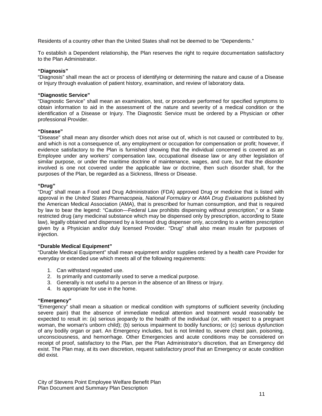Residents of a country other than the United States shall not be deemed to be "Dependents."

To establish a Dependent relationship, the Plan reserves the right to require documentation satisfactory to the Plan Administrator.

# **"Diagnosis"**

"Diagnosis" shall mean the act or process of identifying or determining the nature and cause of a Disease or Injury through evaluation of patient history, examination, and review of laboratory data.

# **"Diagnostic Service"**

"Diagnostic Service" shall mean an examination, test, or procedure performed for specified symptoms to obtain information to aid in the assessment of the nature and severity of a medical condition or the identification of a Disease or Injury. The Diagnostic Service must be ordered by a Physician or other professional Provider.

#### **"Disease"**

"Disease" shall mean any disorder which does not arise out of, which is not caused or contributed to by, and which is not a consequence of, any employment or occupation for compensation or profit; however, if evidence satisfactory to the Plan is furnished showing that the individual concerned is covered as an Employee under any workers' compensation law, occupational disease law or any other legislation of similar purpose, or under the maritime doctrine of maintenance, wages, and cure, but that the disorder involved is one not covered under the applicable law or doctrine, then such disorder shall, for the purposes of the Plan, be regarded as a Sickness, Illness or Disease.

# **"Drug"**

"Drug" shall mean a Food and Drug Administration (FDA) approved Drug or medicine that is listed with approval in the *United States Pharmacopeia*, *National Formulary* or *AMA Drug Evaluations* published by the American Medical Association (AMA), that is prescribed for human consumption, and that is required by law to bear the legend: "Caution—Federal Law prohibits dispensing without prescription," or a State restricted drug (any medicinal substance which may be dispensed only by prescription, according to State law), legally obtained and dispensed by a licensed drug dispenser only, according to a written prescription given by a Physician and/or duly licensed Provider. "Drug" shall also mean insulin for purposes of injection.

#### **"Durable Medical Equipment"**

"Durable Medical Equipment" shall mean equipment and/or supplies ordered by a health care Provider for everyday or extended use which meets all of the following requirements:

- 1. Can withstand repeated use.
- 2. Is primarily and customarily used to serve a medical purpose.
- 3. Generally is not useful to a person in the absence of an Illness or Injury.
- 4. Is appropriate for use in the home.

# **"Emergency"**

"Emergency" shall mean a situation or medical condition with symptoms of sufficient severity (including severe pain) that the absence of immediate medical attention and treatment would reasonably be expected to result in: (a) serious jeopardy to the health of the individual (or, with respect to a pregnant woman, the woman's unborn child); (b) serious impairment to bodily functions; or (c) serious dysfunction of any bodily organ or part. An Emergency includes, but is not limited to, severe chest pain, poisoning, unconsciousness, and hemorrhage. Other Emergencies and acute conditions may be considered on receipt of proof, satisfactory to the Plan, per the Plan Administrator's discretion, that an Emergency did exist. The Plan may, at its own discretion, request satisfactory proof that an Emergency or acute condition did exist.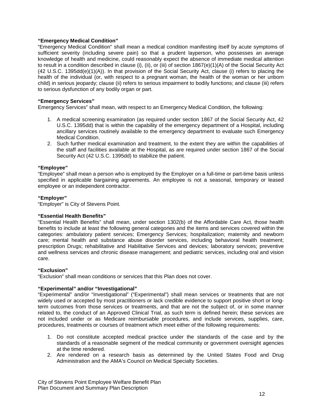# **"Emergency Medical Condition"**

"Emergency Medical Condition" shall mean a medical condition manifesting itself by acute symptoms of sufficient severity (including severe pain) so that a prudent layperson, who possesses an average knowledge of health and medicine, could reasonably expect the absence of immediate medical attention to result in a condition described in clause (i), (ii), or (iii) of section 1867(e)(1)(A) of the Social Security Act (42 U.S.C. 1395dd(e)(1)(A)). In that provision of the Social Security Act, clause (i) refers to placing the health of the individual (or, with respect to a pregnant woman, the health of the woman or her unborn child) in serious jeopardy; clause (ii) refers to serious impairment to bodily functions; and clause (iii) refers to serious dysfunction of any bodily organ or part.

#### **"Emergency Services"**

Emergency Services" shall mean, with respect to an Emergency Medical Condition, the following:

- 1. A medical screening examination (as required under section 1867 of the Social Security Act, 42 U.S.C. 1395dd) that is within the capability of the emergency department of a Hospital, including ancillary services routinely available to the emergency department to evaluate such Emergency Medical Condition.
- 2. Such further medical examination and treatment, to the extent they are within the capabilities of the staff and facilities available at the Hospital, as are required under section 1867 of the Social Security Act (42 U.S.C. 1395dd) to stabilize the patient.

#### **"Employee"**

"Employee" shall mean a person who is employed by the Employer on a full-time or part-time basis unless specified in applicable bargaining agreements. An employee is not a seasonal, temporary or leased employee or an independent contractor.

#### **"Employer"**

"Employer" is City of Stevens Point.

#### **"Essential Health Benefits"**

"Essential Health Benefits" shall mean, under section 1302(b) of the Affordable Care Act, those health benefits to include at least the following general categories and the items and services covered within the categories: ambulatory patient services; Emergency Services; hospitalization; maternity and newborn care; mental health and substance abuse disorder services, including behavioral health treatment; prescription Drugs; rehabilitative and Habilitative Services and devices; laboratory services; preventive and wellness services and chronic disease management; and pediatric services, including oral and vision care.

#### **"Exclusion"**

"Exclusion" shall mean conditions or services that this Plan does not cover.

#### **"Experimental" and/or "Investigational"**

"Experimental" and/or "Investigational" ("Experimental") shall mean services or treatments that are not widely used or accepted by most practitioners or lack credible evidence to support positive short or longterm outcomes from those services or treatments, and that are not the subject of, or in some manner related to, the conduct of an Approved Clinical Trial, as such term is defined herein; these services are not included under or as Medicare reimbursable procedures, and include services, supplies, care, procedures, treatments or courses of treatment which meet either of the following requirements:

- 1. Do not constitute accepted medical practice under the standards of the case and by the standards of a reasonable segment of the medical community or government oversight agencies at the time rendered.
- 2. Are rendered on a research basis as determined by the United States Food and Drug Administration and the AMA's Council on Medical Specialty Societies.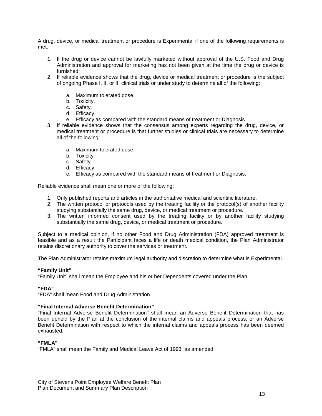A drug, device, or medical treatment or procedure is Experimental if one of the following requirements is met:

- 1. If the drug or device cannot be lawfully marketed without approval of the U.S. Food and Drug Administration and approval for marketing has not been given at the time the drug or device is furnished;
- 2. If reliable evidence shows that the drug, device or medical treatment or procedure is the subject of ongoing Phase I, II, or III clinical trials or under study to determine all of the following:
	- a. Maximum tolerated dose.
	- b. Toxicity.
	- c. Safety.
	- d. Efficacy.
	- e. Efficacy as compared with the standard means of treatment or Diagnosis.
- 3. If reliable evidence shows that the consensus among experts regarding the drug, device, or medical treatment or procedure is that further studies or clinical trials are necessary to determine all of the following:
	- a. Maximum tolerated dose.
	- b. Toxicity.
	- c. Safety.
	- d. Efficacy.
	- e. Efficacy as compared with the standard means of treatment or Diagnosis.

Reliable evidence shall mean one or more of the following:

- 1. Only published reports and articles in the authoritative medical and scientific literature.
- 2. The written protocol or protocols used by the treating facility or the protocol(s) of another facility studying substantially the same drug, device, or medical treatment or procedure.
- 3. The written informed consent used by the treating facility or by another facility studying substantially the same drug, device, or medical treatment or procedure.

Subject to a medical opinion, if no other Food and Drug Administration (FDA) approved treatment is feasible and as a result the Participant faces a life or death medical condition, the Plan Administrator retains discretionary authority to cover the services or treatment.

The Plan Administrator retains maximum legal authority and discretion to determine what is Experimental.

#### **"Family Unit"**

"Family Unit" shall mean the Employee and his or her Dependents covered under the Plan.

#### **"FDA"**

"FDA" shall mean Food and Drug Administration.

#### **"Final Internal Adverse Benefit Determination"**

"Final Internal Adverse Benefit Determination" shall mean an Adverse Benefit Determination that has been upheld by the Plan at the conclusion of the internal claims and appeals process, or an Adverse Benefit Determination with respect to which the internal claims and appeals process has been deemed exhausted.

#### **"FMLA"**

"FMLA" shall mean the Family and Medical Leave Act of 1993, as amended.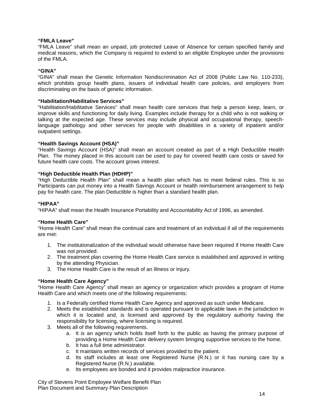# **"FMLA Leave"**

"FMLA Leave" shall mean an unpaid, job protected Leave of Absence for certain specified family and medical reasons, which the Company is required to extend to an eligible Employee under the provisions of the FMLA.

#### **"GINA"**

"GINA" shall mean the Genetic Information Nondiscrimination Act of 2008 (Public Law No. 110-233), which prohibits group health plans, issuers of individual health care policies, and employers from discriminating on the basis of genetic information.

#### **"Habilitation/Habilitative Services"**

"Habilitation/Habilitative Services" shall mean health care services that help a person keep, learn, or improve skills and functioning for daily living. Examples include therapy for a child who is not walking or talking at the expected age. These services may include physical and occupational therapy, speechlanguage pathology and other services for people with disabilities in a variety of inpatient and/or outpatient settings.

# **"Health Savings Account (HSA)"**

"Health Savings Account (HSA)" shall mean an account created as part of a High Deductible Health Plan. The money placed in this account can be used to pay for covered health care costs or saved for future health care costs. The account grows interest.

# **"High Deductible Health Plan (HDHP)"**

"High Deductible Health Plan" shall mean a health plan which has to meet federal rules. This is so Participants can put money into a Health Savings Account or health reimbursement arrangement to help pay for health care. The plan Deductible is higher than a standard health plan.

#### **"HIPAA"**

"HIPAA" shall mean the Health Insurance Portability and Accountability Act of 1996, as amended.

#### **"Home Health Care"**

"Home Health Care" shall mean the continual care and treatment of an individual if all of the requirements are met:

- 1. The institutionalization of the individual would otherwise have been required if Home Health Care was not provided.
- 2. The treatment plan covering the Home Health Care service is established and approved in writing by the attending Physician.
- 3. The Home Health Care is the result of an Illness or Injury.

#### **"Home Health Care Agency"**

"Home Health Care Agency" shall mean an agency or organization which provides a program of Home Health Care and which meets one of the following requirements:

- 1. Is a Federally certified Home Health Care Agency and approved as such under Medicare.
- 2. Meets the established standards and is operated pursuant to applicable laws in the jurisdiction in which it is located and, is licensed and approved by the regulatory authority having the responsibility for licensing, where licensing is required.
- 3. Meets all of the following requirements.
	- a. It is an agency which holds itself forth to the public as having the primary purpose of providing a Home Health Care delivery system bringing supportive services to the home.
	- b. It has a full time administrator.
	- c. It maintains written records of services provided to the patient.
	- d. Its staff includes at least one Registered Nurse (R.N.) or it has nursing care by a Registered Nurse (R.N.) available.
	- e. Its employees are bonded and it provides malpractice insurance.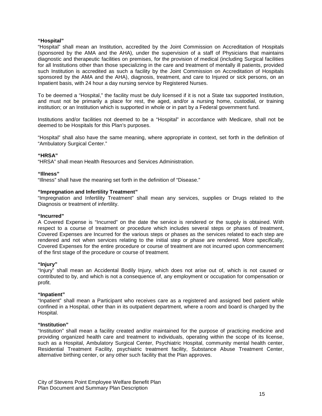# **"Hospital"**

"Hospital" shall mean an Institution, accredited by the Joint Commission on Accreditation of Hospitals (sponsored by the AMA and the AHA), under the supervision of a staff of Physicians that maintains diagnostic and therapeutic facilities on premises, for the provision of medical (including Surgical facilities for all Institutions other than those specializing in the care and treatment of mentally ill patients, provided such Institution is accredited as such a facility by the Joint Commission on Accreditation of Hospitals sponsored by the AMA and the AHA), diagnosis, treatment, and care to Injured or sick persons, on an Inpatient basis, with 24 hour a day nursing service by Registered Nurses.

To be deemed a "Hospital," the facility must be duly licensed if it is not a State tax supported Institution, and must not be primarily a place for rest, the aged, and/or a nursing home, custodial, or training institution; or an Institution which is supported in whole or in part by a Federal government fund.

Institutions and/or facilities not deemed to be a "Hospital" in accordance with Medicare, shall not be deemed to be Hospitals for this Plan's purposes.

"Hospital" shall also have the same meaning, where appropriate in context, set forth in the definition of "Ambulatory Surgical Center."

#### **"HRSA"**

"HRSA" shall mean Health Resources and Services Administration.

#### **"Illness"**

"Illness" shall have the meaning set forth in the definition of "Disease."

#### **"Impregnation and Infertility Treatment"**

"Impregnation and Infertility Treatment" shall mean any services, supplies or Drugs related to the Diagnosis or treatment of infertility.

#### **"Incurred"**

A Covered Expense is "Incurred" on the date the service is rendered or the supply is obtained. With respect to a course of treatment or procedure which includes several steps or phases of treatment, Covered Expenses are Incurred for the various steps or phases as the services related to each step are rendered and not when services relating to the initial step or phase are rendered. More specifically, Covered Expenses for the entire procedure or course of treatment are not incurred upon commencement of the first stage of the procedure or course of treatment.

#### **"Injury"**

"Injury" shall mean an Accidental Bodily Injury, which does not arise out of, which is not caused or contributed to by, and which is not a consequence of, any employment or occupation for compensation or profit.

# **"Inpatient"**

"Inpatient" shall mean a Participant who receives care as a registered and assigned bed patient while confined in a Hospital, other than in its outpatient department, where a room and board is charged by the Hospital.

#### **"Institution"**

"Institution" shall mean a facility created and/or maintained for the purpose of practicing medicine and providing organized health care and treatment to individuals, operating within the scope of its license, such as a Hospital, Ambulatory Surgical Center, Psychiatric Hospital, community mental health center, Residential Treatment Facility, psychiatric treatment facility, Substance Abuse Treatment Center, alternative birthing center, or any other such facility that the Plan approves.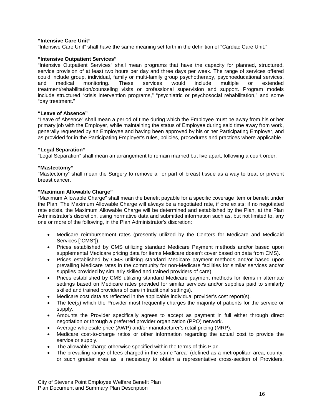# **"Intensive Care Unit"**

"Intensive Care Unit" shall have the same meaning set forth in the definition of "Cardiac Care Unit."

# **"Intensive Outpatient Services"**

"Intensive Outpatient Services" shall mean programs that have the capacity for planned, structured, service provision of at least two hours per day and three days per week. The range of services offered could include group, individual, family or multi-family group psychotherapy, psychoeducational services, and medical monitoring. These services would include multiple or extended treatment/rehabilitation/counseling visits or professional supervision and support. Program models include structured "crisis intervention programs," "psychiatric or psychosocial rehabilitation," and some "day treatment."

# **"Leave of Absence"**

"Leave of Absence" shall mean a period of time during which the Employee must be away from his or her primary job with the Employer, while maintaining the status of Employee during said time away from work, generally requested by an Employee and having been approved by his or her Participating Employer, and as provided for in the Participating Employer's rules, policies, procedures and practices where applicable.

#### **"Legal Separation"**

"Legal Separation" shall mean an arrangement to remain married but live apart, following a court order.

#### **"Mastectomy"**

"Mastectomy" shall mean the Surgery to remove all or part of breast tissue as a way to treat or prevent breast cancer.

#### **"Maximum Allowable Charge"**

"Maximum Allowable Charge" shall mean the benefit payable for a specific coverage item or benefit under the Plan. The Maximum Allowable Charge will always be a negotiated rate, if one exists; if no negotiated rate exists, the Maximum Allowable Charge will be determined and established by the Plan, at the Plan Administrator's discretion, using normative data and submitted information such as, but not limited to, any one or more of the following, in the Plan Administrator's discretion:

- Medicare reimbursement rates (presently utilized by the Centers for Medicare and Medicaid Services ["CMS"]).
- Prices established by CMS utilizing standard Medicare Payment methods and/or based upon supplemental Medicare pricing data for items Medicare doesn't cover based on data from CMS).
- Prices established by CMS utilizing standard Medicare payment methods and/or based upon prevailing Medicare rates in the community for non-Medicare facilities for similar services and/or supplies provided by similarly skilled and trained providers of care).
- Prices established by CMS utilizing standard Medicare payment methods for items in alternate settings based on Medicare rates provided for similar services and/or supplies paid to similarly skilled and trained providers of care in traditional settings).
- Medicare cost data as reflected in the applicable individual provider's cost report(s).
- The fee(s) which the Provider most frequently charges the majority of patients for the service or supply.
- Amounts the Provider specifically agrees to accept as payment in full either through direct negotiation or through a preferred provider organization (PPO) network.
- Average wholesale price (AWP) and/or manufacturer's retail pricing (MRP).
- Medicare cost-to-charge ratios or other information regarding the actual cost to provide the service or supply.
- The allowable charge otherwise specified within the terms of this Plan.
- The prevailing range of fees charged in the same "area" (defined as a metropolitan area, county, or such greater area as is necessary to obtain a representative cross-section of Providers,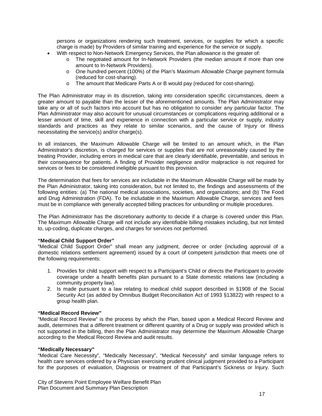persons or organizations rendering such treatment, services, or supplies for which a specific charge is made) by Providers of similar training and experience for the service or supply.

- With respect to Non-Network Emergency Services, the Plan allowance is the greater of:
	- o The negotiated amount for In-Network Providers (the median amount if more than one amount to In-Network Providers).
	- o One hundred percent (100%) of the Plan's Maximum Allowable Charge payment formula (reduced for cost-sharing).
	- o The amount that Medicare Parts A or B would pay (reduced for cost-sharing).

The Plan Administrator may in its discretion, taking into consideration specific circumstances, deem a greater amount to payable than the lesser of the aforementioned amounts. The Plan Administrator may take any or all of such factors into account but has no obligation to consider any particular factor. The Plan Administrator may also account for unusual circumstances or complications requiring additional or a lesser amount of time, skill and experience in connection with a particular service or supply, industry standards and practices as they relate to similar scenarios, and the cause of Injury or Illness necessitating the service(s) and/or charge(s).

In all instances, the Maximum Allowable Charge will be limited to an amount which, in the Plan Administrator's discretion, is charged for services or supplies that are not unreasonably caused by the treating Provider, including errors in medical care that are clearly identifiable, preventable, and serious in their consequence for patients. A finding of Provider negligence and/or malpractice is not required for services or fees to be considered ineligible pursuant to this provision.

The determination that fees for services are includable in the Maximum Allowable Charge will be made by the Plan Administrator, taking into consideration, but not limited to, the findings and assessments of the following entities: (a) The national medical associations, societies, and organizations; and (b) The Food and Drug Administration (FDA). To be includable in the Maximum Allowable Charge, services and fees must be in compliance with generally accepted billing practices for unbundling or multiple procedures.

The Plan Administrator has the discretionary authority to decide if a charge is covered under this Plan. The Maximum Allowable Charge will not include any identifiable billing mistakes including, but not limited to, up-coding, duplicate charges, and charges for services not performed.

# **"Medical Child Support Order"**

"Medical Child Support Order" shall mean any judgment, decree or order (including approval of a domestic relations settlement agreement) issued by a court of competent jurisdiction that meets one of the following requirements:

- 1. Provides for child support with respect to a Participant's Child or directs the Participant to provide coverage under a health benefits plan pursuant to a State domestic relations law (including a community property law).
- 2. Is made pursuant to a law relating to medical child support described in §1908 of the Social Security Act (as added by Omnibus Budget Reconciliation Act of 1993 §13822) with respect to a group health plan.

# **"Medical Record Review"**

"Medical Record Review" is the process by which the Plan, based upon a Medical Record Review and audit, determines that a different treatment or different quantity of a Drug or supply was provided which is not supported in the billing, then the Plan Administrator may determine the Maximum Allowable Charge according to the Medical Record Review and audit results.

# **"Medically Necessary"**

"Medical Care Necessity", "Medically Necessary", "Medical Necessity" and similar language refers to health care services ordered by a Physician exercising prudent clinical judgment provided to a Participant for the purposes of evaluation, Diagnosis or treatment of that Participant's Sickness or Injury. Such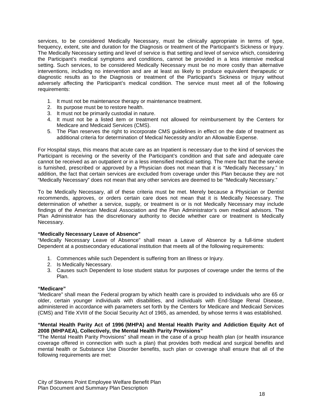services, to be considered Medically Necessary, must be clinically appropriate in terms of type, frequency, extent, site and duration for the Diagnosis or treatment of the Participant's Sickness or Injury. The Medically Necessary setting and level of service is that setting and level of service which, considering the Participant's medical symptoms and conditions, cannot be provided in a less intensive medical setting. Such services, to be considered Medically Necessary must be no more costly than alternative interventions, including no intervention and are at least as likely to produce equivalent therapeutic or diagnostic results as to the Diagnosis or treatment of the Participant's Sickness or Injury without adversely affecting the Participant's medical condition. The service must meet all of the following requirements:

- 1. It must not be maintenance therapy or maintenance treatment.
- 2. Its purpose must be to restore health.
- 3. It must not be primarily custodial in nature.
- 4. It must not be a listed item or treatment not allowed for reimbursement by the Centers for Medicare and Medicaid Services (CMS).
- 5. The Plan reserves the right to incorporate CMS guidelines in effect on the date of treatment as additional criteria for determination of Medical Necessity and/or an Allowable Expense.

For Hospital stays, this means that acute care as an Inpatient is necessary due to the kind of services the Participant is receiving or the severity of the Participant's condition and that safe and adequate care cannot be received as an outpatient or in a less intensified medical setting. The mere fact that the service is furnished, prescribed or approved by a Physician does not mean that it is "Medically Necessary." In addition, the fact that certain services are excluded from coverage under this Plan because they are not "Medically Necessary" does not mean that any other services are deemed to be "Medically Necessary."

To be Medically Necessary, all of these criteria must be met. Merely because a Physician or Dentist recommends, approves, or orders certain care does not mean that it is Medically Necessary. The determination of whether a service, supply, or treatment is or is not Medically Necessary may include findings of the American Medical Association and the Plan Administrator's own medical advisors. The Plan Administrator has the discretionary authority to decide whether care or treatment is Medically Necessary.

# **"Medically Necessary Leave of Absence"**

"Medically Necessary Leave of Absence" shall mean a Leave of Absence by a full-time student Dependent at a postsecondary educational institution that meets all of the following requirements:

- 1. Commences while such Dependent is suffering from an Illness or Injury.
- 2. Is Medically Necessary.
- 3. Causes such Dependent to lose student status for purposes of coverage under the terms of the Plan.

# **"Medicare"**

"Medicare" shall mean the Federal program by which health care is provided to individuals who are 65 or older, certain younger individuals with disabilities, and individuals with End-Stage Renal Disease, administered in accordance with parameters set forth by the Centers for Medicare and Medicaid Services (CMS) and Title XVIII of the Social Security Act of 1965, as amended, by whose terms it was established.

# **"Mental Health Parity Act of 1996 (MHPA) and Mental Health Parity and Addiction Equity Act of 2008 (MHPAEA), Collectively, the Mental Health Parity Provisions"**

"The Mental Health Parity Provisions" shall mean in the case of a group health plan (or health insurance coverage offered in connection with such a plan) that provides both medical and surgical benefits and mental health or Substance Use Disorder benefits, such plan or coverage shall ensure that all of the following requirements are met: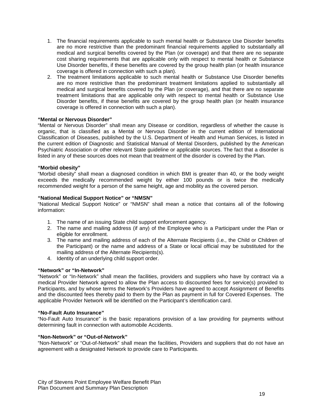- 1. The financial requirements applicable to such mental health or Substance Use Disorder benefits are no more restrictive than the predominant financial requirements applied to substantially all medical and surgical benefits covered by the Plan (or coverage) and that there are no separate cost sharing requirements that are applicable only with respect to mental health or Substance Use Disorder benefits, if these benefits are covered by the group health plan (or health insurance coverage is offered in connection with such a plan).
- 2. The treatment limitations applicable to such mental health or Substance Use Disorder benefits are no more restrictive than the predominant treatment limitations applied to substantially all medical and surgical benefits covered by the Plan (or coverage), and that there are no separate treatment limitations that are applicable only with respect to mental health or Substance Use Disorder benefits, if these benefits are covered by the group health plan (or health insurance coverage is offered in connection with such a plan).

# **"Mental or Nervous Disorder"**

"Mental or Nervous Disorder" shall mean any Disease or condition, regardless of whether the cause is organic, that is classified as a Mental or Nervous Disorder in the current edition of International Classification of Diseases, published by the U.S. Department of Health and Human Services, is listed in the current edition of Diagnostic and Statistical Manual of Mental Disorders, published by the American Psychiatric Association or other relevant State guideline or applicable sources. The fact that a disorder is listed in any of these sources does not mean that treatment of the disorder is covered by the Plan.

# **"Morbid obesity"**

"Morbid obesity" shall mean a diagnosed condition in which BMI is greater than 40, or the body weight exceeds the medically recommended weight by either 100 pounds or is twice the medically recommended weight for a person of the same height, age and mobility as the covered person.

# **"National Medical Support Notice" or "NMSN"**

"National Medical Support Notice" or "NMSN" shall mean a notice that contains all of the following information:

- 1. The name of an issuing State child support enforcement agency.
- 2. The name and mailing address (if any) of the Employee who is a Participant under the Plan or eligible for enrollment.
- 3. The name and mailing address of each of the Alternate Recipients (i.e., the Child or Children of the Participant) or the name and address of a State or local official may be substituted for the mailing address of the Alternate Recipients(s).
- 4. Identity of an underlying child support order.

#### **"Network" or "In-Network"**

"Network" or "In-Network" shall mean the facilities, providers and suppliers who have by contract via a medical Provider Network agreed to allow the Plan access to discounted fees for service(s) provided to Participants, and by whose terms the Network's Providers have agreed to accept Assignment of Benefits and the discounted fees thereby paid to them by the Plan as payment in full for Covered Expenses. The applicable Provider Network will be identified on the Participant's identification card.

#### **"No-Fault Auto Insurance"**

"No-Fault Auto Insurance" is the basic reparations provision of a law providing for payments without determining fault in connection with automobile Accidents.

#### **"Non-Network" or "Out-of-Network"**

"Non-Network" or "Out-of-Network" shall mean the facilities, Providers and suppliers that do not have an agreement with a designated Network to provide care to Participants.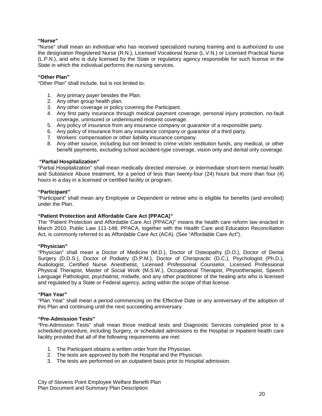# **"Nurse"**

"Nurse" shall mean an individual who has received specialized nursing training and is authorized to use the designation Registered Nurse (R.N.), Licensed Vocational Nurse (L.V.N.) or Licensed Practical Nurse (L.P.N.), and who is duly licensed by the State or regulatory agency responsible for such license in the State in which the individual performs the nursing services.

#### **"Other Plan"**

"Other Plan" shall include, but is not limited to:

- 1. Any primary payer besides the Plan.
- 2. Any other group health plan.
- 3. Any other coverage or policy covering the Participant.
- 4. Any first party insurance through medical payment coverage, personal injury protection, no-fault coverage, uninsured or underinsured motorist coverage.
- 5. Any policy of insurance from any insurance company or guarantor of a responsible party.
- 6. Any policy of insurance from any insurance company or guarantor of a third party.
- 7. Workers' compensation or other liability insurance company.
- 8. Any other source, including but not limited to crime victim restitution funds, any medical, or other benefit payments, excluding school accident-type coverage, vision only and dental only coverage.

# **"Partial Hospitalization"**

"Partial Hospitalization" shall mean medically directed intensive, or intermediate short-term mental health and Substance Abuse treatment, for a period of less than twenty-four (24) hours but more than four (4) hours in a day in a licensed or certified facility or program.

#### **"Participant"**

"Participant" shall mean any Employee or Dependent or retiree who is eligible for benefits (and enrolled) under the Plan.

#### **"Patient Protection and Affordable Care Act (PPACA)"**

The "Patient Protection and Affordable Care Act (PPACA)" means the health care reform law enacted in March 2010, Public Law 111-148; PPACA, together with the Health Care and Education Reconciliation Act, is commonly referred to as Affordable Care Act (ACA). (See "Affordable Care Act").

# **"Physician"**

"Physician" shall mean a Doctor of Medicine (M.D.), Doctor of Osteopathy (D.O.), Doctor of Dental Surgery (D.D.S.), Doctor of Podiatry (D.P.M.), Doctor of Chiropractic (D.C.), Psychologist (Ph.D.), Audiologist, Certified Nurse Anesthetist, Licensed Professional Counselor, Licensed Professional Physical Therapist, Master of Social Work (M.S.W.), Occupational Therapist, Physiotherapist, Speech Language Pathologist, psychiatrist, midwife, and any other practitioner of the healing arts who is licensed and regulated by a State or Federal agency, acting within the scope of that license.

#### **"Plan Year"**

"Plan Year" shall mean a period commencing on the Effective Date or any anniversary of the adoption of this Plan and continuing until the next succeeding anniversary.

# **"Pre-Admission Tests"**

"Pre-Admission Tests" shall mean those medical tests and Diagnostic Services completed prior to a scheduled procedure, including Surgery, or scheduled admissions to the Hospital or Inpatient health care facility provided that all of the following requirements are met:

- 1. The Participant obtains a written order from the Physician.
- 2. The tests are approved by both the Hospital and the Physician.
- 3. The tests are performed on an outpatient basis prior to Hospital admission.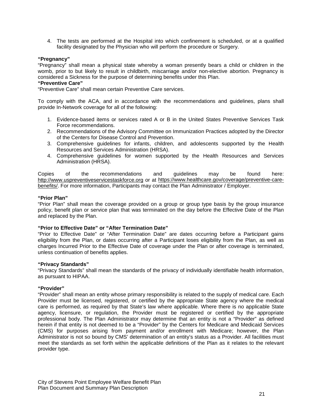4. The tests are performed at the Hospital into which confinement is scheduled, or at a qualified facility designated by the Physician who will perform the procedure or Surgery.

# **"Pregnancy"**

"Pregnancy" shall mean a physical state whereby a woman presently bears a child or children in the womb, prior to but likely to result in childbirth, miscarriage and/or non-elective abortion. Pregnancy is considered a Sickness for the purpose of determining benefits under this Plan.

# **"Preventive Care"**

"Preventive Care" shall mean certain Preventive Care services.

To comply with the ACA, and in accordance with the recommendations and guidelines, plans shall provide In-Network coverage for all of the following:

- 1. Evidence-based items or services rated A or B in the United States Preventive Services Task Force recommendations.
- 2. Recommendations of the Advisory Committee on Immunization Practices adopted by the Director of the Centers for Disease Control and Prevention.
- 3. Comprehensive guidelines for infants, children, and adolescents supported by the Health Resources and Services Administration (HRSA).
- 4. Comprehensive guidelines for women supported by the Health Resources and Services Administration (HRSA).

Copies of the recommendations and guidelines may be found here: [http://www.uspreventiveservicestaskforce.org](http://www.uspreventiveservicestaskforce.org/) or at [https://www.healthcare.gov/coverage/preventive-care](https://www.healthcare.gov/coverage/preventive-care-benefits/)[benefits/.](https://www.healthcare.gov/coverage/preventive-care-benefits/) For more information, Participants may contact the Plan Administrator / Employer.

# **"Prior Plan"**

"Prior Plan" shall mean the coverage provided on a group or group type basis by the group insurance policy, benefit plan or service plan that was terminated on the day before the Effective Date of the Plan and replaced by the Plan.

# **"Prior to Effective Date" or "After Termination Date"**

"Prior to Effective Date" or "After Termination Date" are dates occurring before a Participant gains eligibility from the Plan, or dates occurring after a Participant loses eligibility from the Plan, as well as charges Incurred Prior to the Effective Date of coverage under the Plan or after coverage is terminated, unless continuation of benefits applies.

#### **"Privacy Standards"**

"Privacy Standards" shall mean the standards of the privacy of individually identifiable health information, as pursuant to HIPAA.

#### **"Provider"**

"Provider" shall mean an entity whose primary responsibility is related to the supply of medical care. Each Provider must be licensed, registered, or certified by the appropriate State agency where the medical care is performed, as required by that State's law where applicable. Where there is no applicable State agency, licensure, or regulation, the Provider must be registered or certified by the appropriate professional body. The Plan Administrator may determine that an entity is not a "Provider" as defined herein if that entity is not deemed to be a "Provider" by the Centers for Medicare and Medicaid Services (CMS) for purposes arising from payment and/or enrollment with Medicare; however, the Plan Administrator is not so bound by CMS' determination of an entity's status as a Provider. All facilities must meet the standards as set forth within the applicable definitions of the Plan as it relates to the relevant provider type.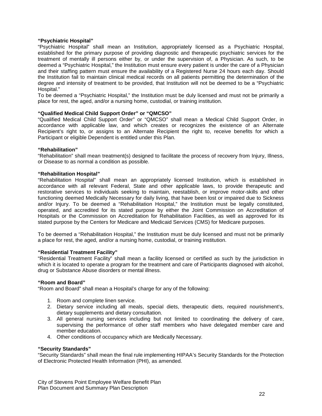# **"Psychiatric Hospital"**

"Psychiatric Hospital" shall mean an Institution, appropriately licensed as a Psychiatric Hospital, established for the primary purpose of providing diagnostic and therapeutic psychiatric services for the treatment of mentally ill persons either by, or under the supervision of, a Physician. As such, to be deemed a "Psychiatric Hospital," the Institution must ensure every patient is under the care of a Physician and their staffing pattern must ensure the availability of a Registered Nurse 24 hours each day. Should the Institution fail to maintain clinical medical records on all patients permitting the determination of the degree and intensity of treatment to be provided, that Institution will not be deemed to be a "Psychiatric Hospital."

To be deemed a "Psychiatric Hospital," the Institution must be duly licensed and must not be primarily a place for rest, the aged, and/or a nursing home, custodial, or training institution.

# **"Qualified Medical Child Support Order" or "QMCSO"**

"Qualified Medical Child Support Order" or "QMCSO" shall mean a Medical Child Support Order, in accordance with applicable law, and which creates or recognizes the existence of an Alternate Recipient's right to, or assigns to an Alternate Recipient the right to, receive benefits for which a Participant or eligible Dependent is entitled under this Plan.

#### **"Rehabilitation"**

"Rehabilitation" shall mean treatment(s) designed to facilitate the process of recovery from Injury, Illness, or Disease to as normal a condition as possible.

# **"Rehabilitation Hospital"**

"Rehabilitation Hospital" shall mean an appropriately licensed Institution, which is established in accordance with all relevant Federal, State and other applicable laws, to provide therapeutic and restorative services to individuals seeking to maintain, reestablish, or improve motor-skills and other functioning deemed Medically Necessary for daily living, that have been lost or impaired due to Sickness and/or Injury. To be deemed a "Rehabilitation Hospital," the Institution must be legally constituted, operated, and accredited for its stated purpose by either the Joint Commission on Accreditation of Hospitals or the Commission on Accreditation for Rehabilitation Facilities, as well as approved for its stated purpose by the Centers for Medicare and Medicaid Services (CMS) for Medicare purposes.

To be deemed a "Rehabilitation Hospital," the Institution must be duly licensed and must not be primarily a place for rest, the aged, and/or a nursing home, custodial, or training institution.

#### **"Residential Treatment Facility"**

"Residential Treatment Facility" shall mean a facility licensed or certified as such by the jurisdiction in which it is located to operate a program for the treatment and care of Participants diagnosed with alcohol, drug or Substance Abuse disorders or mental illness.

#### **"Room and Board"**

"Room and Board" shall mean a Hospital's charge for any of the following:

- 1. Room and complete linen service.
- 2. Dietary service including all meals, special diets, therapeutic diets, required nourishment's, dietary supplements and dietary consultation.
- 3. All general nursing services including but not limited to coordinating the delivery of care, supervising the performance of other staff members who have delegated member care and member education.
- 4. Other conditions of occupancy which are Medically Necessary.

#### **"Security Standards"**

"Security Standards" shall mean the final rule implementing HIPAA's Security Standards for the Protection of Electronic Protected Health Information (PHI), as amended.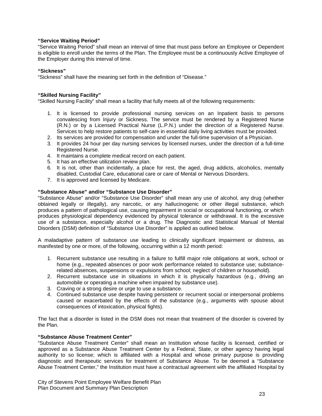# **"Service Waiting Period"**

"Service Waiting Period" shall mean an interval of time that must pass before an Employee or Dependent is eligible to enroll under the terms of the Plan. The Employee must be a continuously Active Employee of the Employer during this interval of time.

#### **"Sickness"**

"Sickness" shall have the meaning set forth in the definition of "Disease."

# **"Skilled Nursing Facility"**

"Skilled Nursing Facility" shall mean a facility that fully meets all of the following requirements:

- 1. It is licensed to provide professional nursing services on an Inpatient basis to persons convalescing from Injury or Sickness. The service must be rendered by a Registered Nurse (R.N.) or by a Licensed Practical Nurse (L.P.N.) under the direction of a Registered Nurse. Services to help restore patients to self-care in essential daily living activities must be provided.
- 2. Its services are provided for compensation and under the full-time supervision of a Physician.
- 3. It provides 24 hour per day nursing services by licensed nurses, under the direction of a full-time Registered Nurse.
- 4. It maintains a complete medical record on each patient.
- 5. It has an effective utilization review plan.
- 6. It is not, other than incidentally, a place for rest, the aged, drug addicts, alcoholics, mentally disabled, Custodial Care, educational care or care of Mental or Nervous Disorders.
- 7. It is approved and licensed by Medicare.

# **"Substance Abuse" and/or "Substance Use Disorder"**

"Substance Abuse" and/or "Substance Use Disorder" shall mean any use of alcohol, any drug (whether obtained legally or illegally), any narcotic, or any hallucinogenic or other illegal substance, which produces a pattern of pathological use, causing impairment in social or occupational functioning, or which produces physiological dependency evidenced by physical tolerance or withdrawal. It is the excessive use of a substance, especially alcohol or a drug. The Diagnostic and Statistical Manual of Mental Disorders (DSM) definition of "Substance Use Disorder" is applied as outlined below.

A maladaptive pattern of substance use leading to clinically significant impairment or distress, as manifested by one or more, of the following, occurring within a 12 month period:

- 1. Recurrent substance use resulting in a failure to fulfill major role obligations at work, school or home (e.g., repeated absences or poor work performance related to substance use; substancerelated absences, suspensions or expulsions from school; neglect of children or household).
- 2. Recurrent substance use in situations in which it is physically hazardous (e.g., driving an automobile or operating a machine when impaired by substance use).
- 3. Craving or a strong desire or urge to use a substance.
- 4. Continued substance use despite having persistent or recurrent social or interpersonal problems caused or exacerbated by the effects of the substance (e.g., arguments with spouse about consequences of intoxication, physical fights).

The fact that a disorder is listed in the DSM does not mean that treatment of the disorder is covered by the Plan.

#### **"Substance Abuse Treatment Center"**

"Substance Abuse Treatment Center" shall mean an Institution whose facility is licensed, certified or approved as a Substance Abuse Treatment Center by a Federal, State, or other agency having legal authority to so license; which is affiliated with a Hospital and whose primary purpose is providing diagnostic and therapeutic services for treatment of Substance Abuse. To be deemed a "Substance Abuse Treatment Center," the Institution must have a contractual agreement with the affiliated Hospital by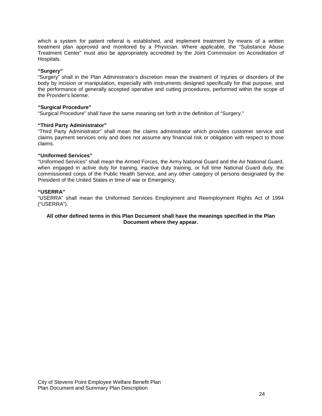which a system for patient referral is established, and implement treatment by means of a written treatment plan approved and monitored by a Physician. Where applicable, the "Substance Abuse Treatment Center" must also be appropriately accredited by the Joint Commission on Accreditation of Hospitals.

# **"Surgery"**

"Surgery" shall in the Plan Administrator's discretion mean the treatment of Injuries or disorders of the body by incision or manipulation, especially with instruments designed specifically for that purpose, and the performance of generally accepted operative and cutting procedures, performed within the scope of the Provider's license.

# **"Surgical Procedure"**

"Surgical Procedure" shall have the same meaning set forth in the definition of "Surgery."

# **"Third Party Administrator"**

"Third Party Administrator" shall mean the claims administrator which provides customer service and claims payment services only and does not assume any financial risk or obligation with respect to those claims.

#### **"Uniformed Services"**

"Uniformed Services" shall mean the Armed Forces, the Army National Guard and the Air National Guard, when engaged in active duty for training, inactive duty training, or full time National Guard duty, the commissioned corps of the Public Health Service, and any other category of persons designated by the President of the United States in time of war or Emergency.

# **"USERRA"**

"USERRA" shall mean the Uniformed Services Employment and Reemployment Rights Act of 1994 ("USERRA").

# **All other defined terms in this Plan Document shall have the meanings specified in the Plan Document where they appear.**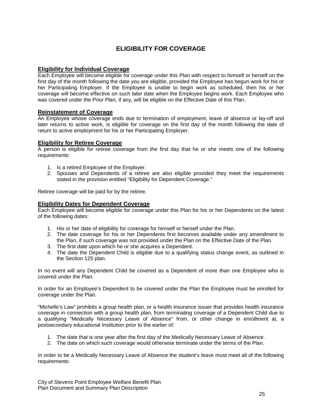# **ELIGIBILITY FOR COVERAGE**

# <span id="page-26-0"></span>**Eligibility for Individual Coverage**

Each Employee will become eligible for coverage under this Plan with respect to himself or herself on the first day of the month following the date you are eligible, provided the Employee has begun work for his or her Participating Employer. If the Employee is unable to begin work as scheduled, then his or her coverage will become effective on such later date when the Employee begins work. Each Employee who was covered under the Prior Plan, if any, will be eligible on the Effective Date of this Plan.

# **Reinstatement of Coverage**

An Employee whose coverage ends due to termination of employment, leave of absence or lay-off and later returns to active work, is eligible for coverage on the first day of the month following the date of return to active employment for his or her Participating Employer.

# **Eligibility for Retiree Coverage**

A person is eligible for retiree coverage from the first day that he or she meets one of the following requirements:

- 1. Is a retired Employee of the Employer.
- 2. Spouses and Dependents of a retiree are also eligible provided they meet the requirements stated in the provision entitled "Eligibility for Dependent Coverage."

Retiree coverage will be paid for by the retiree.

# **Eligibility Dates for Dependent Coverage**

Each Employee will become eligible for coverage under this Plan for his or her Dependents on the latest of the following dates:

- 1. His or her date of eligibility for coverage for himself or herself under the Plan.
- 2. The date coverage for his or her Dependents first becomes available under any amendment to the Plan, if such coverage was not provided under the Plan on the Effective Date of the Plan.
- 3. The first date upon which he or she acquires a Dependent.
- 4. The date the Dependent Child is eligible due to a qualifying status change event, as outlined in the Section 125 plan.

In no event will any Dependent Child be covered as a Dependent of more than one Employee who is covered under the Plan.

In order for an Employee's Dependent to be covered under the Plan the Employee must be enrolled for coverage under the Plan.

"Michelle's Law" prohibits a group health plan, or a health insurance issuer that provides health insurance coverage in connection with a group health plan, from terminating coverage of a Dependent Child due to a qualifying "Medically Necessary Leave of Absence" from, or other change in enrollment at, a postsecondary educational Institution prior to the earlier of:

- 1. The date that is one year after the first day of the Medically Necessary Leave of Absence.
- 2. The date on which such coverage would otherwise terminate under the terms of the Plan.

In order to be a Medically Necessary Leave of Absence the student's leave must meet all of the following requirements: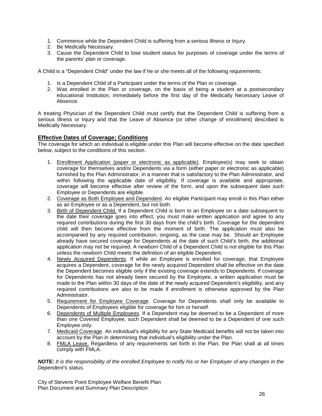- 1. Commence while the Dependent Child is suffering from a serious Illness or Injury.
- 2. Be Medically Necessary.
- 3. Cause the Dependent Child to lose student status for purposes of coverage under the terms of the parents' plan or coverage.

A Child is a "Dependent Child" under the law if he or she meets all of the following requirements:

- 1. Is a Dependent Child of a Participant under the terms of the Plan or coverage.
- 2. Was enrolled in the Plan or coverage, on the basis of being a student at a postsecondary educational Institution, immediately before the first day of the Medically Necessary Leave of Absence.

A treating Physician of the Dependent Child must certify that the Dependent Child is suffering from a serious Illness or Injury and that the Leave of Absence (or other change of enrollment) described is Medically Necessary.

# **Effective Dates of Coverage; Conditions**

The coverage for which an individual is eligible under this Plan will become effective on the date specified below, subject to the conditions of this section.

- 1. Enrollment Application (paper or electronic as applicable). Employee(s) may seek to obtain coverage for themselves and/or Dependents via a form (either paper or electronic as applicable) furnished by the Plan Administrator, in a manner that is satisfactory to the Plan Administrator, and within following the applicable date of eligibility. If coverage is available and appropriate, coverage will become effective after review of the form, and upon the subsequent date such Employee or Dependents are eligible.
- 2. Coverage as Both Employee and Dependent. An eligible Participant may enroll in this Plan either as an Employee or as a Dependent, but not both.
- 3. Birth of Dependent Child. If a Dependent Child is born to an Employee on a date subsequent to the date their coverage goes into effect, you must make written application and agree to any required contributions during the first 30 days from the child's birth. Coverage for the dependent child will then become effective from the moment of birth. The application must also be accompanied by any required contribution, ongoing, as the case may be. Should an Employee already have secured coverage for Dependents at the date of such Child's birth, the additional application may not be required. A newborn Child of a Dependent Child is not eligible for this Plan unless the newborn Child meets the definition of an eligible Dependent.
- 4. Newly Acquired Dependents. If while an Employee is enrolled for coverage, that Employee acquires a Dependent, coverage for the newly acquired Dependent shall be effective on the date the Dependent becomes eligible only if the existing coverage extends to Dependents. If coverage for Dependents has not already been secured by the Employee, a written application must be made to the Plan within 30 days of the date of the newly acquired Dependent's eligibility, and any required contributions are also to be made if enrollment is otherwise approved by the Plan Administrator.
- 5. Requirement for Employee Coverage. Coverage for Dependents shall only be available to Dependents of Employees eligible for coverage for him or herself.
- 6. Dependents of Multiple Employees. If a Dependent may be deemed to be a Dependent of more than one Covered Employee, such Dependent shall be deemed to be a Dependent of one such Employee only.
- 7. Medicaid Coverage. An individual's eligibility for any State Medicaid benefits will not be taken into account by the Plan in determining that individual's eligibility under the Plan.
- 8. FMLA Leave. Regardless of any requirements set forth in the Plan, the Plan shall at all times comply with FMLA.

*NOTE: It is the responsibility of the enrolled Employee to notify his or her Employer of any changes in the Dependent's status.*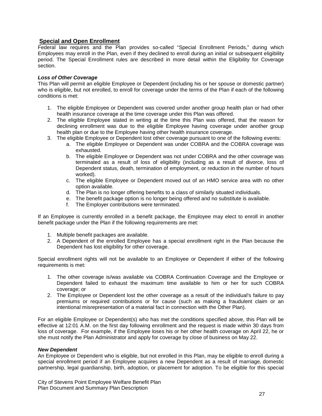# **Special and Open Enrollment**

Federal law requires and the Plan provides so-called "Special Enrollment Periods," during which Employees may enroll in the Plan, even if they declined to enroll during an initial or subsequent eligibility period. The Special Enrollment rules are described in more detail within the Eligibility for Coverage section.

# *Loss of Other Coverage*

This Plan will permit an eligible Employee or Dependent (including his or her spouse or domestic partner) who is eligible, but not enrolled, to enroll for coverage under the terms of the Plan if each of the following conditions is met:

- 1. The eligible Employee or Dependent was covered under another group health plan or had other health insurance coverage at the time coverage under this Plan was offered.
- 2. The eligible Employee stated in writing at the time this Plan was offered, that the reason for declining enrollment was due to the eligible Employee having coverage under another group health plan or due to the Employee having other health insurance coverage.
- 3. The eligible Employee or Dependent lost other coverage pursuant to one of the following events:
	- a. The eligible Employee or Dependent was under COBRA and the COBRA coverage was exhausted.
	- b. The eligible Employee or Dependent was not under COBRA and the other coverage was terminated as a result of loss of eligibility (including as a result of divorce, loss of Dependent status, death, termination of employment, or reduction in the number of hours worked).
	- c. The eligible Employee or Dependent moved out of an HMO service area with no other option available.
	- d. The Plan is no longer offering benefits to a class of similarly situated individuals.
	- e. The benefit package option is no longer being offered and no substitute is available.
	- f. The Employer contributions were terminated.

If an Employee is currently enrolled in a benefit package, the Employee may elect to enroll in another benefit package under the Plan if the following requirements are met:

- 1. Multiple benefit packages are available.
- 2. A Dependent of the enrolled Employee has a special enrollment right in the Plan because the Dependent has lost eligibility for other coverage.

Special enrollment rights will not be available to an Employee or Dependent if either of the following requirements is met:

- 1. The other coverage is/was available via COBRA Continuation Coverage and the Employee or Dependent failed to exhaust the maximum time available to him or her for such COBRA coverage; or
- 2. The Employee or Dependent lost the other coverage as a result of the individual's failure to pay premiums or required contributions or for cause (such as making a fraudulent claim or an intentional misrepresentation of a material fact in connection with the Other Plan).

For an eligible Employee or Dependent(s) who has met the conditions specified above, this Plan will be effective at 12:01 A.M. on the first day following enrollment and the request is made within 30 days from loss of coverage. For example, if the Employee loses his or her other health coverage on April 22, he or she must notify the Plan Administrator and apply for coverage by close of business on May 22.

#### *New Dependent*

An Employee or Dependent who is eligible, but not enrolled in this Plan, may be eligible to enroll during a special enrollment period if an Employee acquires a new Dependent as a result of marriage, domestic partnership, legal guardianship, birth, adoption, or placement for adoption. To be eligible for this special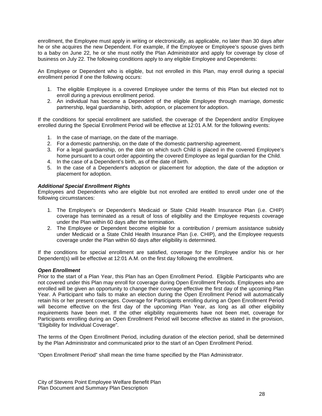enrollment, the Employee must apply in writing or electronically, as applicable, no later than 30 days after he or she acquires the new Dependent. For example, if the Employee or Employee's spouse gives birth to a baby on June 22, he or she must notify the Plan Administrator and apply for coverage by close of business on July 22. The following conditions apply to any eligible Employee and Dependents:

An Employee or Dependent who is eligible, but not enrolled in this Plan, may enroll during a special enrollment period if one the following occurs:

- 1. The eligible Employee is a covered Employee under the terms of this Plan but elected not to enroll during a previous enrollment period.
- 2. An individual has become a Dependent of the eligible Employee through marriage, domestic partnership, legal guardianship, birth, adoption, or placement for adoption.

If the conditions for special enrollment are satisfied, the coverage of the Dependent and/or Employee enrolled during the Special Enrollment Period will be effective at 12:01 A.M. for the following events:

- 1. In the case of marriage, on the date of the marriage.
- 2. For a domestic partnership, on the date of the domestic partnership agreement.
- 3. For a legal guardianship, on the date on which such Child is placed in the covered Employee's home pursuant to a court order appointing the covered Employee as legal guardian for the Child.
- 4. In the case of a Dependent's birth, as of the date of birth.
- 5. In the case of a Dependent's adoption or placement for adoption, the date of the adoption or placement for adoption.

# *Additional Special Enrollment Rights*

Employees and Dependents who are eligible but not enrolled are entitled to enroll under one of the following circumstances:

- 1. The Employee's or Dependent's Medicaid or State Child Health Insurance Plan (i.e. CHIP) coverage has terminated as a result of loss of eligibility and the Employee requests coverage under the Plan within 60 days after the termination.
- 2. The Employee or Dependent become eligible for a contribution / premium assistance subsidy under Medicaid or a State Child Health Insurance Plan (i.e. CHIP), and the Employee requests coverage under the Plan within 60 days after eligibility is determined.

If the conditions for special enrollment are satisfied, coverage for the Employee and/or his or her Dependent(s) will be effective at 12:01 A.M. on the first day following the enrollment.

#### *Open Enrollment*

Prior to the start of a Plan Year, this Plan has an Open Enrollment Period. Eligible Participants who are not covered under this Plan may enroll for coverage during Open Enrollment Periods. Employees who are enrolled will be given an opportunity to change their coverage effective the first day of the upcoming Plan Year. A Participant who fails to make an election during the Open Enrollment Period will automatically retain his or her present coverages. Coverage for Participants enrolling during an Open Enrollment Period will become effective on the first day of the upcoming Plan Year, as long as all other eligibility requirements have been met. If the other eligibility requirements have not been met, coverage for Participants enrolling during an Open Enrollment Period will become effective as stated in the provision, "Eligibility for Individual Coverage".

The terms of the Open Enrollment Period, including duration of the election period, shall be determined by the Plan Administrator and communicated prior to the start of an Open Enrollment Period.

"Open Enrollment Period" shall mean the time frame specified by the Plan Administrator.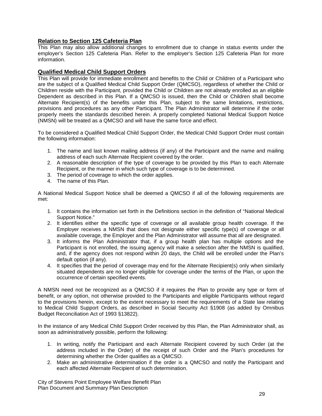# **Relation to Section 125 Cafeteria Plan**

This Plan may also allow additional changes to enrollment due to change in status events under the employer's Section 125 Cafeteria Plan. Refer to the employer's Section 125 Cafeteria Plan for more information.

# **Qualified Medical Child Support Orders**

This Plan will provide for immediate enrollment and benefits to the Child or Children of a Participant who are the subject of a Qualified Medical Child Support Order (QMCSO), regardless of whether the Child or Children reside with the Participant, provided the Child or Children are not already enrolled as an eligible Dependent as described in this Plan. If a QMCSO is issued, then the Child or Children shall become Alternate Recipient(s) of the benefits under this Plan, subject to the same limitations, restrictions, provisions and procedures as any other Participant. The Plan Administrator will determine if the order properly meets the standards described herein. A properly completed National Medical Support Notice (NMSN) will be treated as a QMCSO and will have the same force and effect.

To be considered a Qualified Medical Child Support Order, the Medical Child Support Order must contain the following information:

- 1. The name and last known mailing address (if any) of the Participant and the name and mailing address of each such Alternate Recipient covered by the order.
- 2. A reasonable description of the type of coverage to be provided by this Plan to each Alternate Recipient, or the manner in which such type of coverage is to be determined.
- 3. The period of coverage to which the order applies.
- 4. The name of this Plan.

A National Medical Support Notice shall be deemed a QMCSO if all of the following requirements are met:

- 1. It contains the information set forth in the Definitions section in the definition of "National Medical Support Notice."
- 2. It identifies either the specific type of coverage or all available group health coverage. If the Employer receives a NMSN that does not designate either specific type(s) of coverage or all available coverage, the Employer and the Plan Administrator will assume that all are designated.
- 3. It informs the Plan Administrator that, if a group health plan has multiple options and the Participant is not enrolled, the issuing agency will make a selection after the NMSN is qualified, and, if the agency does not respond within 20 days, the Child will be enrolled under the Plan's default option (if any).
- 4. It specifies that the period of coverage may end for the Alternate Recipient(s) only when similarly situated dependents are no longer eligible for coverage under the terms of the Plan, or upon the occurrence of certain specified events.

A NMSN need not be recognized as a QMCSO if it requires the Plan to provide any type or form of benefit, or any option, not otherwise provided to the Participants and eligible Participants without regard to the provisions herein, except to the extent necessary to meet the requirements of a State law relating to Medical Child Support Orders, as described in Social Security Act §1908 (as added by Omnibus Budget Reconciliation Act of 1993 §13822).

In the instance of any Medical Child Support Order received by this Plan, the Plan Administrator shall, as soon as administratively possible, perform the following:

- 1. In writing, notify the Participant and each Alternate Recipient covered by such Order (at the address included in the Order) of the receipt of such Order and the Plan's procedures for determining whether the Order qualifies as a QMCSO.
- 2. Make an administrative determination if the order is a QMCSO and notify the Participant and each affected Alternate Recipient of such determination.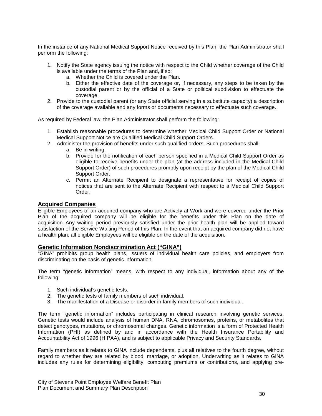In the instance of any National Medical Support Notice received by this Plan, the Plan Administrator shall perform the following:

- 1. Notify the State agency issuing the notice with respect to the Child whether coverage of the Child is available under the terms of the Plan and, if so:
	- a. Whether the Child is covered under the Plan.
	- b. Either the effective date of the coverage or, if necessary, any steps to be taken by the custodial parent or by the official of a State or political subdivision to effectuate the coverage.
- 2. Provide to the custodial parent (or any State official serving in a substitute capacity) a description of the coverage available and any forms or documents necessary to effectuate such coverage.

As required by Federal law, the Plan Administrator shall perform the following:

- 1. Establish reasonable procedures to determine whether Medical Child Support Order or National Medical Support Notice are Qualified Medical Child Support Orders.
- 2. Administer the provision of benefits under such qualified orders. Such procedures shall:
	- a. Be in writing.
	- b. Provide for the notification of each person specified in a Medical Child Support Order as eligible to receive benefits under the plan (at the address included in the Medical Child Support Order) of such procedures promptly upon receipt by the plan of the Medical Child Support Order.
	- c. Permit an Alternate Recipient to designate a representative for receipt of copies of notices that are sent to the Alternate Recipient with respect to a Medical Child Support Order.

# **Acquired Companies**

Eligible Employees of an acquired company who are Actively at Work and were covered under the Prior Plan of the acquired company will be eligible for the benefits under this Plan on the date of acquisition. Any waiting period previously satisfied under the prior health plan will be applied toward satisfaction of the Service Waiting Period of this Plan. In the event that an acquired company did not have a health plan, all eligible Employees will be eligible on the date of the acquisition.

# **Genetic Information Nondiscrimination Act ("GINA")**

"GINA" prohibits group health plans, issuers of individual health care policies, and employers from discriminating on the basis of genetic information.

The term "genetic information" means, with respect to any individual, information about any of the following:

- 1. Such individual's genetic tests.
- 2. The genetic tests of family members of such individual.
- 3. The manifestation of a Disease or disorder in family members of such individual.

The term "genetic information" includes participating in clinical research involving genetic services. Genetic tests would include analysis of human DNA, RNA, chromosomes, proteins, or metabolites that detect genotypes, mutations, or chromosomal changes. Genetic information is a form of Protected Health Information (PHI) as defined by and in accordance with the Health Insurance Portability and Accountability Act of 1996 (HIPAA), and is subject to applicable Privacy and Security Standards.

Family members as it relates to GINA include dependents, plus all relatives to the fourth degree, without regard to whether they are related by blood, marriage, or adoption. Underwriting as it relates to GINA includes any rules for determining eligibility, computing premiums or contributions, and applying pre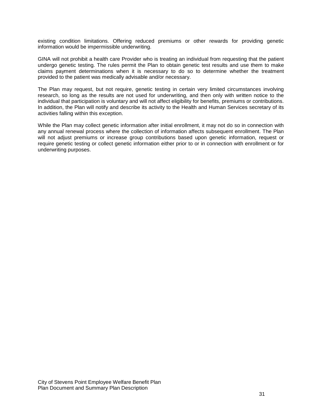existing condition limitations. Offering reduced premiums or other rewards for providing genetic information would be impermissible underwriting.

GINA will not prohibit a health care Provider who is treating an individual from requesting that the patient undergo genetic testing. The rules permit the Plan to obtain genetic test results and use them to make claims payment determinations when it is necessary to do so to determine whether the treatment provided to the patient was medically advisable and/or necessary.

The Plan may request, but not require, genetic testing in certain very limited circumstances involving research, so long as the results are not used for underwriting, and then only with written notice to the individual that participation is voluntary and will not affect eligibility for benefits, premiums or contributions. In addition, the Plan will notify and describe its activity to the Health and Human Services secretary of its activities falling within this exception.

While the Plan may collect genetic information after initial enrollment, it may not do so in connection with any annual renewal process where the collection of information affects subsequent enrollment. The Plan will not adjust premiums or increase group contributions based upon genetic information, request or require genetic testing or collect genetic information either prior to or in connection with enrollment or for underwriting purposes.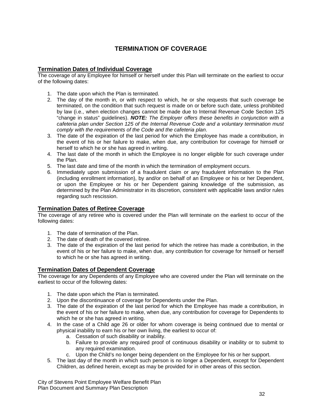# **TERMINATION OF COVERAGE**

# <span id="page-33-0"></span>**Termination Dates of Individual Coverage**

The coverage of any Employee for himself or herself under this Plan will terminate on the earliest to occur of the following dates:

- 1. The date upon which the Plan is terminated.
- 2. The day of the month in, or with respect to which, he or she requests that such coverage be terminated, on the condition that such request is made on or before such date, unless prohibited by law (i.e., when election changes cannot be made due to Internal Revenue Code Section 125 "change in status" guidelines). *NOTE: The Employer offers these benefits in conjunction with a cafeteria plan under Section 125 of the Internal Revenue Code and a voluntary termination must comply with the requirements of the Code and the cafeteria plan*.
- 3. The date of the expiration of the last period for which the Employee has made a contribution, in the event of his or her failure to make, when due, any contribution for coverage for himself or herself to which he or she has agreed in writing.
- 4. The last date of the month in which the Employee is no longer eligible for such coverage under the Plan.
- 5. The last date and time of the month in which the termination of employment occurs.
- 6. Immediately upon submission of a fraudulent claim or any fraudulent information to the Plan (including enrollment information), by and/or on behalf of an Employee or his or her Dependent, or upon the Employee or his or her Dependent gaining knowledge of the submission, as determined by the Plan Administrator in its discretion, consistent with applicable laws and/or rules regarding such rescission.

# **Termination Dates of Retiree Coverage**

The coverage of any retiree who is covered under the Plan will terminate on the earliest to occur of the following dates:

- 1. The date of termination of the Plan.
- 2. The date of death of the covered retiree.
- 3. The date of the expiration of the last period for which the retiree has made a contribution, in the event of his or her failure to make, when due, any contribution for coverage for himself or herself to which he or she has agreed in writing.

# **Termination Dates of Dependent Coverage**

The coverage for any Dependents of any Employee who are covered under the Plan will terminate on the earliest to occur of the following dates:

- 1. The date upon which the Plan is terminated.
- 2. Upon the discontinuance of coverage for Dependents under the Plan.
- 3. The date of the expiration of the last period for which the Employee has made a contribution, in the event of his or her failure to make, when due, any contribution for coverage for Dependents to which he or she has agreed in writing.
- 4. In the case of a Child age 26 or older for whom coverage is being continued due to mental or physical inability to earn his or her own living, the earliest to occur of:
	- a. Cessation of such disability or inability.
	- b. Failure to provide any required proof of continuous disability or inability or to submit to any required examination.
	- c. Upon the Child's no longer being dependent on the Employee for his or her support.
- 5. The last day of the month in which such person is no longer a Dependent, except for Dependent Children, as defined herein, except as may be provided for in other areas of this section.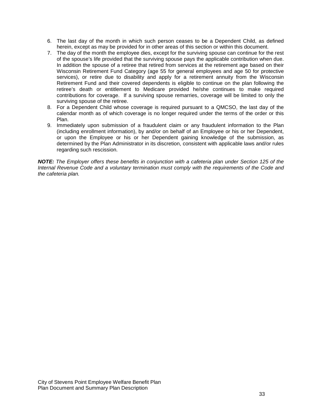- 6. The last day of the month in which such person ceases to be a Dependent Child, as defined herein, except as may be provided for in other areas of this section or within this document.
- 7. The day of the month the employee dies, except for the surviving spouse can continue for the rest of the spouse's life provided that the surviving spouse pays the applicable contribution when due. In addition the spouse of a retiree that retired from services at the retirement age based on their Wisconsin Retirement Fund Category (age 55 for general employees and age 50 for protective services), or retire due to disability and apply for a retirement annuity from the Wisconsin Retirement Fund and their covered dependents is eligible to continue on the plan following the retiree's death or entitlement to Medicare provided he/she continues to make required contributions for coverage. If a surviving spouse remarries, coverage will be limited to only the surviving spouse of the retiree.
- 8. For a Dependent Child whose coverage is required pursuant to a QMCSO, the last day of the calendar month as of which coverage is no longer required under the terms of the order or this Plan.
- 9. Immediately upon submission of a fraudulent claim or any fraudulent information to the Plan (including enrollment information), by and/or on behalf of an Employee or his or her Dependent, or upon the Employee or his or her Dependent gaining knowledge of the submission, as determined by the Plan Administrator in its discretion, consistent with applicable laws and/or rules regarding such rescission.

*NOTE: The Employer offers these benefits in conjunction with a cafeteria plan under Section 125 of the Internal Revenue Code and a voluntary termination must comply with the requirements of the Code and the cafeteria plan.*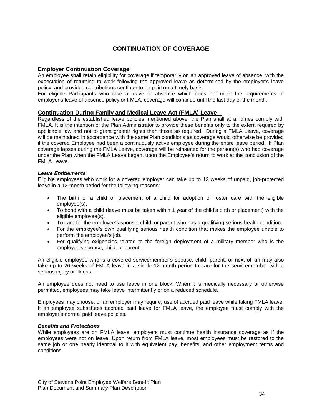# **CONTINUATION OF COVERAGE**

# <span id="page-35-0"></span>**Employer Continuation Coverage**

An employee shall retain eligibility for coverage if temporarily on an approved leave of absence, with the expectation of returning to work following the approved leave as determined by the employer's leave policy, and provided contributions continue to be paid on a timely basis.

For eligible Participants who take a leave of absence which does not meet the requirements of employer's leave of absence policy or FMLA, coverage will continue until the last day of the month.

# **Continuation During Family and Medical Leave Act (FMLA) Leave**

Regardless of the established leave policies mentioned above, the Plan shall at all times comply with FMLA. It is the intention of the Plan Administrator to provide these benefits only to the extent required by applicable law and not to grant greater rights than those so required. During a FMLA Leave, coverage will be maintained in accordance with the same Plan conditions as coverage would otherwise be provided if the covered Employee had been a continuously active employee during the entire leave period. If Plan coverage lapses during the FMLA Leave, coverage will be reinstated for the person(s) who had coverage under the Plan when the FMLA Leave began, upon the Employee's return to work at the conclusion of the FMLA Leave.

#### *Leave Entitlements*

Eligible employees who work for a covered employer can take up to 12 weeks of unpaid, job-protected leave in a 12-month period for the following reasons:

- The birth of a child or placement of a child for adoption or foster care with the eligible employee(s).
- To bond with a child (leave must be taken within 1 year of the child's birth or placement) with the eligible employee(s).
- To care for the employee's spouse, child, or parent who has a qualifying serious health condition.
- For the employee's own qualifying serious health condition that makes the employee unable to perform the employee's job.
- For qualifying exigencies related to the foreign deployment of a military member who is the employee's spouse, child, or parent.

An eligible employee who is a covered servicemember's spouse, child, parent, or next of kin may also take up to 26 weeks of FMLA leave in a single 12-month period to care for the servicemember with a serious injury or illness.

An employee does not need to use leave in one block. When it is medically necessary or otherwise permitted, employees may take leave intermittently or on a reduced schedule.

Employees may choose, or an employer may require, use of accrued paid leave while taking FMLA leave. If an employee substitutes accrued paid leave for FMLA leave, the employee must comply with the employer's normal paid leave policies.

# *Benefits and Protections*

While employees are on FMLA leave, employers must continue health insurance coverage as if the employees were not on leave. Upon return from FMLA leave, most employees must be restored to the same job or one nearly identical to it with equivalent pay, benefits, and other employment terms and conditions.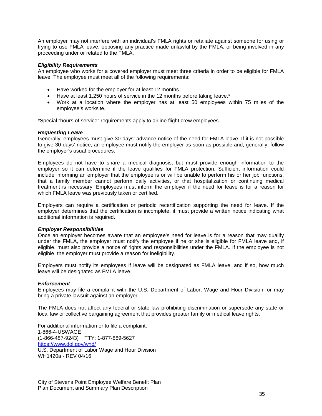An employer may not interfere with an individual's FMLA rights or retaliate against someone for using or trying to use FMLA leave, opposing any practice made unlawful by the FMLA, or being involved in any proceeding under or related to the FMLA.

#### *Eligibility Requirements*

An employee who works for a covered employer must meet three criteria in order to be eligible for FMLA leave. The employee must meet all of the following requirements:

- Have worked for the employer for at least 12 months.
- Have at least 1,250 hours of service in the 12 months before taking leave.\*
- Work at a location where the employer has at least 50 employees within 75 miles of the employee's worksite.

\*Special "hours of service" requirements apply to airline flight crew employees.

#### *Requesting Leave*

Generally, employees must give 30-days' advance notice of the need for FMLA leave. If it is not possible to give 30-days' notice, an employee must notify the employer as soon as possible and, generally, follow the employer's usual procedures.

Employees do not have to share a medical diagnosis, but must provide enough information to the employer so it can determine if the leave qualifies for FMLA protection. Sufficient information could include informing an employer that the employee is or will be unable to perform his or her job functions, that a family member cannot perform daily activities, or that hospitalization or continuing medical treatment is necessary. Employees must inform the employer if the need for leave is for a reason for which FMLA leave was previously taken or certified.

Employers can require a certification or periodic recertification supporting the need for leave. If the employer determines that the certification is incomplete, it must provide a written notice indicating what additional information is required.

#### *Employer Responsibilities*

Once an employer becomes aware that an employee's need for leave is for a reason that may qualify under the FMLA, the employer must notify the employee if he or she is eligible for FMLA leave and, if eligible, must also provide a notice of rights and responsibilities under the FMLA. If the employee is not eligible, the employer must provide a reason for ineligibility.

Employers must notify its employees if leave will be designated as FMLA leave, and if so, how much leave will be designated as FMLA leave.

#### *Enforcement*

Employees may file a complaint with the U.S. Department of Labor, Wage and Hour Division, or may bring a private lawsuit against an employer.

The FMLA does not affect any federal or state law prohibiting discrimination or supersede any state or local law or collective bargaining agreement that provides greater family or medical leave rights.

For additional information or to file a complaint: 1-866-4-USWAGE (1-866-487-9243) TTY: 1-877-889-5627 <https://www.dol.gov/whd/> U.S. Department of Labor Wage and Hour Division WH1420a - REV 04/16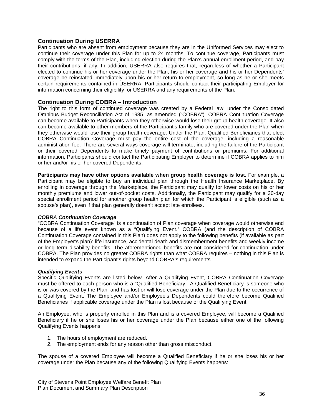# **Continuation During USERRA**

Participants who are absent from employment because they are in the Uniformed Services may elect to continue their coverage under this Plan for up to 24 months. To continue coverage, Participants must comply with the terms of the Plan, including election during the Plan's annual enrollment period, and pay their contributions, if any. In addition, USERRA also requires that, regardless of whether a Participant elected to continue his or her coverage under the Plan, his or her coverage and his or her Dependents' coverage be reinstated immediately upon his or her return to employment, so long as he or she meets certain requirements contained in USERRA. Participants should contact their participating Employer for information concerning their eligibility for USERRA and any requirements of the Plan.

## **Continuation During COBRA – Introduction**

The right to this form of continued coverage was created by a Federal law, under the Consolidated Omnibus Budget Reconciliation Act of 1985, as amended ("COBRA"). COBRA Continuation Coverage can become available to Participants when they otherwise would lose their group health coverage. It also can become available to other members of the Participant's family who are covered under the Plan when they otherwise would lose their group health coverage. Under the Plan, Qualified Beneficiaries that elect COBRA Continuation Coverage must pay the entire cost of the coverage, including a reasonable administration fee. There are several ways coverage will terminate, including the failure of the Participant or their covered Dependents to make timely payment of contributions or premiums. For additional information, Participants should contact the Participating Employer to determine if COBRA applies to him or her and/or his or her covered Dependents.

**Participants may have other options available when group health coverage is lost.** For example, a Participant may be eligible to buy an individual plan through the Health Insurance Marketplace. By enrolling in coverage through the Marketplace, the Participant may qualify for lower costs on his or her monthly premiums and lower out-of-pocket costs. Additionally, the Participant may qualify for a 30-day special enrollment period for another group health plan for which the Participant is eligible (such as a spouse's plan), even if that plan generally doesn't accept late enrollees.

#### *COBRA Continuation Coverage*

"COBRA Continuation Coverage" is a continuation of Plan coverage when coverage would otherwise end because of a life event known as a "Qualifying Event." COBRA (and the description of COBRA Continuation Coverage contained in this Plan) does not apply to the following benefits (if available as part of the Employer's plan): life insurance, accidental death and dismemberment benefits and weekly income or long term disability benefits. The aforementioned benefits are not considered for continuation under COBRA. The Plan provides no greater COBRA rights than what COBRA requires – nothing in this Plan is intended to expand the Participant's rights beyond COBRA's requirements.

#### *Qualifying Events*

Specific Qualifying Events are listed below. After a Qualifying Event, COBRA Continuation Coverage must be offered to each person who is a "Qualified Beneficiary." A Qualified Beneficiary is someone who is or was covered by the Plan, and has lost or will lose coverage under the Plan due to the occurrence of a Qualifying Event. The Employee and/or Employee's Dependents could therefore become Qualified Beneficiaries if applicable coverage under the Plan is lost because of the Qualifying Event.

An Employee, who is properly enrolled in this Plan and is a covered Employee, will become a Qualified Beneficiary if he or she loses his or her coverage under the Plan because either one of the following Qualifying Events happens:

- 1. The hours of employment are reduced.
- 2. The employment ends for any reason other than gross misconduct.

The spouse of a covered Employee will become a Qualified Beneficiary if he or she loses his or her coverage under the Plan because any of the following Qualifying Events happens: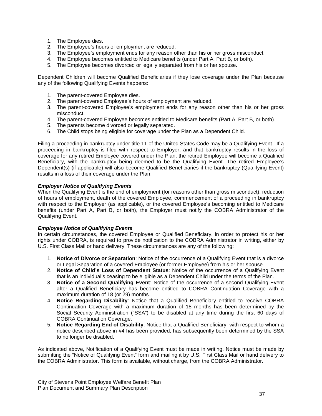- 1. The Employee dies.
- 2. The Employee's hours of employment are reduced.
- 3. The Employee's employment ends for any reason other than his or her gross misconduct.
- 4. The Employee becomes entitled to Medicare benefits (under Part A, Part B, or both).
- 5. The Employee becomes divorced or legally separated from his or her spouse.

Dependent Children will become Qualified Beneficiaries if they lose coverage under the Plan because any of the following Qualifying Events happens:

- 1. The parent-covered Employee dies.
- 2. The parent-covered Employee's hours of employment are reduced.
- 3. The parent-covered Employee's employment ends for any reason other than his or her gross misconduct.
- 4. The parent-covered Employee becomes entitled to Medicare benefits (Part A, Part B, or both).
- 5. The parents become divorced or legally separated.
- 6. The Child stops being eligible for coverage under the Plan as a Dependent Child.

Filing a proceeding in bankruptcy under title 11 of the United States Code may be a Qualifying Event. If a proceeding in bankruptcy is filed with respect to Employer, and that bankruptcy results in the loss of coverage for any retired Employee covered under the Plan, the retired Employee will become a Qualified Beneficiary, with the bankruptcy being deemed to be the Qualifying Event. The retired Employee's Dependent(s) (if applicable) will also become Qualified Beneficiaries if the bankruptcy (Qualifying Event) results in a loss of their coverage under the Plan.

### *Employer Notice of Qualifying Events*

When the Qualifying Event is the end of employment (for reasons other than gross misconduct), reduction of hours of employment, death of the covered Employee, commencement of a proceeding in bankruptcy with respect to the Employer (as applicable), or the covered Employee's becoming entitled to Medicare benefits (under Part A, Part B, or both), the Employer must notify the COBRA Administrator of the Qualifying Event.

#### *Employee Notice of Qualifying Events*

In certain circumstances, the covered Employee or Qualified Beneficiary, in order to protect his or her rights under COBRA, is required to provide notification to the COBRA Administrator in writing, either by U.S. First Class Mail or hand delivery. These circumstances are any of the following:

- 1. **Notice of Divorce or Separation**: Notice of the occurrence of a Qualifying Event that is a divorce or Legal Separation of a covered Employee (or former Employee) from his or her spouse.
- 2. **Notice of Child's Loss of Dependent Status**: Notice of the occurrence of a Qualifying Event that is an individual's ceasing to be eligible as a Dependent Child under the terms of the Plan.
- 3. **Notice of a Second Qualifying Event**: Notice of the occurrence of a second Qualifying Event after a Qualified Beneficiary has become entitled to COBRA Continuation Coverage with a maximum duration of 18 (or 29) months.
- 4. **Notice Regarding Disability**: Notice that a Qualified Beneficiary entitled to receive COBRA Continuation Coverage with a maximum duration of 18 months has been determined by the Social Security Administration ("SSA") to be disabled at any time during the first 60 days of COBRA Continuation Coverage.
- 5. **Notice Regarding End of Disability**: Notice that a Qualified Beneficiary, with respect to whom a notice described above in #4 has been provided, has subsequently been determined by the SSA to no longer be disabled.

As indicated above, Notification of a Qualifying Event must be made in writing. Notice must be made by submitting the "Notice of Qualifying Event" form and mailing it by U.S. First Class Mail or hand delivery to the COBRA Administrator. This form is available, without charge, from the COBRA Administrator.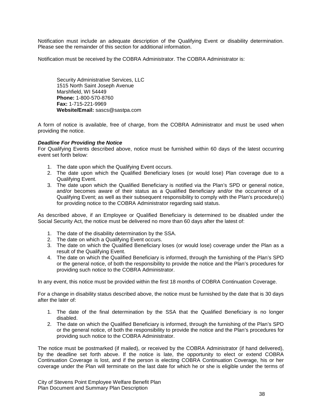Notification must include an adequate description of the Qualifying Event or disability determination. Please see the remainder of this section for additional information.

Notification must be received by the COBRA Administrator. The COBRA Administrator is:

Security Administrative Services, LLC 1515 North Saint Joseph Avenue Marshfield, WI 54449 **Phone:** 1-800-570-8760 **Fax:** 1-715-221-9969 **Website/Email:** sascs@sastpa.com

A form of notice is available, free of charge, from the COBRA Administrator and must be used when providing the notice.

### *Deadline For Providing the Notice*

For Qualifying Events described above, notice must be furnished within 60 days of the latest occurring event set forth below:

- 1. The date upon which the Qualifying Event occurs.
- 2. The date upon which the Qualified Beneficiary loses (or would lose) Plan coverage due to a Qualifying Event.
- 3. The date upon which the Qualified Beneficiary is notified via the Plan's SPD or general notice, and/or becomes aware of their status as a Qualified Beneficiary and/or the occurrence of a Qualifying Event; as well as their subsequent responsibility to comply with the Plan's procedure(s) for providing notice to the COBRA Administrator regarding said status.

As described above, if an Employee or Qualified Beneficiary is determined to be disabled under the Social Security Act, the notice must be delivered no more than 60 days after the latest of:

- 1. The date of the disability determination by the SSA.
- 2. The date on which a Qualifying Event occurs.
- 3. The date on which the Qualified Beneficiary loses (or would lose) coverage under the Plan as a result of the Qualifying Event.
- 4. The date on which the Qualified Beneficiary is informed, through the furnishing of the Plan's SPD or the general notice, of both the responsibility to provide the notice and the Plan's procedures for providing such notice to the COBRA Administrator.

In any event, this notice must be provided within the first 18 months of COBRA Continuation Coverage.

For a change in disability status described above, the notice must be furnished by the date that is 30 days after the later of:

- 1. The date of the final determination by the SSA that the Qualified Beneficiary is no longer disabled.
- 2. The date on which the Qualified Beneficiary is informed, through the furnishing of the Plan's SPD or the general notice, of both the responsibility to provide the notice and the Plan's procedures for providing such notice to the COBRA Administrator.

The notice must be postmarked (if mailed), or received by the COBRA Administrator (if hand delivered), by the deadline set forth above. If the notice is late, the opportunity to elect or extend COBRA Continuation Coverage is lost, and if the person is electing COBRA Continuation Coverage, his or her coverage under the Plan will terminate on the last date for which he or she is eligible under the terms of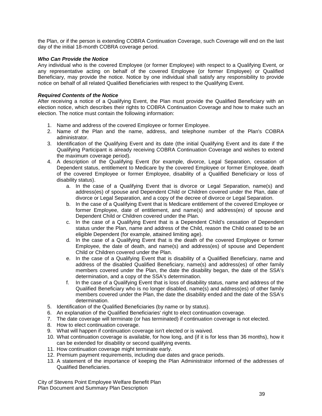the Plan, or if the person is extending COBRA Continuation Coverage, such Coverage will end on the last day of the initial 18-month COBRA coverage period.

### *Who Can Provide the Notice*

Any individual who is the covered Employee (or former Employee) with respect to a Qualifying Event, or any representative acting on behalf of the covered Employee (or former Employee) or Qualified Beneficiary, may provide the notice. Notice by one individual shall satisfy any responsibility to provide notice on behalf of all related Qualified Beneficiaries with respect to the Qualifying Event.

### *Required Contents of the Notice*

After receiving a notice of a Qualifying Event, the Plan must provide the Qualified Beneficiary with an election notice, which describes their rights to COBRA Continuation Coverage and how to make such an election. The notice must contain the following information:

- 1. Name and address of the covered Employee or former Employee.
- 2. Name of the Plan and the name, address, and telephone number of the Plan's COBRA administrator.
- 3. Identification of the Qualifying Event and its date (the initial Qualifying Event and its date if the Qualifying Participant is already receiving COBRA Continuation Coverage and wishes to extend the maximum coverage period).
- 4. A description of the Qualifying Event (for example, divorce, Legal Separation, cessation of Dependent status, entitlement to Medicare by the covered Employee or former Employee, death of the covered Employee or former Employee, disability of a Qualified Beneficiary or loss of disability status).
	- a. In the case of a Qualifying Event that is divorce or Legal Separation, name(s) and address(es) of spouse and Dependent Child or Children covered under the Plan, date of divorce or Legal Separation, and a copy of the decree of divorce or Legal Separation.
	- b. In the case of a Qualifying Event that is Medicare entitlement of the covered Employee or former Employee, date of entitlement, and name(s) and address(es) of spouse and Dependent Child or Children covered under the Plan.
	- c. In the case of a Qualifying Event that is a Dependent Child's cessation of Dependent status under the Plan, name and address of the Child, reason the Child ceased to be an eligible Dependent (for example, attained limiting age).
	- d. In the case of a Qualifying Event that is the death of the covered Employee or former Employee, the date of death, and name(s) and address(es) of spouse and Dependent Child or Children covered under the Plan.
	- e. In the case of a Qualifying Event that is disability of a Qualified Beneficiary, name and address of the disabled Qualified Beneficiary, name(s) and address(es) of other family members covered under the Plan, the date the disability began, the date of the SSA's determination, and a copy of the SSA's determination.
	- f. In the case of a Qualifying Event that is loss of disability status, name and address of the Qualified Beneficiary who is no longer disabled, name(s) and address(es) of other family members covered under the Plan, the date the disability ended and the date of the SSA's determination.
- 5. Identification of the Qualified Beneficiaries (by name or by status).
- 6. An explanation of the Qualified Beneficiaries' right to elect continuation coverage.
- 7. The date coverage will terminate (or has terminated) if continuation coverage is not elected.
- 8. How to elect continuation coverage.
- 9. What will happen if continuation coverage isn't elected or is waived.
- 10. What continuation coverage is available, for how long, and (if it is for less than 36 months), how it can be extended for disability or second qualifying events.
- 11. How continuation coverage might terminate early.
- 12. Premium payment requirements, including due dates and grace periods.
- 13. A statement of the importance of keeping the Plan Administrator informed of the addresses of Qualified Beneficiaries.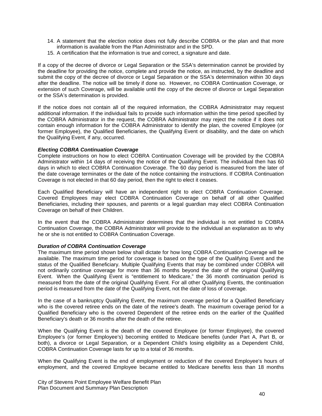- 14. A statement that the election notice does not fully describe COBRA or the plan and that more information is available from the Plan Administrator and in the SPD.
- 15. A certification that the information is true and correct, a signature and date.

If a copy of the decree of divorce or Legal Separation or the SSA's determination cannot be provided by the deadline for providing the notice, complete and provide the notice, as instructed, by the deadline and submit the copy of the decree of divorce or Legal Separation or the SSA's determination within 30 days after the deadline. The notice will be timely if done so. However, no COBRA Continuation Coverage, or extension of such Coverage, will be available until the copy of the decree of divorce or Legal Separation or the SSA's determination is provided.

If the notice does not contain all of the required information, the COBRA Administrator may request additional information. If the individual fails to provide such information within the time period specified by the COBRA Administrator in the request, the COBRA Administrator may reject the notice if it does not contain enough information for the COBRA Administrator to identify the plan, the covered Employee (or former Employee), the Qualified Beneficiaries, the Qualifying Event or disability, and the date on which the Qualifying Event, if any, occurred.

### *Electing COBRA Continuation Coverage*

Complete instructions on how to elect COBRA Continuation Coverage will be provided by the COBRA Administrator within 14 days of receiving the notice of the Qualifying Event. The individual then has 60 days in which to elect COBRA Continuation Coverage. The 60 day period is measured from the later of the date coverage terminates or the date of the notice containing the instructions. If COBRA Continuation Coverage is not elected in that 60 day period, then the right to elect it ceases.

Each Qualified Beneficiary will have an independent right to elect COBRA Continuation Coverage. Covered Employees may elect COBRA Continuation Coverage on behalf of all other Qualified Beneficiaries, including their spouses, and parents or a legal guardian may elect COBRA Continuation Coverage on behalf of their Children.

In the event that the COBRA Administrator determines that the individual is not entitled to COBRA Continuation Coverage, the COBRA Administrator will provide to the individual an explanation as to why he or she is not entitled to COBRA Continuation Coverage.

### *Duration of COBRA Continuation Coverage*

The maximum time period shown below shall dictate for how long COBRA Continuation Coverage will be available. The maximum time period for coverage is based on the type of the Qualifying Event and the status of the Qualified Beneficiary. Multiple Qualifying Events that may be combined under COBRA will not ordinarily continue coverage for more than 36 months beyond the date of the original Qualifying Event. When the Qualifying Event is "entitlement to Medicare," the 36 month continuation period is measured from the date of the original Qualifying Event. For all other Qualifying Events, the continuation period is measured from the date of the Qualifying Event, not the date of loss of coverage.

In the case of a bankruptcy Qualifying Event, the maximum coverage period for a Qualified Beneficiary who is the covered retiree ends on the date of the retiree's death. The maximum coverage period for a Qualified Beneficiary who is the covered Dependent of the retiree ends on the earlier of the Qualified Beneficiary's death or 36 months after the death of the retiree.

When the Qualifying Event is the death of the covered Employee (or former Employee), the covered Employee's (or former Employee's) becoming entitled to Medicare benefits (under Part A, Part B, or both), a divorce or Legal Separation, or a Dependent Child's losing eligibility as a Dependent Child, COBRA Continuation Coverage lasts for up to a total of 36 months.

When the Qualifying Event is the end of employment or reduction of the covered Employee's hours of employment, and the covered Employee became entitled to Medicare benefits less than 18 months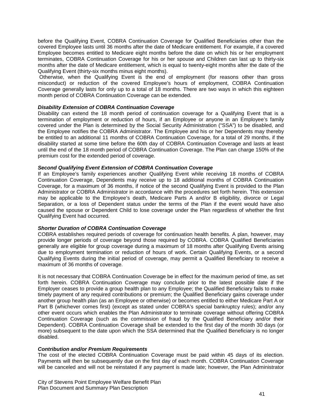before the Qualifying Event, COBRA Continuation Coverage for Qualified Beneficiaries other than the covered Employee lasts until 36 months after the date of Medicare entitlement. For example, if a covered Employee becomes entitled to Medicare eight months before the date on which his or her employment terminates, COBRA Continuation Coverage for his or her spouse and Children can last up to thirty-six months after the date of Medicare entitlement, which is equal to twenty-eight months after the date of the Qualifying Event (thirty-six months minus eight months).

Otherwise, when the Qualifying Event is the end of employment (for reasons other than gross misconduct) or reduction of the covered Employee's hours of employment, COBRA Continuation Coverage generally lasts for only up to a total of 18 months. There are two ways in which this eighteen month period of COBRA Continuation Coverage can be extended.

### *Disability Extension of COBRA Continuation Coverage*

Disability can extend the 18 month period of continuation coverage for a Qualifying Event that is a termination of employment or reduction of hours, if an Employee or anyone in an Employee's family covered under the Plan is determined by the Social Security Administration ("SSA") to be disabled, and the Employee notifies the COBRA Administrator. The Employee and his or her Dependents may thereby be entitled to an additional 11 months of COBRA Continuation Coverage, for a total of 29 months, if the disability started at some time before the 60th day of COBRA Continuation Coverage and lasts at least until the end of the 18 month period of COBRA Continuation Coverage. The Plan can charge 150% of the premium cost for the extended period of coverage.

#### *Second Qualifying Event Extension of COBRA Continuation Coverage*

If an Employee's family experiences another Qualifying Event while receiving 18 months of COBRA Continuation Coverage, Dependents may receive up to 18 additional months of COBRA Continuation Coverage, for a maximum of 36 months, if notice of the second Qualifying Event is provided to the Plan Administrator or COBRA Administrator in accordance with the procedures set forth herein. This extension may be applicable to the Employee's death, Medicare Parts A and/or B eligibility, divorce or Legal Separation, or a loss of Dependent status under the terms of the Plan if the event would have also caused the spouse or Dependent Child to lose coverage under the Plan regardless of whether the first Qualifying Event had occurred.

#### *Shorter Duration of COBRA Continuation Coverage*

COBRA establishes required periods of coverage for continuation health benefits. A plan, however, may provide longer periods of coverage beyond those required by COBRA. COBRA Qualified Beneficiaries generally are eligible for group coverage during a maximum of 18 months after Qualifying Events arising due to employment termination or reduction of hours of work. Certain Qualifying Events, or a second Qualifying Events during the initial period of coverage, may permit a Qualified Beneficiary to receive a maximum of 36 months of coverage.

It is not necessary that COBRA Continuation Coverage be in effect for the maximum period of time, as set forth herein. COBRA Continuation Coverage may conclude prior to the latest possible date if the Employer ceases to provide a group health plan to any Employee; the Qualified Beneficiary fails to make timely payment of any required contributions or premium; the Qualified Beneficiary gains coverage under another group health plan (as an Employee or otherwise) or becomes entitled to either Medicare Part A or Part B (whichever comes first) (except as stated under COBRA's special bankruptcy rules); and/or any other event occurs which enables the Plan Administrator to terminate coverage without offering COBRA Continuation Coverage (such as the commission of fraud by the Qualified Beneficiary and/or their Dependent). COBRA Continuation Coverage shall be extended to the first day of the month 30 days (or more) subsequent to the date upon which the SSA determined that the Qualified Beneficiary is no longer disabled.

#### *Contribution and/or Premium Requirements*

The cost of the elected COBRA Continuation Coverage must be paid within 45 days of its election. Payments will then be subsequently due on the first day of each month. COBRA Continuation Coverage will be canceled and will not be reinstated if any payment is made late; however, the Plan Administrator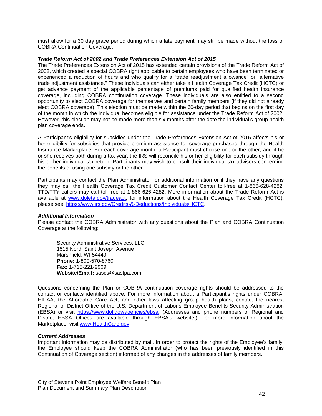must allow for a 30 day grace period during which a late payment may still be made without the loss of COBRA Continuation Coverage.

### *Trade Reform Act of 2002 and Trade Preferences Extension Act of 2015*

The Trade Preferences Extension Act of 2015 has extended certain provisions of the Trade Reform Act of 2002, which created a special COBRA right applicable to certain employees who have been terminated or experienced a reduction of hours and who qualify for a "trade readjustment allowance" or "alternative trade adjustment assistance." These individuals can either take a Health Coverage Tax Credit (HCTC) or get advance payment of the applicable percentage of premiums paid for qualified health insurance coverage, including COBRA continuation coverage. These individuals are also entitled to a second opportunity to elect COBRA coverage for themselves and certain family members (if they did not already elect COBRA coverage). This election must be made within the 60-day period that begins on the first day of the month in which the individual becomes eligible for assistance under the Trade Reform Act of 2002. However, this election may not be made more than six months after the date the individual's group health plan coverage ends.

A Participant's eligibility for subsidies under the Trade Preferences Extension Act of 2015 affects his or her eligibility for subsidies that provide premium assistance for coverage purchased through the Health Insurance Marketplace. For each coverage month, a Participant must choose one or the other, and if he or she receives both during a tax year, the IRS will reconcile his or her eligibility for each subsidy through his or her individual tax return. Participants may wish to consult their individual tax advisors concerning the benefits of using one subsidy or the other.

Participants may contact the Plan Administrator for additional information or if they have any questions they may call the Health Coverage Tax Credit Customer Contact Center toll-free at 1-866-628-4282. TTD/TTY callers may call toll-free at 1-866-626-4282. More information about the Trade Reform Act is available at [www.doleta.gov/tradeact;](http://www.doleta.gov/tradeact) for information about the Health Coverage Tax Credit (HCTC), please see: [https://www.irs.gov/Credits-&-Deductions/Individuals/HCTC.](https://www.irs.gov/Credits-&-Deductions/Individuals/HCTC)

#### *Additional Information*

Please contact the COBRA Administrator with any questions about the Plan and COBRA Continuation Coverage at the following:

Security Administrative Services, LLC 1515 North Saint Joseph Avenue Marshfield, WI 54449 **Phone:** 1-800-570-8760 **Fax:** 1-715-221-9969 **Website/Email:** sascs@sastpa.com

Questions concerning the Plan or COBRA continuation coverage rights should be addressed to the contact or contacts identified above. For more information about a Participant's rights under COBRA, HIPAA, the Affordable Care Act, and other laws affecting group health plans, contact the nearest Regional or District Office of the U.S. Department of Labor's Employee Benefits Security Administration (EBSA) or visit [https://www.dol.gov/agencies/ebsa.](https://www.dol.gov/agencies/ebsa) (Addresses and phone numbers of Regional and District EBSA Offices are available through EBSA's website.) For more information about the Marketplace, visit [www.HealthCare.gov.](http://www.healthcare.gov/)

#### *Current Addresses*

Important information may be distributed by mail. In order to protect the rights of the Employee's family, the Employee should keep the COBRA Administrator (who has been previously identified in this Continuation of Coverage section) informed of any changes in the addresses of family members.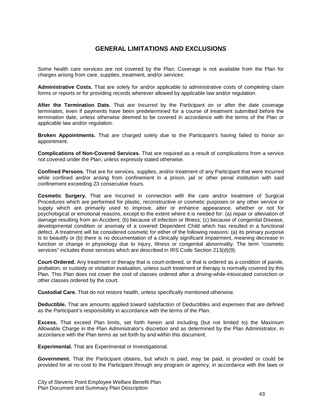# **GENERAL LIMITATIONS AND EXCLUSIONS**

Some health care services are not covered by the Plan. Coverage is not available from the Plan for charges arising from care, supplies, treatment, and/or services:

**Administrative Costs.** That are solely for and/or applicable to administrative costs of completing claim forms or reports or for providing records wherever allowed by applicable law and/or regulation.

**After the Termination Date.** That are Incurred by the Participant on or after the date coverage terminates, even if payments have been predetermined for a course of treatment submitted before the termination date, unless otherwise deemed to be covered in accordance with the terms of the Plan or applicable law and/or regulation.

**Broken Appointments.** That are charged solely due to the Participant's having failed to honor an appointment.

**Complications of Non-Covered Services.** That are required as a result of complications from a service not covered under the Plan, unless expressly stated otherwise.

**Confined Persons.** That are for services, supplies, and/or treatment of any Participant that were Incurred while confined and/or arising from confinement in a prison, jail or other penal institution with said confinement exceeding 23 consecutive hours.

**Cosmetic Surgery.** That are Incurred in connection with the care and/or treatment of Surgical Procedures which are performed for plastic, reconstructive or cosmetic purposes or any other service or supply which are primarily used to improve, alter or enhance appearance, whether or not for psychological or emotional reasons, except to the extent where it is needed for: (a) repair or alleviation of damage resulting from an Accident; (b) because of infection or Illness; (c) because of congenital Disease, developmental condition or anomaly of a covered Dependent Child which has resulted in a functional defect. A treatment will be considered cosmetic for either of the following reasons: (a) its primary purpose is to beautify or (b) there is no documentation of a clinically significant impairment, meaning decrease in function or change in physiology due to Injury, Illness or congenital abnormality. The term "cosmetic services" includes those services which are described in IRS Code Section 213(d)(9).

**Court-Ordered.** Any treatment or therapy that is court-ordered, or that is ordered as a condition of parole, probation, or custody or visitation evaluation, unless such treatment or therapy is normally covered by this Plan. This Plan does not cover the cost of classes ordered after a driving-while-intoxicated conviction or other classes ordered by the court.

**Custodial Care.** That do not restore health, unless specifically mentioned otherwise.

**Deductible.** That are amounts applied toward satisfaction of Deductibles and expenses that are defined as the Participant's responsibility in accordance with the terms of the Plan.

**Excess.** That exceed Plan limits, set forth herein and including (but not limited to) the Maximum Allowable Charge in the Plan Administrator's discretion and as determined by the Plan Administrator, in accordance with the Plan terms as set forth by and within this document.

**Experimental.** That are Experimental or Investigational.

**Government.** That the Participant obtains, but which is paid, may be paid, is provided or could be provided for at no cost to the Participant through any program or agency, in accordance with the laws or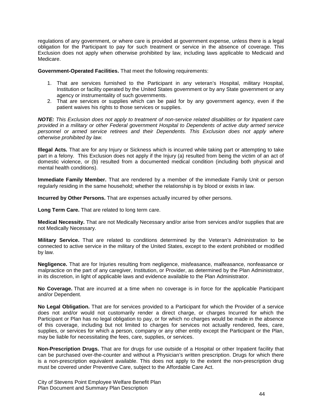regulations of any government, or where care is provided at government expense, unless there is a legal obligation for the Participant to pay for such treatment or service in the absence of coverage. This Exclusion does not apply when otherwise prohibited by law, including laws applicable to Medicaid and Medicare.

**Government-Operated Facilities.** That meet the following requirements:

- 1. That are services furnished to the Participant in any veteran's Hospital, military Hospital, Institution or facility operated by the United States government or by any State government or any agency or instrumentality of such governments.
- 2. That are services or supplies which can be paid for by any government agency, even if the patient waives his rights to those services or supplies.

*NOTE: This Exclusion does not apply to treatment of non-service related disabilities or for Inpatient care provided in a military or other Federal government Hospital to Dependents of active duty armed service personnel or armed service retirees and their Dependents. This Exclusion does not apply where otherwise prohibited by law.*

**Illegal Acts.** That are for any Injury or Sickness which is incurred while taking part or attempting to take part in a felony. This Exclusion does not apply if the Injury (a) resulted from being the victim of an act of domestic violence, or (b) resulted from a documented medical condition (including both physical and mental health conditions).

**Immediate Family Member.** That are rendered by a member of the immediate Family Unit or person regularly residing in the same household; whether the relationship is by blood or exists in law.

**Incurred by Other Persons.** That are expenses actually incurred by other persons.

**Long Term Care.** That are related to long term care.

**Medical Necessity.** That are not Medically Necessary and/or arise from services and/or supplies that are not Medically Necessary.

**Military Service.** That are related to conditions determined by the Veteran's Administration to be connected to active service in the military of the United States, except to the extent prohibited or modified by law.

**Negligence.** That are for Injuries resulting from negligence, misfeasance, malfeasance, nonfeasance or malpractice on the part of any caregiver, Institution, or Provider, as determined by the Plan Administrator, in its discretion, in light of applicable laws and evidence available to the Plan Administrator.

**No Coverage.** That are incurred at a time when no coverage is in force for the applicable Participant and/or Dependent.

**No Legal Obligation.** That are for services provided to a Participant for which the Provider of a service does not and/or would not customarily render a direct charge, or charges Incurred for which the Participant or Plan has no legal obligation to pay, or for which no charges would be made in the absence of this coverage, including but not limited to charges for services not actually rendered, fees, care, supplies, or services for which a person, company or any other entity except the Participant or the Plan, may be liable for necessitating the fees, care, supplies, or services.

**Non-Prescription Drugs.** That are for drugs for use outside of a Hospital or other Inpatient facility that can be purchased over-the-counter and without a Physician's written prescription. Drugs for which there is a non-prescription equivalent available. This does not apply to the extent the non-prescription drug must be covered under Preventive Care, subject to the Affordable Care Act.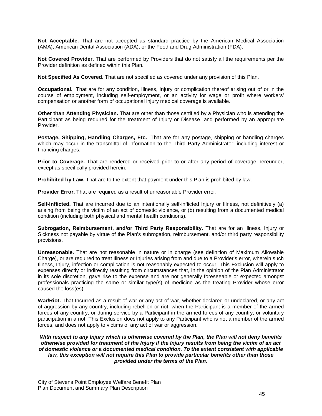**Not Acceptable.** That are not accepted as standard practice by the American Medical Association (AMA), American Dental Association (ADA), or the Food and Drug Administration (FDA).

**Not Covered Provider.** That are performed by Providers that do not satisfy all the requirements per the Provider definition as defined within this Plan.

**Not Specified As Covered.** That are not specified as covered under any provision of this Plan.

**Occupational.** That are for any condition, Illness, Injury or complication thereof arising out of or in the course of employment, including self-employment, or an activity for wage or profit where workers' compensation or another form of occupational injury medical coverage is available.

**Other than Attending Physician.** That are other than those certified by a Physician who is attending the Participant as being required for the treatment of Injury or Disease, and performed by an appropriate Provider.

**Postage, Shipping, Handling Charges, Etc.** That are for any postage, shipping or handling charges which may occur in the transmittal of information to the Third Party Administrator; including interest or financing charges.

**Prior to Coverage.** That are rendered or received prior to or after any period of coverage hereunder, except as specifically provided herein.

**Prohibited by Law.** That are to the extent that payment under this Plan is prohibited by law.

**Provider Error.** That are required as a result of unreasonable Provider error.

**Self-Inflicted.** That are incurred due to an intentionally self-inflicted Injury or Illness, not definitively (a) arising from being the victim of an act of domestic violence, or (b) resulting from a documented medical condition (including both physical and mental health conditions).

**Subrogation, Reimbursement, and/or Third Party Responsibility.** That are for an Illness, Injury or Sickness not payable by virtue of the Plan's subrogation, reimbursement, and/or third party responsibility provisions.

**Unreasonable.** That are not reasonable in nature or in charge (see definition of Maximum Allowable Charge), or are required to treat Illness or Injuries arising from and due to a Provider's error, wherein such Illness, Injury, infection or complication is not reasonably expected to occur. This Exclusion will apply to expenses directly or indirectly resulting from circumstances that, in the opinion of the Plan Administrator in its sole discretion, gave rise to the expense and are not generally foreseeable or expected amongst professionals practicing the same or similar type(s) of medicine as the treating Provider whose error caused the loss(es).

**War/Riot.** That Incurred as a result of war or any act of war, whether declared or undeclared, or any act of aggression by any country, including rebellion or riot, when the Participant is a member of the armed forces of any country, or during service by a Participant in the armed forces of any country, or voluntary participation in a riot. This Exclusion does not apply to any Participant who is not a member of the armed forces, and does not apply to victims of any act of war or aggression.

*With respect to any Injury which is otherwise covered by the Plan, the Plan will not deny benefits otherwise provided for treatment of the Injury if the Injury results from being the victim of an act of domestic violence or a documented medical condition. To the extent consistent with applicable law, this exception will not require this Plan to provide particular benefits other than those provided under the terms of the Plan.*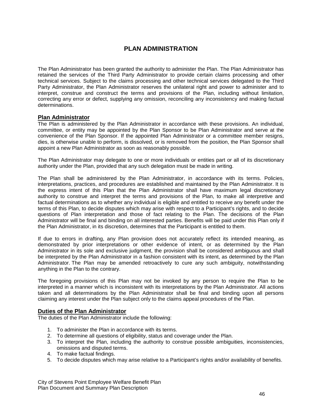# **PLAN ADMINISTRATION**

The Plan Administrator has been granted the authority to administer the Plan. The Plan Administrator has retained the services of the Third Party Administrator to provide certain claims processing and other technical services. Subject to the claims processing and other technical services delegated to the Third Party Administrator, the Plan Administrator reserves the unilateral right and power to administer and to interpret, construe and construct the terms and provisions of the Plan, including without limitation, correcting any error or defect, supplying any omission, reconciling any inconsistency and making factual determinations.

### **Plan Administrator**

The Plan is administered by the Plan Administrator in accordance with these provisions. An individual, committee, or entity may be appointed by the Plan Sponsor to be Plan Administrator and serve at the convenience of the Plan Sponsor. If the appointed Plan Administrator or a committee member resigns, dies, is otherwise unable to perform, is dissolved, or is removed from the position, the Plan Sponsor shall appoint a new Plan Administrator as soon as reasonably possible.

The Plan Administrator may delegate to one or more individuals or entities part or all of its discretionary authority under the Plan, provided that any such delegation must be made in writing.

The Plan shall be administered by the Plan Administrator, in accordance with its terms. Policies, interpretations, practices, and procedures are established and maintained by the Plan Administrator. It is the express intent of this Plan that the Plan Administrator shall have maximum legal discretionary authority to construe and interpret the terms and provisions of the Plan, to make all interpretive and factual determinations as to whether any individual is eligible and entitled to receive any benefit under the terms of this Plan, to decide disputes which may arise with respect to a Participant's rights, and to decide questions of Plan interpretation and those of fact relating to the Plan. The decisions of the Plan Administrator will be final and binding on all interested parties. Benefits will be paid under this Plan only if the Plan Administrator, in its discretion, determines that the Participant is entitled to them.

If due to errors in drafting, any Plan provision does not accurately reflect its intended meaning, as demonstrated by prior interpretations or other evidence of intent, or as determined by the Plan Administrator in its sole and exclusive judgment, the provision shall be considered ambiguous and shall be interpreted by the Plan Administrator in a fashion consistent with its intent, as determined by the Plan Administrator. The Plan may be amended retroactively to cure any such ambiguity, notwithstanding anything in the Plan to the contrary.

The foregoing provisions of this Plan may not be invoked by any person to require the Plan to be interpreted in a manner which is inconsistent with its interpretations by the Plan Administrator. All actions taken and all determinations by the Plan Administrator shall be final and binding upon all persons claiming any interest under the Plan subject only to the claims appeal procedures of the Plan.

#### **Duties of the Plan Administrator**

The duties of the Plan Administrator include the following:

- 1. To administer the Plan in accordance with its terms.
- 2. To determine all questions of eligibility, status and coverage under the Plan.
- 3. To interpret the Plan, including the authority to construe possible ambiguities, inconsistencies, omissions and disputed terms.
- 4. To make factual findings.
- 5. To decide disputes which may arise relative to a Participant's rights and/or availability of benefits.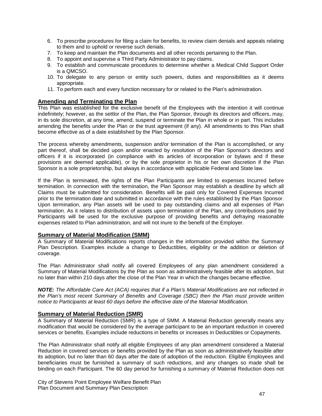- 6. To prescribe procedures for filing a claim for benefits, to review claim denials and appeals relating to them and to uphold or reverse such denials.
- 7. To keep and maintain the Plan documents and all other records pertaining to the Plan.
- 8. To appoint and supervise a Third Party Administrator to pay claims.
- 9. To establish and communicate procedures to determine whether a Medical Child Support Order is a QMCSO.
- 10. To delegate to any person or entity such powers, duties and responsibilities as it deems appropriate.
- 11. To perform each and every function necessary for or related to the Plan's administration.

### **Amending and Terminating the Plan**

This Plan was established for the exclusive benefit of the Employees with the intention it will continue indefinitely; however, as the settlor of the Plan, the Plan Sponsor, through its directors and officers, may, in its sole discretion, at any time, amend, suspend or terminate the Plan in whole or in part. This includes amending the benefits under the Plan or the trust agreement (if any). All amendments to this Plan shall become effective as of a date established by the Plan Sponsor.

The process whereby amendments, suspension and/or termination of the Plan is accomplished, or any part thereof, shall be decided upon and/or enacted by resolution of the Plan Sponsor's directors and officers if it is incorporated (in compliance with its articles of incorporation or bylaws and if these provisions are deemed applicable), or by the sole proprietor in his or her own discretion if the Plan Sponsor is a sole proprietorship, but always in accordance with applicable Federal and State law.

If the Plan is terminated, the rights of the Plan Participants are limited to expenses Incurred before termination. In connection with the termination, the Plan Sponsor may establish a deadline by which all Claims must be submitted for consideration. Benefits will be paid only for Covered Expenses Incurred prior to the termination date and submitted in accordance with the rules established by the Plan Sponsor. Upon termination, any Plan assets will be used to pay outstanding claims and all expenses of Plan termination. As it relates to distribution of assets upon termination of the Plan, any contributions paid by Participants will be used for the exclusive purpose of providing benefits and defraying reasonable expenses related to Plan administration, and will not inure to the benefit of the Employer.

# **Summary of Material Modification (SMM)**

A Summary of Material Modifications reports changes in the information provided within the Summary Plan Description. Examples include a change to Deductibles, eligibility or the addition or deletion of coverage.

The Plan Administrator shall notify all covered Employees of any plan amendment considered a Summary of Material Modifications by the Plan as soon as administratively feasible after its adoption, but no later than within 210 days after the close of the Plan Year in which the changes became effective.

*NOTE: The Affordable Care Act (ACA) requires that if a Plan's Material Modifications are not reflected in the Plan's most recent Summary of Benefits and Coverage (SBC) then the Plan must provide written notice to Participants at least 60 days before the effective date of the Material Modification.*

### **Summary of Material Reduction (SMR)**

A Summary of Material Reduction (SMR) is a type of SMM. A Material Reduction generally means any modification that would be considered by the average participant to be an important reduction in covered services or benefits. Examples include reductions in benefits or increases in Deductibles or Copayments.

The Plan Administrator shall notify all eligible Employees of any plan amendment considered a Material Reduction in covered services or benefits provided by the Plan as soon as administratively feasible after its adoption, but no later than 60 days after the date of adoption of the reduction. Eligible Employees and beneficiaries must be furnished a summary of such reductions, and any changes so made shall be binding on each Participant. The 60 day period for furnishing a summary of Material Reduction does not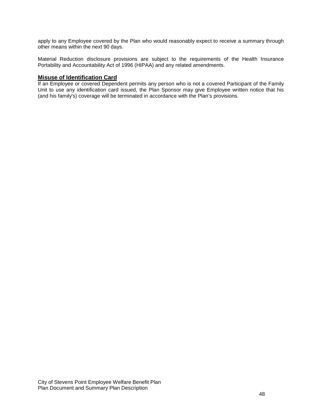apply to any Employee covered by the Plan who would reasonably expect to receive a summary through other means within the next 90 days.

Material Reduction disclosure provisions are subject to the requirements of the Health Insurance Portability and Accountability Act of 1996 (HIPAA) and any related amendments.

### **Misuse of Identification Card**

If an Employee or covered Dependent permits any person who is not a covered Participant of the Family Unit to use any identification card issued, the Plan Sponsor may give Employee written notice that his (and his family's) coverage will be terminated in accordance with the Plan's provisions.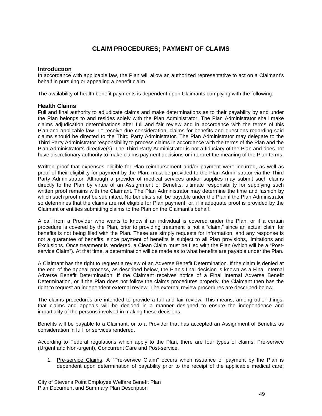# **CLAIM PROCEDURES; PAYMENT OF CLAIMS**

### **Introduction**

In accordance with applicable law, the Plan will allow an authorized representative to act on a Claimant's behalf in pursuing or appealing a benefit claim.

The availability of health benefit payments is dependent upon Claimants complying with the following:

### **Health Claims**

Full and final authority to adjudicate claims and make determinations as to their payability by and under the Plan belongs to and resides solely with the Plan Administrator. The Plan Administrator shall make claims adjudication determinations after full and fair review and in accordance with the terms of this Plan and applicable law. To receive due consideration, claims for benefits and questions regarding said claims should be directed to the Third Party Administrator. The Plan Administrator may delegate to the Third Party Administrator responsibility to process claims in accordance with the terms of the Plan and the Plan Administrator's directive(s). The Third Party Administrator is not a fiduciary of the Plan and does not have discretionary authority to make claims payment decisions or interpret the meaning of the Plan terms.

Written proof that expenses eligible for Plan reimbursement and/or payment were incurred, as well as proof of their eligibility for payment by the Plan, must be provided to the Plan Administrator via the Third Party Administrator. Although a provider of medical services and/or supplies may submit such claims directly to the Plan by virtue of an Assignment of Benefits, ultimate responsibility for supplying such written proof remains with the Claimant. The Plan Administrator may determine the time and fashion by which such proof must be submitted. No benefits shall be payable under the Plan if the Plan Administrator so determines that the claims are not eligible for Plan payment, or, if inadequate proof is provided by the Claimant or entities submitting claims to the Plan on the Claimant's behalf.

A call from a Provider who wants to know if an individual is covered under the Plan, or if a certain procedure is covered by the Plan, prior to providing treatment is not a "claim," since an actual claim for benefits is not being filed with the Plan. These are simply requests for information, and any response is not a guarantee of benefits, since payment of benefits is subject to all Plan provisions, limitations and Exclusions. Once treatment is rendered, a Clean Claim must be filed with the Plan (which will be a "Postservice Claim"). At that time, a determination will be made as to what benefits are payable under the Plan.

A Claimant has the right to request a review of an Adverse Benefit Determination. If the claim is denied at the end of the appeal process, as described below, the Plan's final decision is known as a Final Internal Adverse Benefit Determination. If the Claimant receives notice of a Final Internal Adverse Benefit Determination, or if the Plan does not follow the claims procedures properly, the Claimant then has the right to request an independent external review. The external review procedures are described below.

The claims procedures are intended to provide a full and fair review. This means, among other things, that claims and appeals will be decided in a manner designed to ensure the independence and impartiality of the persons involved in making these decisions.

Benefits will be payable to a Claimant, or to a Provider that has accepted an Assignment of Benefits as consideration in full for services rendered.

According to Federal regulations which apply to the Plan, there are four types of claims: Pre-service (Urgent and Non-urgent), Concurrent Care and Post-service.

1. Pre-service Claims. A "Pre-service Claim" occurs when issuance of payment by the Plan is dependent upon determination of payability prior to the receipt of the applicable medical care;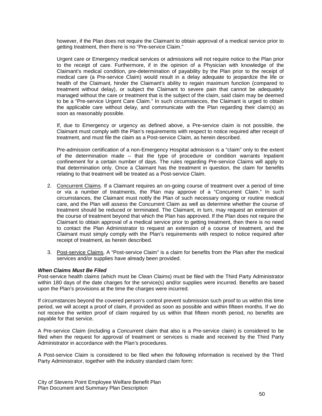however, if the Plan does not require the Claimant to obtain approval of a medical service prior to getting treatment, then there is no "Pre-service Claim."

Urgent care or Emergency medical services or admissions will not require notice to the Plan prior to the receipt of care. Furthermore, if in the opinion of a Physician with knowledge of the Claimant's medical condition, pre-determination of payability by the Plan prior to the receipt of medical care (a Pre-service Claim) would result in a delay adequate to jeopardize the life or health of the Claimant, hinder the Claimant's ability to regain maximum function (compared to treatment without delay), or subject the Claimant to severe pain that cannot be adequately managed without the care or treatment that is the subject of the claim, said claim may be deemed to be a "Pre-service Urgent Care Claim." In such circumstances, the Claimant is urged to obtain the applicable care without delay, and communicate with the Plan regarding their claim(s) as soon as reasonably possible.

If, due to Emergency or urgency as defined above, a Pre-service claim is not possible, the Claimant must comply with the Plan's requirements with respect to notice required after receipt of treatment, and must file the claim as a Post-service Claim, as herein described.

Pre-admission certification of a non-Emergency Hospital admission is a "claim" only to the extent of the determination made – that the type of procedure or condition warrants Inpatient confinement for a certain number of days. The rules regarding Pre-service Claims will apply to that determination only. Once a Claimant has the treatment in question, the claim for benefits relating to that treatment will be treated as a Post-service Claim.

- 2. Concurrent Claims. If a Claimant requires an on-going course of treatment over a period of time or via a number of treatments, the Plan may approve of a "Concurrent Claim." In such circumstances, the Claimant must notify the Plan of such necessary ongoing or routine medical care, and the Plan will assess the Concurrent Claim as well as determine whether the course of treatment should be reduced or terminated. The Claimant, in turn, may request an extension of the course of treatment beyond that which the Plan has approved. If the Plan does not require the Claimant to obtain approval of a medical service prior to getting treatment, then there is no need to contact the Plan Administrator to request an extension of a course of treatment, and the Claimant must simply comply with the Plan's requirements with respect to notice required after receipt of treatment, as herein described.
- 3. Post-service Claims. A "Post-service Claim" is a claim for benefits from the Plan after the medical services and/or supplies have already been provided.

#### *When Claims Must Be Filed*

Post-service health claims (which must be Clean Claims) must be filed with the Third Party Administrator within 180 days of the date charges for the service(s) and/or supplies were incurred. Benefits are based upon the Plan's provisions at the time the charges were incurred.

If circumstances beyond the covered person's control prevent submission such proof to us within this time period, we will accept a proof of claim, if provided as soon as possible and within fifteen months. If we do not receive the written proof of claim required by us within that fifteen month period, no benefits are payable for that service.

A Pre-service Claim (including a Concurrent claim that also is a Pre-service claim) is considered to be filed when the request for approval of treatment or services is made and received by the Third Party Administrator in accordance with the Plan's procedures.

A Post-service Claim is considered to be filed when the following information is received by the Third Party Administrator, together with the industry standard claim form: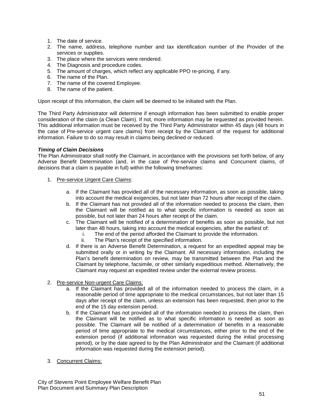- 1. The date of service.
- 2. The name, address, telephone number and tax identification number of the Provider of the services or supplies.
- 3. The place where the services were rendered.
- 4. The Diagnosis and procedure codes.
- 5. The amount of charges, which reflect any applicable PPO re-pricing, if any.
- 6. The name of the Plan.
- 7. The name of the covered Employee.
- 8. The name of the patient.

Upon receipt of this information, the claim will be deemed to be initiated with the Plan.

The Third Party Administrator will determine if enough information has been submitted to enable proper consideration of the claim (a Clean Claim). If not, more information may be requested as provided herein. This additional information must be received by the Third Party Administrator within 45 days (48 hours in the case of Pre-service urgent care claims) from receipt by the Claimant of the request for additional information. Failure to do so may result in claims being declined or reduced.

### *Timing of Claim Decisions*

The Plan Administrator shall notify the Claimant, in accordance with the provisions set forth below, of any Adverse Benefit Determination (and, in the case of Pre-service claims and Concurrent claims, of decisions that a claim is payable in full) within the following timeframes:

- 1. Pre-service Urgent Care Claims:
	- a. If the Claimant has provided all of the necessary information, as soon as possible, taking into account the medical exigencies, but not later than 72 hours after receipt of the claim.
	- b. If the Claimant has not provided all of the information needed to process the claim, then the Claimant will be notified as to what specific information is needed as soon as possible, but not later than 24 hours after receipt of the claim.
	- c. The Claimant will be notified of a determination of benefits as soon as possible, but not later than 48 hours, taking into account the medical exigencies, after the earliest of:
		- i. The end of the period afforded the Claimant to provide the information.
		- The Plan's receipt of the specified information.
	- d. If there is an Adverse Benefit Determination, a request for an expedited appeal may be submitted orally or in writing by the Claimant. All necessary information, including the Plan's benefit determination on review, may be transmitted between the Plan and the Claimant by telephone, facsimile, or other similarly expeditious method. Alternatively, the Claimant may request an expedited review under the external review process.
- 2. Pre-service Non-urgent Care Claims:
	- a. If the Claimant has provided all of the information needed to process the claim, in a reasonable period of time appropriate to the medical circumstances, but not later than 15 days after receipt of the claim, unless an extension has been requested, then prior to the end of the 15 day extension period.
	- b. If the Claimant has not provided all of the information needed to process the claim, then the Claimant will be notified as to what specific information is needed as soon as possible. The Claimant will be notified of a determination of benefits in a reasonable period of time appropriate to the medical circumstances, either prior to the end of the extension period (if additional information was requested during the initial processing period), or by the date agreed to by the Plan Administrator and the Claimant (if additional information was requested during the extension period).
- 3. Concurrent Claims: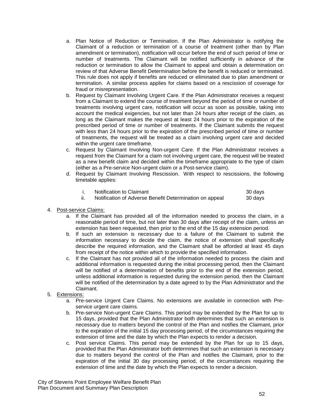- a. Plan Notice of Reduction or Termination. If the Plan Administrator is notifying the Claimant of a reduction or termination of a course of treatment (other than by Plan amendment or termination), notification will occur before the end of such period of time or number of treatments. The Claimant will be notified sufficiently in advance of the reduction or termination to allow the Claimant to appeal and obtain a determination on review of that Adverse Benefit Determination before the benefit is reduced or terminated. This rule does not apply if benefits are reduced or eliminated due to plan amendment or termination. A similar process applies for claims based on a rescission of coverage for fraud or misrepresentation.
- b. Request by Claimant Involving Urgent Care. If the Plan Administrator receives a request from a Claimant to extend the course of treatment beyond the period of time or number of treatments involving urgent care, notification will occur as soon as possible, taking into account the medical exigencies, but not later than 24 hours after receipt of the claim, as long as the Claimant makes the request at least 24 hours prior to the expiration of the prescribed period of time or number of treatments. If the Claimant submits the request with less than 24 hours prior to the expiration of the prescribed period of time or number of treatments, the request will be treated as a claim involving urgent care and decided within the urgent care timeframe.
- c. Request by Claimant Involving Non-urgent Care. If the Plan Administrator receives a request from the Claimant for a claim not involving urgent care, the request will be treated as a new benefit claim and decided within the timeframe appropriate to the type of claim (either as a Pre-service Non-urgent claim or a Post-service claim).
- d. Request by Claimant Involving Rescission. With respect to rescissions, the following timetable applies:

| Notification to Claimant                                | 30 days |
|---------------------------------------------------------|---------|
| Notification of Adverse Benefit Determination on appeal | 30 days |

- 4. Post-service Claims:
	- a. If the Claimant has provided all of the information needed to process the claim, in a reasonable period of time, but not later than 30 days after receipt of the claim, unless an extension has been requested, then prior to the end of the 15 day extension period.
	- b. If such an extension is necessary due to a failure of the Claimant to submit the information necessary to decide the claim, the notice of extension shall specifically describe the required information, and the Claimant shall be afforded at least 45 days from receipt of the notice within which to provide the specified information.
	- c. If the Claimant has not provided all of the information needed to process the claim and additional information is requested during the initial processing period, then the Claimant will be notified of a determination of benefits prior to the end of the extension period, unless additional information is requested during the extension period, then the Claimant will be notified of the determination by a date agreed to by the Plan Administrator and the Claimant.
- 5. Extensions:
	- a. Pre-service Urgent Care Claims. No extensions are available in connection with Preservice urgent care claims.
	- b. Pre-service Non-urgent Care Claims. This period may be extended by the Plan for up to 15 days, provided that the Plan Administrator both determines that such an extension is necessary due to matters beyond the control of the Plan and notifies the Claimant, prior to the expiration of the initial 15 day processing period, of the circumstances requiring the extension of time and the date by which the Plan expects to render a decision.
	- c. Post service Claims. This period may be extended by the Plan for up to 15 days, provided that the Plan Administrator both determines that such an extension is necessary due to matters beyond the control of the Plan and notifies the Claimant, prior to the expiration of the initial 30 day processing period, of the circumstances requiring the extension of time and the date by which the Plan expects to render a decision.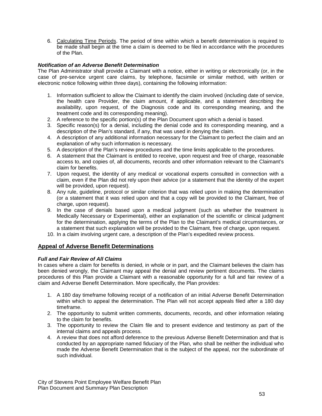6. Calculating Time Periods. The period of time within which a benefit determination is required to be made shall begin at the time a claim is deemed to be filed in accordance with the procedures of the Plan.

### *Notification of an Adverse Benefit Determination*

The Plan Administrator shall provide a Claimant with a notice, either in writing or electronically (or, in the case of pre-service urgent care claims, by telephone, facsimile or similar method, with written or electronic notice following within three days), containing the following information:

- 1. Information sufficient to allow the Claimant to identify the claim involved (including date of service, the health care Provider, the claim amount, if applicable, and a statement describing the availability, upon request, of the Diagnosis code and its corresponding meaning, and the treatment code and its corresponding meaning).
- 2. A reference to the specific portion(s) of the Plan Document upon which a denial is based.
- 3. Specific reason(s) for a denial, including the denial code and its corresponding meaning, and a description of the Plan's standard, if any, that was used in denying the claim.
- 4. A description of any additional information necessary for the Claimant to perfect the claim and an explanation of why such information is necessary.
- 5. A description of the Plan's review procedures and the time limits applicable to the procedures.
- 6. A statement that the Claimant is entitled to receive, upon request and free of charge, reasonable access to, and copies of, all documents, records and other information relevant to the Claimant's claim for benefits.
- 7. Upon request, the identity of any medical or vocational experts consulted in connection with a claim, even if the Plan did not rely upon their advice (or a statement that the identity of the expert will be provided, upon request).
- 8. Any rule, guideline, protocol or similar criterion that was relied upon in making the determination (or a statement that it was relied upon and that a copy will be provided to the Claimant, free of charge, upon request).
- 9. In the case of denials based upon a medical judgment (such as whether the treatment is Medically Necessary or Experimental), either an explanation of the scientific or clinical judgment for the determination, applying the terms of the Plan to the Claimant's medical circumstances, or a statement that such explanation will be provided to the Claimant, free of charge, upon request.
- 10. In a claim involving urgent care, a description of the Plan's expedited review process.

# **Appeal of Adverse Benefit Determinations**

### *Full and Fair Review of All Claims*

In cases where a claim for benefits is denied, in whole or in part, and the Claimant believes the claim has been denied wrongly, the Claimant may appeal the denial and review pertinent documents. The claims procedures of this Plan provide a Claimant with a reasonable opportunity for a full and fair review of a claim and Adverse Benefit Determination. More specifically, the Plan provides:

- 1. A 180 day timeframe following receipt of a notification of an initial Adverse Benefit Determination within which to appeal the determination. The Plan will not accept appeals filed after a 180 day timeframe.
- 2. The opportunity to submit written comments, documents, records, and other information relating to the claim for benefits.
- 3. The opportunity to review the Claim file and to present evidence and testimony as part of the internal claims and appeals process.
- 4. A review that does not afford deference to the previous Adverse Benefit Determination and that is conducted by an appropriate named fiduciary of the Plan, who shall be neither the individual who made the Adverse Benefit Determination that is the subject of the appeal, nor the subordinate of such individual.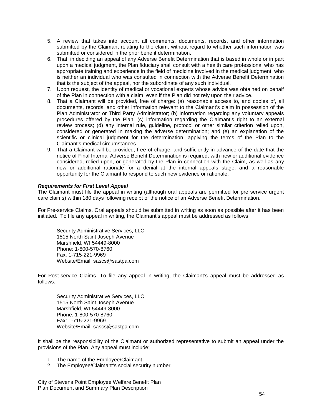- 5. A review that takes into account all comments, documents, records, and other information submitted by the Claimant relating to the claim, without regard to whether such information was submitted or considered in the prior benefit determination.
- 6. That, in deciding an appeal of any Adverse Benefit Determination that is based in whole or in part upon a medical judgment, the Plan fiduciary shall consult with a health care professional who has appropriate training and experience in the field of medicine involved in the medical judgment, who is neither an individual who was consulted in connection with the Adverse Benefit Determination that is the subject of the appeal, nor the subordinate of any such individual.
- 7. Upon request, the identity of medical or vocational experts whose advice was obtained on behalf of the Plan in connection with a claim, even if the Plan did not rely upon their advice.
- 8. That a Claimant will be provided, free of charge: (a) reasonable access to, and copies of, all documents, records, and other information relevant to the Claimant's claim in possession of the Plan Administrator or Third Party Administrator; (b) information regarding any voluntary appeals procedures offered by the Plan; (c) information regarding the Claimant's right to an external review process; (d) any internal rule, guideline, protocol or other similar criterion relied upon, considered or generated in making the adverse determination; and (e) an explanation of the scientific or clinical judgment for the determination, applying the terms of the Plan to the Claimant's medical circumstances.
- 9. That a Claimant will be provided, free of charge, and sufficiently in advance of the date that the notice of Final Internal Adverse Benefit Determination is required, with new or additional evidence considered, relied upon, or generated by the Plan in connection with the Claim, as well as any new or additional rationale for a denial at the internal appeals stage, and a reasonable opportunity for the Claimant to respond to such new evidence or rationale.

### *Requirements for First Level Appeal*

The Claimant must file the appeal in writing (although oral appeals are permitted for pre service urgent care claims) within 180 days following receipt of the notice of an Adverse Benefit Determination.

For Pre-service Claims. Oral appeals should be submitted in writing as soon as possible after it has been initiated. To file any appeal in writing, the Claimant's appeal must be addressed as follows:

Security Administrative Services, LLC 1515 North Saint Joseph Avenue Marshfield, WI 54449-8000 Phone: 1-800-570-8760 Fax: 1-715-221-9969 Website/Email: sascs@sastpa.com

For Post-service Claims. To file any appeal in writing, the Claimant's appeal must be addressed as follows:

Security Administrative Services, LLC 1515 North Saint Joseph Avenue Marshfield, WI 54449-8000 Phone: 1-800-570-8760 Fax: 1-715-221-9969 Website/Email: sascs@sastpa.com

It shall be the responsibility of the Claimant or authorized representative to submit an appeal under the provisions of the Plan. Any appeal must include:

- 1. The name of the Employee/Claimant.
- 2. The Employee/Claimant's social security number.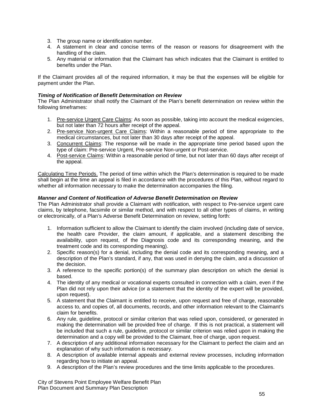- 3. The group name or identification number.
- 4. A statement in clear and concise terms of the reason or reasons for disagreement with the handling of the claim.
- 5. Any material or information that the Claimant has which indicates that the Claimant is entitled to benefits under the Plan.

If the Claimant provides all of the required information, it may be that the expenses will be eligible for payment under the Plan.

### *Timing of Notification of Benefit Determination on Review*

The Plan Administrator shall notify the Claimant of the Plan's benefit determination on review within the following timeframes:

- 1. Pre-service Urgent Care Claims: As soon as possible, taking into account the medical exigencies, but not later than 72 hours after receipt of the appeal.
- 2. Pre-service Non-urgent Care Claims: Within a reasonable period of time appropriate to the medical circumstances, but not later than 30 days after receipt of the appeal.
- 3. Concurrent Claims: The response will be made in the appropriate time period based upon the type of claim: Pre-service Urgent, Pre-service Non-urgent or Post-service.
- 4. Post-service Claims: Within a reasonable period of time, but not later than 60 days after receipt of the appeal.

Calculating Time Periods. The period of time within which the Plan's determination is required to be made shall begin at the time an appeal is filed in accordance with the procedures of this Plan, without regard to whether all information necessary to make the determination accompanies the filing.

### *Manner and Content of Notification of Adverse Benefit Determination on Review*

The Plan Administrator shall provide a Claimant with notification, with respect to Pre-service urgent care claims, by telephone, facsimile or similar method, and with respect to all other types of claims, in writing or electronically, of a Plan's Adverse Benefit Determination on review, setting forth:

- 1. Information sufficient to allow the Claimant to identify the claim involved (including date of service, the health care Provider, the claim amount, if applicable, and a statement describing the availability, upon request, of the Diagnosis code and its corresponding meaning, and the treatment code and its corresponding meaning).
- 2. Specific reason(s) for a denial, including the denial code and its corresponding meaning, and a description of the Plan's standard, if any, that was used in denying the claim, and a discussion of the decision.
- 3. A reference to the specific portion(s) of the summary plan description on which the denial is based.
- 4. The identity of any medical or vocational experts consulted in connection with a claim, even if the Plan did not rely upon their advice (or a statement that the identity of the expert will be provided, upon request).
- 5. A statement that the Claimant is entitled to receive, upon request and free of charge, reasonable access to, and copies of, all documents, records, and other information relevant to the Claimant's claim for benefits.
- 6. Any rule, guideline, protocol or similar criterion that was relied upon, considered, or generated in making the determination will be provided free of charge. If this is not practical, a statement will be included that such a rule, guideline, protocol or similar criterion was relied upon in making the determination and a copy will be provided to the Claimant, free of charge, upon request.
- 7. A description of any additional information necessary for the Claimant to perfect the claim and an explanation of why such information is necessary.
- 8. A description of available internal appeals and external review processes, including information regarding how to initiate an appeal.
- 9. A description of the Plan's review procedures and the time limits applicable to the procedures.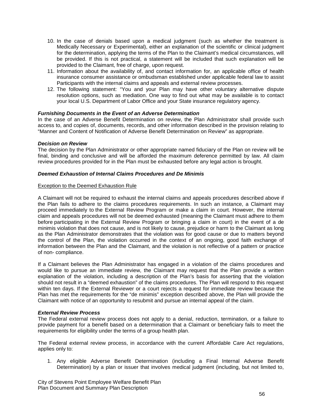- 10. In the case of denials based upon a medical judgment (such as whether the treatment is Medically Necessary or Experimental), either an explanation of the scientific or clinical judgment for the determination, applying the terms of the Plan to the Claimant's medical circumstances, will be provided. If this is not practical, a statement will be included that such explanation will be provided to the Claimant, free of charge, upon request.
- 11. Information about the availability of, and contact information for, an applicable office of health insurance consumer assistance or ombudsman established under applicable federal law to assist Participants with the internal claims and appeals and external review processes.
- 12. The following statement: "You and your Plan may have other voluntary alternative dispute resolution options, such as mediation. One way to find out what may be available is to contact your local U.S. Department of Labor Office and your State insurance regulatory agency.

### *Furnishing Documents in the Event of an Adverse Determination*

In the case of an Adverse Benefit Determination on review, the Plan Administrator shall provide such access to, and copies of, documents, records, and other information described in the provision relating to "Manner and Content of Notification of Adverse Benefit Determination on Review" as appropriate.

### *Decision on Review*

The decision by the Plan Administrator or other appropriate named fiduciary of the Plan on review will be final, binding and conclusive and will be afforded the maximum deference permitted by law. All claim review procedures provided for in the Plan must be exhausted before any legal action is brought.

### *Deemed Exhaustion of Internal Claims Procedures and De Minimis*

#### Exception to the Deemed Exhaustion Rule

A Claimant will not be required to exhaust the internal claims and appeals procedures described above if the Plan fails to adhere to the claims procedures requirements. In such an instance, a Claimant may proceed immediately to the External Review Program or make a claim in court. However, the internal claim and appeals procedures will not be deemed exhausted (meaning the Claimant must adhere to them before participating in the External Review Program or bringing a claim in court) in the event of a de minimis violation that does not cause, and is not likely to cause, prejudice or harm to the Claimant as long as the Plan Administrator demonstrates that the violation was for good cause or due to matters beyond the control of the Plan, the violation occurred in the context of an ongoing, good faith exchange of information between the Plan and the Claimant, and the violation is not reflective of a pattern or practice of non- compliance.

If a Claimant believes the Plan Administrator has engaged in a violation of the claims procedures and would like to pursue an immediate review, the Claimant may request that the Plan provide a written explanation of the violation, including a description of the Plan's basis for asserting that the violation should not result in a "deemed exhaustion" of the claims procedures. The Plan will respond to this request within ten days. If the External Reviewer or a court rejects a request for immediate review because the Plan has met the requirements for the "de minimis" exception described above, the Plan will provide the Claimant with notice of an opportunity to resubmit and pursue an internal appeal of the claim.

#### *External Review Process*

The Federal external review process does not apply to a denial, reduction, termination, or a failure to provide payment for a benefit based on a determination that a Claimant or beneficiary fails to meet the requirements for eligibility under the terms of a group health plan.

The Federal external review process, in accordance with the current Affordable Care Act regulations, applies only to:

1. Any eligible Adverse Benefit Determination (including a Final Internal Adverse Benefit Determination) by a plan or issuer that involves medical judgment (including, but not limited to,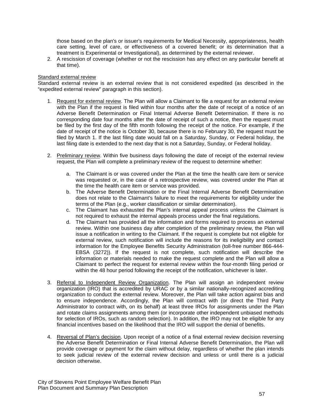those based on the plan's or issuer's requirements for Medical Necessity, appropriateness, health care setting, level of care, or effectiveness of a covered benefit; or its determination that a treatment is Experimental or Investigational), as determined by the external reviewer.

2. A rescission of coverage (whether or not the rescission has any effect on any particular benefit at that time).

### Standard external review

Standard external review is an external review that is not considered expedited (as described in the "expedited external review" paragraph in this section).

- 1. Request for external review. The Plan will allow a Claimant to file a request for an external review with the Plan if the request is filed within four months after the date of receipt of a notice of an Adverse Benefit Determination or Final Internal Adverse Benefit Determination. If there is no corresponding date four months after the date of receipt of such a notice, then the request must be filed by the first day of the fifth month following the receipt of the notice. For example, if the date of receipt of the notice is October 30, because there is no February 30, the request must be filed by March 1. If the last filing date would fall on a Saturday, Sunday, or Federal holiday, the last filing date is extended to the next day that is not a Saturday, Sunday, or Federal holiday.
- 2. Preliminary review. Within five business days following the date of receipt of the external review request, the Plan will complete a preliminary review of the request to determine whether:
	- a. The Claimant is or was covered under the Plan at the time the health care item or service was requested or, in the case of a retrospective review, was covered under the Plan at the time the health care item or service was provided.
	- b. The Adverse Benefit Determination or the Final Internal Adverse Benefit Determination does not relate to the Claimant's failure to meet the requirements for eligibility under the terms of the Plan (e.g., worker classification or similar determination).
	- c. The Claimant has exhausted the Plan's internal appeal process unless the Claimant is not required to exhaust the internal appeals process under the final regulations.
	- d. The Claimant has provided all the information and forms required to process an external review. Within one business day after completion of the preliminary review, the Plan will issue a notification in writing to the Claimant. If the request is complete but not eligible for external review, such notification will include the reasons for its ineligibility and contact information for the Employee Benefits Security Administration (toll-free number 866-444- EBSA (3272)). If the request is not complete, such notification will describe the information or materials needed to make the request complete and the Plan will allow a Claimant to perfect the request for external review within the four-month filing period or within the 48 hour period following the receipt of the notification, whichever is later.
- 3. Referral to Independent Review Organization. The Plan will assign an independent review organization (IRO) that is accredited by URAC or by a similar nationally-recognized accrediting organization to conduct the external review. Moreover, the Plan will take action against bias and to ensure independence. Accordingly, the Plan will contract with (or direct the Third Party Administrator to contract with, on its behalf) at least three IROs for assignments under the Plan and rotate claims assignments among them (or incorporate other independent unbiased methods for selection of IROs, such as random selection). In addition, the IRO may not be eligible for any financial incentives based on the likelihood that the IRO will support the denial of benefits.
- 4. Reversal of Plan's decision. Upon receipt of a notice of a final external review decision reversing the Adverse Benefit Determination or Final Internal Adverse Benefit Determination, the Plan will provide coverage or payment for the claim without delay, regardless of whether the plan intends to seek judicial review of the external review decision and unless or until there is a judicial decision otherwise.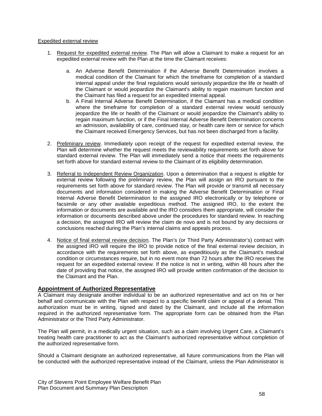#### Expedited external review

- 1. Request for expedited external review. The Plan will allow a Claimant to make a request for an expedited external review with the Plan at the time the Claimant receives:
	- a. An Adverse Benefit Determination if the Adverse Benefit Determination involves a medical condition of the Claimant for which the timeframe for completion of a standard internal appeal under the final regulations would seriously jeopardize the life or health of the Claimant or would jeopardize the Claimant's ability to regain maximum function and the Claimant has filed a request for an expedited internal appeal.
	- b. A Final Internal Adverse Benefit Determination, if the Claimant has a medical condition where the timeframe for completion of a standard external review would seriously jeopardize the life or health of the Claimant or would jeopardize the Claimant's ability to regain maximum function, or if the Final Internal Adverse Benefit Determination concerns an admission, availability of care, continued stay, or health care item or service for which the Claimant received Emergency Services, but has not been discharged from a facility.
- 2. Preliminary review. Immediately upon receipt of the request for expedited external review, the Plan will determine whether the request meets the reviewability requirements set forth above for standard external review. The Plan will immediately send a notice that meets the requirements set forth above for standard external review to the Claimant of its eligibility determination.
- 3. Referral to Independent Review Organization. Upon a determination that a request is eligible for external review following the preliminary review, the Plan will assign an IRO pursuant to the requirements set forth above for standard review. The Plan will provide or transmit all necessary documents and information considered in making the Adverse Benefit Determination or Final Internal Adverse Benefit Determination to the assigned IRO electronically or by telephone or facsimile or any other available expeditious method. The assigned IRO, to the extent the information or documents are available and the IRO considers them appropriate, will consider the information or documents described above under the procedures for standard review. In reaching a decision, the assigned IRO will review the claim de novo and is not bound by any decisions or conclusions reached during the Plan's internal claims and appeals process.
- 4. Notice of final external review decision. The Plan's (or Third Party Administrator's) contract with the assigned IRO will require the IRO to provide notice of the final external review decision, in accordance with the requirements set forth above, as expeditiously as the Claimant's medical condition or circumstances require, but in no event more than 72 hours after the IRO receives the request for an expedited external review. If the notice is not in writing, within 48 hours after the date of providing that notice, the assigned IRO will provide written confirmation of the decision to the Claimant and the Plan.

# **Appointment of Authorized Representative**

A Claimant may designate another individual to be an authorized representative and act on his or her behalf and communicate with the Plan with respect to a specific benefit claim or appeal of a denial. This authorization must be in writing, signed and dated by the Claimant, and include all the information required in the authorized representative form. The appropriate form can be obtained from the Plan Administrator or the Third Party Administrator.

The Plan will permit, in a medically urgent situation, such as a claim involving Urgent Care, a Claimant's treating health care practitioner to act as the Claimant's authorized representative without completion of the authorized representative form.

Should a Claimant designate an authorized representative, all future communications from the Plan will be conducted with the authorized representative instead of the Claimant, unless the Plan Administrator is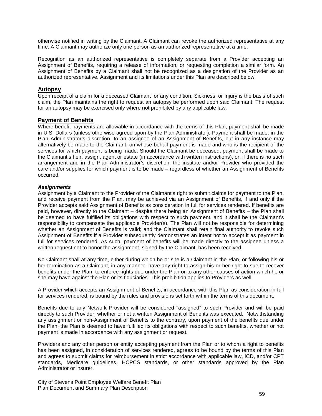otherwise notified in writing by the Claimant. A Claimant can revoke the authorized representative at any time. A Claimant may authorize only one person as an authorized representative at a time.

Recognition as an authorized representative is completely separate from a Provider accepting an Assignment of Benefits, requiring a release of information, or requesting completion a similar form. An Assignment of Benefits by a Claimant shall not be recognized as a designation of the Provider as an authorized representative. Assignment and its limitations under this Plan are described below.

### **Autopsy**

Upon receipt of a claim for a deceased Claimant for any condition, Sickness, or Injury is the basis of such claim, the Plan maintains the right to request an autopsy be performed upon said Claimant. The request for an autopsy may be exercised only where not prohibited by any applicable law.

### **Payment of Benefits**

Where benefit payments are allowable in accordance with the terms of this Plan, payment shall be made in U.S. Dollars (unless otherwise agreed upon by the Plan Administrator). Payment shall be made, in the Plan Administrator's discretion, to an assignee of an Assignment of Benefits, but in any instance may alternatively be made to the Claimant, on whose behalf payment is made and who is the recipient of the services for which payment is being made. Should the Claimant be deceased, payment shall be made to the Claimant's heir, assign, agent or estate (in accordance with written instructions), or, if there is no such arrangement and in the Plan Administrator's discretion, the institute and/or Provider who provided the care and/or supplies for which payment is to be made – regardless of whether an Assignment of Benefits occurred.

### *Assignments*

Assignment by a Claimant to the Provider of the Claimant's right to submit claims for payment to the Plan, and receive payment from the Plan, may be achieved via an Assignment of Benefits, if and only if the Provider accepts said Assignment of Benefits as consideration in full for services rendered. If benefits are paid, however, directly to the Claimant – despite there being an Assignment of Benefits – the Plan shall be deemed to have fulfilled its obligations with respect to such payment, and it shall be the Claimant's responsibility to compensate the applicable Provider(s). The Plan will not be responsible for determining whether an Assignment of Benefits is valid; and the Claimant shall retain final authority to revoke such Assignment of Benefits if a Provider subsequently demonstrates an intent not to accept it as payment in full for services rendered. As such, payment of benefits will be made directly to the assignee unless a written request not to honor the assignment, signed by the Claimant, has been received.

No Claimant shall at any time, either during which he or she is a Claimant in the Plan, or following his or her termination as a Claimant, in any manner, have any right to assign his or her right to sue to recover benefits under the Plan, to enforce rights due under the Plan or to any other causes of action which he or she may have against the Plan or its fiduciaries. This prohibition applies to Providers as well.

A Provider which accepts an Assignment of Benefits, in accordance with this Plan as consideration in full for services rendered, is bound by the rules and provisions set forth within the terms of this document.

Benefits due to any Network Provider will be considered "assigned" to such Provider and will be paid directly to such Provider, whether or not a written Assignment of Benefits was executed. Notwithstanding any assignment or non-Assignment of Benefits to the contrary, upon payment of the benefits due under the Plan, the Plan is deemed to have fulfilled its obligations with respect to such benefits, whether or not payment is made in accordance with any assignment or request.

Providers and any other person or entity accepting payment from the Plan or to whom a right to benefits has been assigned, in consideration of services rendered, agrees to be bound by the terms of this Plan and agrees to submit claims for reimbursement in strict accordance with applicable law, ICD, and/or CPT standards, Medicare guidelines, HCPCS standards, or other standards approved by the Plan Administrator or insurer.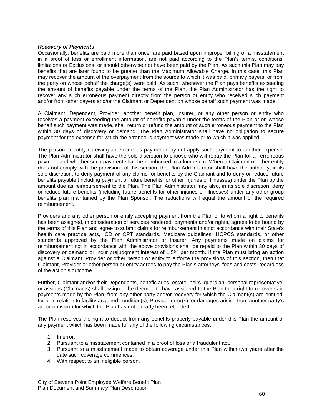#### *Recovery of Payments*

Occasionally, benefits are paid more than once, are paid based upon improper billing or a misstatement in a proof of loss or enrollment information, are not paid according to the Plan's terms, conditions, limitations or Exclusions, or should otherwise not have been paid by the Plan. As such this Plan may pay benefits that are later found to be greater than the Maximum Allowable Charge. In this case, this Plan may recover the amount of the overpayment from the source to which it was paid, primary payers, or from the party on whose behalf the charge(s) were paid. As such, whenever the Plan pays benefits exceeding the amount of benefits payable under the terms of the Plan, the Plan Administrator has the right to recover any such erroneous payment directly from the person or entity who received such payment and/or from other payers and/or the Claimant or Dependent on whose behalf such payment was made.

A Claimant, Dependent, Provider, another benefit plan, insurer, or any other person or entity who receives a payment exceeding the amount of benefits payable under the terms of the Plan or on whose behalf such payment was made, shall return or refund the amount of such erroneous payment to the Plan within 30 days of discovery or demand. The Plan Administrator shall have no obligation to secure payment for the expense for which the erroneous payment was made or to which it was applied.

The person or entity receiving an erroneous payment may not apply such payment to another expense. The Plan Administrator shall have the sole discretion to choose who will repay the Plan for an erroneous payment and whether such payment shall be reimbursed in a lump sum. When a Claimant or other entity does not comply with the provisions of this section, the Plan Administrator shall have the authority, in its sole discretion, to deny payment of any claims for benefits by the Claimant and to deny or reduce future benefits payable (including payment of future benefits for other injuries or Illnesses) under the Plan by the amount due as reimbursement to the Plan. The Plan Administrator may also, in its sole discretion, deny or reduce future benefits (including future benefits for other injuries or Illnesses) under any other group benefits plan maintained by the Plan Sponsor. The reductions will equal the amount of the required reimbursement.

Providers and any other person or entity accepting payment from the Plan or to whom a right to benefits has been assigned, in consideration of services rendered, payments and/or rights, agrees to be bound by the terms of this Plan and agree to submit claims for reimbursement in strict accordance with their State's health care practice acts, ICD or CPT standards, Medicare guidelines, HCPCS standards, or other standards approved by the Plan Administrator or insurer. Any payments made on claims for reimbursement not in accordance with the above provisions shall be repaid to the Plan within 30 days of discovery or demand or incur prejudgment interest of 1.5% per month. If the Plan must bring an action against a Claimant, Provider or other person or entity to enforce the provisions of this section, then that Claimant, Provider or other person or entity agrees to pay the Plan's attorneys' fees and costs, regardless of the action's outcome.

Further, Claimant and/or their Dependents, beneficiaries, estate, heirs, guardian, personal representative, or assigns (Claimants) shall assign or be deemed to have assigned to the Plan their right to recover said payments made by the Plan, from any other party and/or recovery for which the Claimant(s) are entitled, for or in relation to facility-acquired condition(s), Provider error(s), or damages arising from another party's act or omission for which the Plan has not already been refunded.

The Plan reserves the right to deduct from any benefits properly payable under this Plan the amount of any payment which has been made for any of the following circumstances:

- 1. In error.
- 2. Pursuant to a misstatement contained in a proof of loss or a fraudulent act.
- 3. Pursuant to a misstatement made to obtain coverage under this Plan within two years after the date such coverage commences.
- 4. With respect to an ineligible person.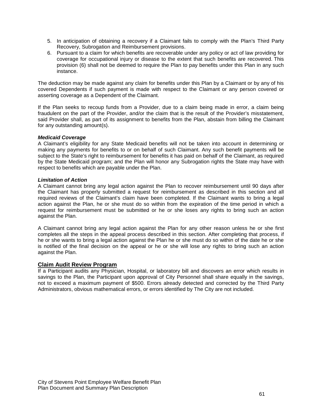- 5. In anticipation of obtaining a recovery if a Claimant fails to comply with the Plan's Third Party Recovery, Subrogation and Reimbursement provisions.
- 6. Pursuant to a claim for which benefits are recoverable under any policy or act of law providing for coverage for occupational injury or disease to the extent that such benefits are recovered. This provision (6) shall not be deemed to require the Plan to pay benefits under this Plan in any such instance.

The deduction may be made against any claim for benefits under this Plan by a Claimant or by any of his covered Dependents if such payment is made with respect to the Claimant or any person covered or asserting coverage as a Dependent of the Claimant.

If the Plan seeks to recoup funds from a Provider, due to a claim being made in error, a claim being fraudulent on the part of the Provider, and/or the claim that is the result of the Provider's misstatement, said Provider shall, as part of its assignment to benefits from the Plan, abstain from billing the Claimant for any outstanding amount(s).

### *Medicaid Coverage*

A Claimant's eligibility for any State Medicaid benefits will not be taken into account in determining or making any payments for benefits to or on behalf of such Claimant. Any such benefit payments will be subject to the State's right to reimbursement for benefits it has paid on behalf of the Claimant, as required by the State Medicaid program; and the Plan will honor any Subrogation rights the State may have with respect to benefits which are payable under the Plan.

### *Limitation of Action*

A Claimant cannot bring any legal action against the Plan to recover reimbursement until 90 days after the Claimant has properly submitted a request for reimbursement as described in this section and all required reviews of the Claimant's claim have been completed. If the Claimant wants to bring a legal action against the Plan, he or she must do so within from the expiration of the time period in which a request for reimbursement must be submitted or he or she loses any rights to bring such an action against the Plan.

A Claimant cannot bring any legal action against the Plan for any other reason unless he or she first completes all the steps in the appeal process described in this section. After completing that process, if he or she wants to bring a legal action against the Plan he or she must do so within of the date he or she is notified of the final decision on the appeal or he or she will lose any rights to bring such an action against the Plan.

### **Claim Audit Review Program**

If a Participant audits any Physician, Hospital, or laboratory bill and discovers an error which results in savings to the Plan, the Participant upon approval of City Personnel shall share equally in the savings, not to exceed a maximum payment of \$500. Errors already detected and corrected by the Third Party Administrators, obvious mathematical errors, or errors identified by The City are not included.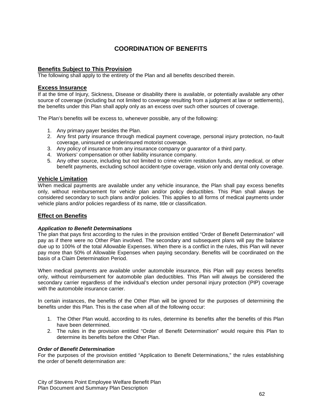# **COORDINATION OF BENEFITS**

### **Benefits Subject to This Provision**

The following shall apply to the entirety of the Plan and all benefits described therein.

### **Excess Insurance**

If at the time of Injury, Sickness, Disease or disability there is available, or potentially available any other source of coverage (including but not limited to coverage resulting from a judgment at law or settlements), the benefits under this Plan shall apply only as an excess over such other sources of coverage.

The Plan's benefits will be excess to, whenever possible, any of the following:

- 1. Any primary payer besides the Plan.
- 2. Any first party insurance through medical payment coverage, personal injury protection, no-fault coverage, uninsured or underinsured motorist coverage.
- 3. Any policy of insurance from any insurance company or guarantor of a third party.
- 4. Workers' compensation or other liability insurance company.
- 5. Any other source, including but not limited to crime victim restitution funds, any medical, or other benefit payments, excluding school accident-type coverage, vision only and dental only coverage.

### **Vehicle Limitation**

When medical payments are available under any vehicle insurance, the Plan shall pay excess benefits only, without reimbursement for vehicle plan and/or policy deductibles. This Plan shall always be considered secondary to such plans and/or policies. This applies to all forms of medical payments under vehicle plans and/or policies regardless of its name, title or classification.

### **Effect on Benefits**

#### *Application to Benefit Determinations*

The plan that pays first according to the rules in the provision entitled "Order of Benefit Determination" will pay as if there were no Other Plan involved. The secondary and subsequent plans will pay the balance due up to 100% of the total Allowable Expenses. When there is a conflict in the rules, this Plan will never pay more than 50% of Allowable Expenses when paying secondary. Benefits will be coordinated on the basis of a Claim Determination Period.

When medical payments are available under automobile insurance, this Plan will pay excess benefits only, without reimbursement for automobile plan deductibles. This Plan will always be considered the secondary carrier regardless of the individual's election under personal injury protection (PIP) coverage with the automobile insurance carrier.

In certain instances, the benefits of the Other Plan will be ignored for the purposes of determining the benefits under this Plan. This is the case when all of the following occur:

- 1. The Other Plan would, according to its rules, determine its benefits after the benefits of this Plan have been determined.
- 2. The rules in the provision entitled "Order of Benefit Determination" would require this Plan to determine its benefits before the Other Plan.

#### *Order of Benefit Determination*

For the purposes of the provision entitled "Application to Benefit Determinations," the rules establishing the order of benefit determination are: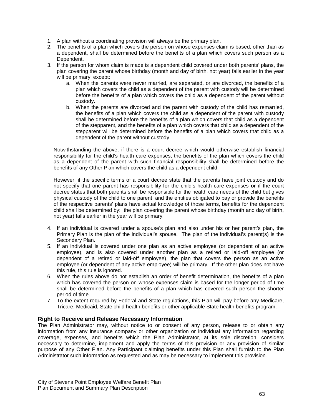- 1. A plan without a coordinating provision will always be the primary plan.
- 2. The benefits of a plan which covers the person on whose expenses claim is based, other than as a dependent, shall be determined before the benefits of a plan which covers such person as a Dependent.
- 3. If the person for whom claim is made is a dependent child covered under both parents' plans, the plan covering the parent whose birthday (month and day of birth, not year) falls earlier in the year will be primary, except:
	- a. When the parents were never married, are separated, or are divorced, the benefits of a plan which covers the child as a dependent of the parent with custody will be determined before the benefits of a plan which covers the child as a dependent of the parent without custody.
	- b. When the parents are divorced and the parent with custody of the child has remarried, the benefits of a plan which covers the child as a dependent of the parent with custody shall be determined before the benefits of a plan which covers that child as a dependent of the stepparent, and the benefits of a plan which covers that child as a dependent of the stepparent will be determined before the benefits of a plan which covers that child as a dependent of the parent without custody.

Notwithstanding the above, if there is a court decree which would otherwise establish financial responsibility for the child's health care expenses, the benefits of the plan which covers the child as a dependent of the parent with such financial responsibility shall be determined before the benefits of any Other Plan which covers the child as a dependent child.

However, if the specific terms of a court decree state that the parents have joint custody and do not specify that one parent has responsibility for the child's health care expenses **or** if the court decree states that both parents shall be responsible for the health care needs of the child but gives physical custody of the child to one parent, and the entities obligated to pay or provide the benefits of the respective parents' plans have actual knowledge of those terms, benefits for the dependent child shall be determined by: the plan covering the parent whose birthday (month and day of birth, not year) falls earlier in the year will be primary.

- 4. If an individual is covered under a spouse's plan and also under his or her parent's plan, the Primary Plan is the plan of the individual's spouse. The plan of the individual's parent(s) is the Secondary Plan.
- 5. If an individual is covered under one plan as an active employee (or dependent of an active employee), and is also covered under another plan as a retired or laid-off employee (or dependent of a retired or laid-off employee), the plan that covers the person as an active employee (or dependent of any active employee) will be primary. If the other plan does not have this rule, this rule is ignored.
- 6. When the rules above do not establish an order of benefit determination, the benefits of a plan which has covered the person on whose expenses claim is based for the longer period of time shall be determined before the benefits of a plan which has covered such person the shorter period of time.
- 7. To the extent required by Federal and State regulations, this Plan will pay before any Medicare, Tricare, Medicaid, State child health benefits or other applicable State health benefits program.

### **Right to Receive and Release Necessary Information**

The Plan Administrator may, without notice to or consent of any person, release to or obtain any information from any insurance company or other organization or individual any information regarding coverage, expenses, and benefits which the Plan Administrator, at its sole discretion, considers necessary to determine, implement and apply the terms of this provision or any provision of similar purpose of any Other Plan. Any Participant claiming benefits under this Plan shall furnish to the Plan Administrator such information as requested and as may be necessary to implement this provision.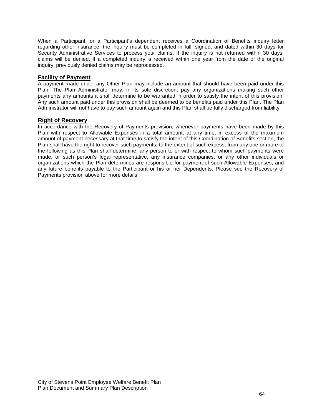When a Participant, or a Participant's dependent receives a Coordination of Benefits inquiry letter regarding other insurance, the inquiry must be completed in full, signed, and dated within 30 days for Security Administrative Services to process your claims. If the inquiry is not returned within 30 days, claims will be denied. If a completed inquiry is received within one year from the date of the original inquiry, previously denied claims may be reprocessed.

### **Facility of Payment**

A payment made under any Other Plan may include an amount that should have been paid under this Plan. The Plan Administrator may, in its sole discretion, pay any organizations making such other payments any amounts it shall determine to be warranted in order to satisfy the intent of this provision. Any such amount paid under this provision shall be deemed to be benefits paid under this Plan. The Plan Administrator will not have to pay such amount again and this Plan shall be fully discharged from liability.

### **Right of Recovery**

In accordance with the Recovery of Payments provision, whenever payments have been made by this Plan with respect to Allowable Expenses in a total amount, at any time, in excess of the maximum amount of payment necessary at that time to satisfy the intent of this Coordination of Benefits section, the Plan shall have the right to recover such payments, to the extent of such excess, from any one or more of the following as this Plan shall determine: any person to or with respect to whom such payments were made, or such person's legal representative, any insurance companies, or any other individuals or organizations which the Plan determines are responsible for payment of such Allowable Expenses, and any future benefits payable to the Participant or his or her Dependents. Please see the Recovery of Payments provision above for more details.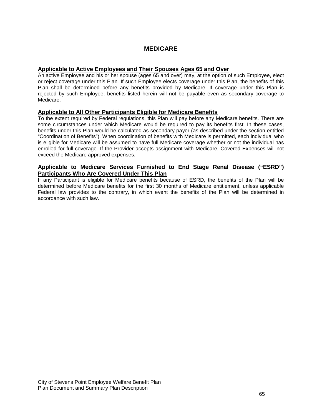# **MEDICARE**

## **Applicable to Active Employees and Their Spouses Ages 65 and Over**

An active Employee and his or her spouse (ages 65 and over) may, at the option of such Employee, elect or reject coverage under this Plan. If such Employee elects coverage under this Plan, the benefits of this Plan shall be determined before any benefits provided by Medicare. If coverage under this Plan is rejected by such Employee, benefits listed herein will not be payable even as secondary coverage to Medicare.

### **Applicable to All Other Participants Eligible for Medicare Benefits**

To the extent required by Federal regulations, this Plan will pay before any Medicare benefits. There are some circumstances under which Medicare would be required to pay its benefits first. In these cases, benefits under this Plan would be calculated as secondary payer (as described under the section entitled "Coordination of Benefits"). When coordination of benefits with Medicare is permitted, each individual who is eligible for Medicare will be assumed to have full Medicare coverage whether or not the individual has enrolled for full coverage. If the Provider accepts assignment with Medicare, Covered Expenses will not exceed the Medicare approved expenses.

### **Applicable to Medicare Services Furnished to End Stage Renal Disease ("ESRD") Participants Who Are Covered Under This Plan**

If any Participant is eligible for Medicare benefits because of ESRD, the benefits of the Plan will be determined before Medicare benefits for the first 30 months of Medicare entitlement, unless applicable Federal law provides to the contrary, in which event the benefits of the Plan will be determined in accordance with such law.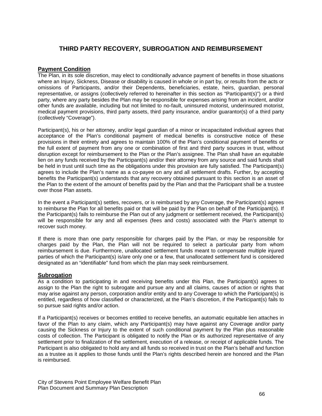# **THIRD PARTY RECOVERY, SUBROGATION AND REIMBURSEMENT**

# **Payment Condition**

The Plan, in its sole discretion, may elect to conditionally advance payment of benefits in those situations where an Injury, Sickness, Disease or disability is caused in whole or in part by, or results from the acts or omissions of Participants, and/or their Dependents, beneficiaries, estate, heirs, guardian, personal representative, or assigns (collectively referred to hereinafter in this section as "Participant(s)") or a third party, where any party besides the Plan may be responsible for expenses arising from an incident, and/or other funds are available, including but not limited to no-fault, uninsured motorist, underinsured motorist, medical payment provisions, third party assets, third party insurance, and/or guarantor(s) of a third party (collectively "Coverage").

Participant(s), his or her attorney, and/or legal guardian of a minor or incapacitated individual agrees that acceptance of the Plan's conditional payment of medical benefits is constructive notice of these provisions in their entirety and agrees to maintain 100% of the Plan's conditional payment of benefits or the full extent of payment from any one or combination of first and third party sources in trust, without disruption except for reimbursement to the Plan or the Plan's assignee. The Plan shall have an equitable lien on any funds received by the Participant(s) and/or their attorney from any source and said funds shall be held in trust until such time as the obligations under this provision are fully satisfied. The Participant(s) agrees to include the Plan's name as a co-payee on any and all settlement drafts. Further, by accepting benefits the Participant(s) understands that any recovery obtained pursuant to this section is an asset of the Plan to the extent of the amount of benefits paid by the Plan and that the Participant shall be a trustee over those Plan assets.

In the event a Participant(s) settles, recovers, or is reimbursed by any Coverage, the Participant(s) agrees to reimburse the Plan for all benefits paid or that will be paid by the Plan on behalf of the Participant(s). If the Participant(s) fails to reimburse the Plan out of any judgment or settlement received, the Participant(s) will be responsible for any and all expenses (fees and costs) associated with the Plan's attempt to recover such money.

If there is more than one party responsible for charges paid by the Plan, or may be responsible for charges paid by the Plan, the Plan will not be required to select a particular party from whom reimbursement is due. Furthermore, unallocated settlement funds meant to compensate multiple injured parties of which the Participant(s) is/are only one or a few, that unallocated settlement fund is considered designated as an "identifiable" fund from which the plan may seek reimbursement.

# **Subrogation**

As a condition to participating in and receiving benefits under this Plan, the Participant(s) agrees to assign to the Plan the right to subrogate and pursue any and all claims, causes of action or rights that may arise against any person, corporation and/or entity and to any Coverage to which the Participant(s) is entitled, regardless of how classified or characterized, at the Plan's discretion, if the Participant(s) fails to so pursue said rights and/or action.

If a Participant(s) receives or becomes entitled to receive benefits, an automatic equitable lien attaches in favor of the Plan to any claim, which any Participant(s) may have against any Coverage and/or party causing the Sickness or Injury to the extent of such conditional payment by the Plan plus reasonable costs of collection. The Participant is obligated to notify the Plan or its authorized representative of any settlement prior to finalization of the settlement, execution of a release, or receipt of applicable funds. The Participant is also obligated to hold any and all funds so received in trust on the Plan's behalf and function as a trustee as it applies to those funds until the Plan's rights described herein are honored and the Plan is reimbursed.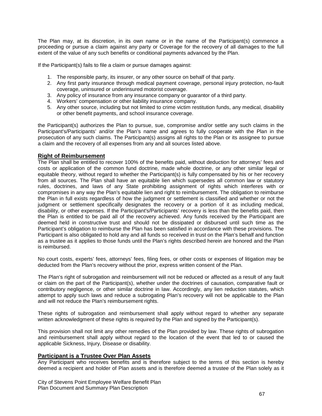The Plan may, at its discretion, in its own name or in the name of the Participant(s) commence a proceeding or pursue a claim against any party or Coverage for the recovery of all damages to the full extent of the value of any such benefits or conditional payments advanced by the Plan.

If the Participant(s) fails to file a claim or pursue damages against:

- 1. The responsible party, its insurer, or any other source on behalf of that party.
- 2. Any first party insurance through medical payment coverage, personal injury protection, no-fault coverage, uninsured or underinsured motorist coverage.
- 3. Any policy of insurance from any insurance company or guarantor of a third party.
- 4. Workers' compensation or other liability insurance company.
- 5. Any other source, including but not limited to crime victim restitution funds, any medical, disability or other benefit payments, and school insurance coverage.

the Participant(s) authorizes the Plan to pursue, sue, compromise and/or settle any such claims in the Participant's/Participants' and/or the Plan's name and agrees to fully cooperate with the Plan in the prosecution of any such claims. The Participant(s) assigns all rights to the Plan or its assignee to pursue a claim and the recovery of all expenses from any and all sources listed above.

### **Right of Reimbursement**

The Plan shall be entitled to recover 100% of the benefits paid, without deduction for attorneys' fees and costs or application of the common fund doctrine, made whole doctrine, or any other similar legal or equitable theory, without regard to whether the Participant(s) is fully compensated by his or her recovery from all sources. The Plan shall have an equitable lien which supersedes all common law or statutory rules, doctrines, and laws of any State prohibiting assignment of rights which interferes with or compromises in any way the Plan's equitable lien and right to reimbursement. The obligation to reimburse the Plan in full exists regardless of how the judgment or settlement is classified and whether or not the judgment or settlement specifically designates the recovery or a portion of it as including medical, disability, or other expenses. If the Participant's/Participants' recovery is less than the benefits paid, then the Plan is entitled to be paid all of the recovery achieved. Any funds received by the Participant are deemed held in constructive trust and should not be dissipated or disbursed until such time as the Participant's obligation to reimburse the Plan has been satisfied in accordance with these provisions. The Participant is also obligated to hold any and all funds so received in trust on the Plan's behalf and function as a trustee as it applies to those funds until the Plan's rights described herein are honored and the Plan is reimbursed.

No court costs, experts' fees, attorneys' fees, filing fees, or other costs or expenses of litigation may be deducted from the Plan's recovery without the prior, express written consent of the Plan.

The Plan's right of subrogation and reimbursement will not be reduced or affected as a result of any fault or claim on the part of the Participant(s), whether under the doctrines of causation, comparative fault or contributory negligence, or other similar doctrine in law. Accordingly, any lien reduction statutes, which attempt to apply such laws and reduce a subrogating Plan's recovery will not be applicable to the Plan and will not reduce the Plan's reimbursement rights.

These rights of subrogation and reimbursement shall apply without regard to whether any separate written acknowledgment of these rights is required by the Plan and signed by the Participant(s).

This provision shall not limit any other remedies of the Plan provided by law. These rights of subrogation and reimbursement shall apply without regard to the location of the event that led to or caused the applicable Sickness, Injury, Disease or disability.

### **Participant is a Trustee Over Plan Assets**

Any Participant who receives benefits and is therefore subject to the terms of this section is hereby deemed a recipient and holder of Plan assets and is therefore deemed a trustee of the Plan solely as it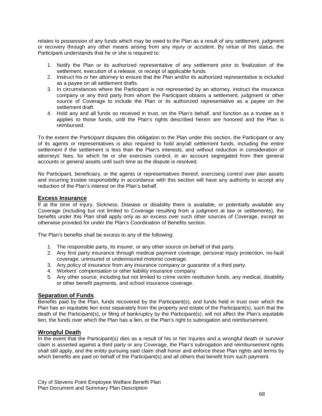relates to possession of any funds which may be owed to the Plan as a result of any settlement, judgment or recovery through any other means arising from any injury or accident. By virtue of this status, the Participant understands that he or she is required to:

- 1. Notify the Plan or its authorized representative of any settlement prior to finalization of the settlement, execution of a release, or receipt of applicable funds.
- 2. Instruct his or her attorney to ensure that the Plan and/or its authorized representative is included as a payee on all settlement drafts.
- 3. In circumstances where the Participant is not represented by an attorney, instruct the insurance company or any third party from whom the Participant obtains a settlement, judgment or other source of Coverage to include the Plan or its authorized representative as a payee on the settlement draft.
- 4. Hold any and all funds so received in trust, on the Plan's behalf, and function as a trustee as it applies to those funds, until the Plan's rights described herein are honored and the Plan is reimbursed.

To the extent the Participant disputes this obligation to the Plan under this section, the Participant or any of its agents or representatives is also required to hold any/all settlement funds, including the entire settlement if the settlement is less than the Plan's interests, and without reduction in consideration of attorneys' fees, for which he or she exercises control, in an account segregated from their general accounts or general assets until such time as the dispute is resolved.

No Participant, beneficiary, or the agents or representatives thereof, exercising control over plan assets and incurring trustee responsibility in accordance with this section will have any authority to accept any reduction of the Plan's interest on the Plan's behalf.

### **Excess Insurance**

If at the time of Injury, Sickness, Disease or disability there is available, or potentially available any Coverage (including but not limited to Coverage resulting from a judgment at law or settlements), the benefits under this Plan shall apply only as an excess over such other sources of Coverage, except as otherwise provided for under the Plan's Coordination of Benefits section.

The Plan's benefits shall be excess to any of the following:

- 1. The responsible party, its insurer, or any other source on behalf of that party.
- 2. Any first party insurance through medical payment coverage, personal injury protection, no-fault coverage, uninsured or underinsured motorist coverage.
- 3. Any policy of insurance from any insurance company or guarantor of a third party.
- 4. Workers' compensation or other liability insurance company.
- 5. Any other source, including but not limited to crime victim restitution funds, any medical, disability or other benefit payments, and school insurance coverage.

### **Separation of Funds**

Benefits paid by the Plan, funds recovered by the Participant(s), and funds held in trust over which the Plan has an equitable lien exist separately from the property and estate of the Participant(s), such that the death of the Participant(s), or filing of bankruptcy by the Participant(s), will not affect the Plan's equitable lien, the funds over which the Plan has a lien, or the Plan's right to subrogation and reimbursement.

### **Wrongful Death**

In the event that the Participant(s) dies as a result of his or her Injuries and a wrongful death or survivor claim is asserted against a third party or any Coverage, the Plan's subrogation and reimbursement rights shall still apply, and the entity pursuing said claim shall honor and enforce these Plan rights and terms by which benefits are paid on behalf of the Participant(s) and all others that benefit from such payment.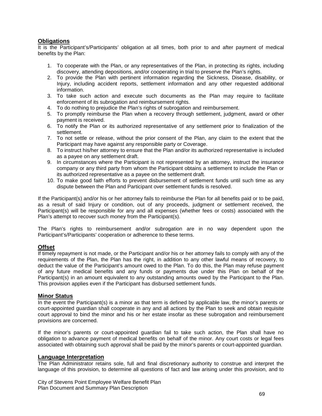### **Obligations**

It is the Participant's/Participants' obligation at all times, both prior to and after payment of medical benefits by the Plan:

- 1. To cooperate with the Plan, or any representatives of the Plan, in protecting its rights, including discovery, attending depositions, and/or cooperating in trial to preserve the Plan's rights.
- 2. To provide the Plan with pertinent information regarding the Sickness, Disease, disability, or Injury, including accident reports, settlement information and any other requested additional information.
- 3. To take such action and execute such documents as the Plan may require to facilitate enforcement of its subrogation and reimbursement rights.
- 4. To do nothing to prejudice the Plan's rights of subrogation and reimbursement.
- 5. To promptly reimburse the Plan when a recovery through settlement, judgment, award or other payment is received.
- 6. To notify the Plan or its authorized representative of any settlement prior to finalization of the settlement.
- 7. To not settle or release, without the prior consent of the Plan, any claim to the extent that the Participant may have against any responsible party or Coverage.
- 8. To instruct his/her attorney to ensure that the Plan and/or its authorized representative is included as a payee on any settlement draft.
- 9. In circumstances where the Participant is not represented by an attorney, instruct the insurance company or any third party from whom the Participant obtains a settlement to include the Plan or its authorized representative as a payee on the settlement draft.
- 10. To make good faith efforts to prevent disbursement of settlement funds until such time as any dispute between the Plan and Participant over settlement funds is resolved.

If the Participant(s) and/or his or her attorney fails to reimburse the Plan for all benefits paid or to be paid, as a result of said Injury or condition, out of any proceeds, judgment or settlement received, the Participant(s) will be responsible for any and all expenses (whether fees or costs) associated with the Plan's attempt to recover such money from the Participant(s).

The Plan's rights to reimbursement and/or subrogation are in no way dependent upon the Participant's/Participants' cooperation or adherence to these terms.

# **Offset**

If timely repayment is not made, or the Participant and/or his or her attorney fails to comply with any of the requirements of the Plan, the Plan has the right, in addition to any other lawful means of recovery, to deduct the value of the Participant's amount owed to the Plan. To do this, the Plan may refuse payment of any future medical benefits and any funds or payments due under this Plan on behalf of the Participant(s) in an amount equivalent to any outstanding amounts owed by the Participant to the Plan. This provision applies even if the Participant has disbursed settlement funds.

### **Minor Status**

In the event the Participant(s) is a minor as that term is defined by applicable law, the minor's parents or court-appointed guardian shall cooperate in any and all actions by the Plan to seek and obtain requisite court approval to bind the minor and his or her estate insofar as these subrogation and reimbursement provisions are concerned.

If the minor's parents or court-appointed guardian fail to take such action, the Plan shall have no obligation to advance payment of medical benefits on behalf of the minor. Any court costs or legal fees associated with obtaining such approval shall be paid by the minor's parents or court-appointed guardian.

### **Language Interpretation**

The Plan Administrator retains sole, full and final discretionary authority to construe and interpret the language of this provision, to determine all questions of fact and law arising under this provision, and to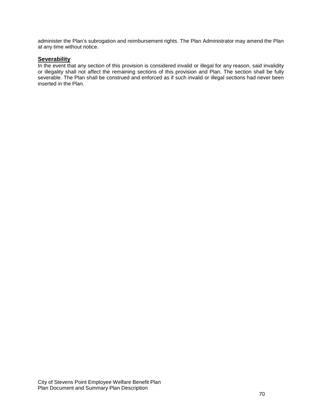administer the Plan's subrogation and reimbursement rights. The Plan Administrator may amend the Plan at any time without notice.

# **Severability**

In the event that any section of this provision is considered invalid or illegal for any reason, said invalidity or illegality shall not affect the remaining sections of this provision and Plan. The section shall be fully severable. The Plan shall be construed and enforced as if such invalid or illegal sections had never been inserted in the Plan.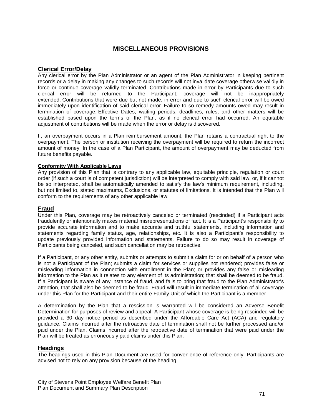## **MISCELLANEOUS PROVISIONS**

## **Clerical Error/Delay**

Any clerical error by the Plan Administrator or an agent of the Plan Administrator in keeping pertinent records or a delay in making any changes to such records will not invalidate coverage otherwise validly in force or continue coverage validly terminated. Contributions made in error by Participants due to such clerical error will be returned to the Participant; coverage will not be inappropriately extended. Contributions that were due but not made, in error and due to such clerical error will be owed immediately upon identification of said clerical error. Failure to so remedy amounts owed may result in termination of coverage. Effective Dates, waiting periods, deadlines, rules, and other matters will be established based upon the terms of the Plan, as if no clerical error had occurred. An equitable adjustment of contributions will be made when the error or delay is discovered.

If, an overpayment occurs in a Plan reimbursement amount, the Plan retains a contractual right to the overpayment. The person or institution receiving the overpayment will be required to return the incorrect amount of money. In the case of a Plan Participant, the amount of overpayment may be deducted from future benefits payable.

#### **Conformity With Applicable Laws**

Any provision of this Plan that is contrary to any applicable law, equitable principle, regulation or court order (if such a court is of competent jurisdiction) will be interpreted to comply with said law, or, if it cannot be so interpreted, shall be automatically amended to satisfy the law's minimum requirement, including, but not limited to, stated maximums, Exclusions, or statutes of limitations. It is intended that the Plan will conform to the requirements of any other applicable law.

#### **Fraud**

Under this Plan, coverage may be retroactively canceled or terminated (rescinded) if a Participant acts fraudulently or intentionally makes material misrepresentations of fact. It is a Participant's responsibility to provide accurate information and to make accurate and truthful statements, including information and statements regarding family status, age, relationships, etc. It is also a Participant's responsibility to update previously provided information and statements. Failure to do so may result in coverage of Participants being canceled, and such cancellation may be retroactive.

If a Participant, or any other entity, submits or attempts to submit a claim for or on behalf of a person who is not a Participant of the Plan; submits a claim for services or supplies not rendered; provides false or misleading information in connection with enrollment in the Plan; or provides any false or misleading information to the Plan as it relates to any element of its administration; that shall be deemed to be fraud. If a Participant is aware of any instance of fraud, and fails to bring that fraud to the Plan Administrator's attention, that shall also be deemed to be fraud. Fraud will result in immediate termination of all coverage under this Plan for the Participant and their entire Family Unit of which the Participant is a member.

A determination by the Plan that a rescission is warranted will be considered an Adverse Benefit Determination for purposes of review and appeal. A Participant whose coverage is being rescinded will be provided a 30 day notice period as described under the Affordable Care Act (ACA) and regulatory guidance. Claims incurred after the retroactive date of termination shall not be further processed and/or paid under the Plan. Claims incurred after the retroactive date of termination that were paid under the Plan will be treated as erroneously paid claims under this Plan.

## **Headings**

The headings used in this Plan Document are used for convenience of reference only. Participants are advised not to rely on any provision because of the heading.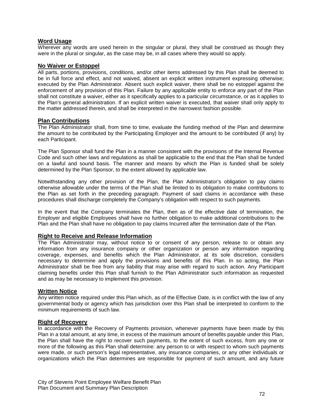## **Word Usage**

Wherever any words are used herein in the singular or plural, they shall be construed as though they were in the plural or singular, as the case may be, in all cases where they would so apply.

#### **No Waiver or Estoppel**

All parts, portions, provisions, conditions, and/or other items addressed by this Plan shall be deemed to be in full force and effect, and not waived, absent an explicit written instrument expressing otherwise; executed by the Plan Administrator. Absent such explicit waiver, there shall be no estoppel against the enforcement of any provision of this Plan. Failure by any applicable entity to enforce any part of the Plan shall not constitute a waiver, either as it specifically applies to a particular circumstance, or as it applies to the Plan's general administration. If an explicit written waiver is executed, that waiver shall only apply to the matter addressed therein, and shall be interpreted in the narrowest fashion possible.

#### **Plan Contributions**

The Plan Administrator shall, from time to time, evaluate the funding method of the Plan and determine the amount to be contributed by the Participating Employer and the amount to be contributed (if any) by each Participant.

The Plan Sponsor shall fund the Plan in a manner consistent with the provisions of the Internal Revenue Code and such other laws and regulations as shall be applicable to the end that the Plan shall be funded on a lawful and sound basis. The manner and means by which the Plan is funded shall be solely determined by the Plan Sponsor, to the extent allowed by applicable law.

Notwithstanding any other provision of the Plan, the Plan Administrator's obligation to pay claims otherwise allowable under the terms of the Plan shall be limited to its obligation to make contributions to the Plan as set forth in the preceding paragraph. Payment of said claims in accordance with these procedures shall discharge completely the Company's obligation with respect to such payments.

In the event that the Company terminates the Plan, then as of the effective date of termination, the Employer and eligible Employees shall have no further obligation to make additional contributions to the Plan and the Plan shall have no obligation to pay claims Incurred after the termination date of the Plan.

#### **Right to Receive and Release Information**

The Plan Administrator may, without notice to or consent of any person, release to or obtain any information from any insurance company or other organization or person any information regarding coverage, expenses, and benefits which the Plan Administrator, at its sole discretion, considers necessary to determine and apply the provisions and benefits of this Plan. In so acting, the Plan Administrator shall be free from any liability that may arise with regard to such action. Any Participant claiming benefits under this Plan shall furnish to the Plan Administrator such information as requested and as may be necessary to implement this provision.

#### **Written Notice**

Any written notice required under this Plan which, as of the Effective Date, is in conflict with the law of any governmental body or agency which has jurisdiction over this Plan shall be interpreted to conform to the minimum requirements of such law.

#### **Right of Recovery**

In accordance with the Recovery of Payments provision, whenever payments have been made by this Plan in a total amount, at any time, in excess of the maximum amount of benefits payable under this Plan, the Plan shall have the right to recover such payments, to the extent of such excess, from any one or more of the following as this Plan shall determine: any person to or with respect to whom such payments were made, or such person's legal representative, any insurance companies, or any other individuals or organizations which the Plan determines are responsible for payment of such amount, and any future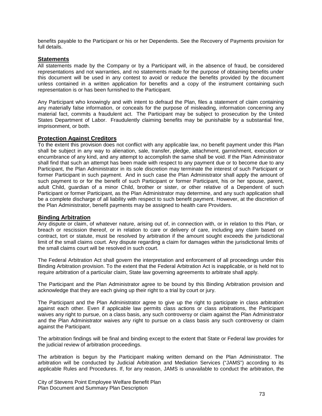benefits payable to the Participant or his or her Dependents. See the Recovery of Payments provision for full details.

#### **Statements**

All statements made by the Company or by a Participant will, in the absence of fraud, be considered representations and not warranties, and no statements made for the purpose of obtaining benefits under this document will be used in any contest to avoid or reduce the benefits provided by the document unless contained in a written application for benefits and a copy of the instrument containing such representation is or has been furnished to the Participant.

Any Participant who knowingly and with intent to defraud the Plan, files a statement of claim containing any materially false information, or conceals for the purpose of misleading, information concerning any material fact, commits a fraudulent act. The Participant may be subject to prosecution by the United States Department of Labor. Fraudulently claiming benefits may be punishable by a substantial fine, imprisonment, or both.

#### **Protection Against Creditors**

To the extent this provision does not conflict with any applicable law, no benefit payment under this Plan shall be subject in any way to alienation, sale, transfer, pledge, attachment, garnishment, execution or encumbrance of any kind, and any attempt to accomplish the same shall be void. If the Plan Administrator shall find that such an attempt has been made with respect to any payment due or to become due to any Participant, the Plan Administrator in its sole discretion may terminate the interest of such Participant or former Participant in such payment. And in such case the Plan Administrator shall apply the amount of such payment to or for the benefit of such Participant or former Participant, his or her spouse, parent, adult Child, guardian of a minor Child, brother or sister, or other relative of a Dependent of such Participant or former Participant, as the Plan Administrator may determine, and any such application shall be a complete discharge of all liability with respect to such benefit payment. However, at the discretion of the Plan Administrator, benefit payments may be assigned to health care Providers.

#### **Binding Arbitration**

Any dispute or claim, of whatever nature, arising out of, in connection with, or in relation to this Plan, or breach or rescission thereof, or in relation to care or delivery of care, including any claim based on contract, tort or statute, must be resolved by arbitration if the amount sought exceeds the jurisdictional limit of the small claims court. Any dispute regarding a claim for damages within the jurisdictional limits of the small claims court will be resolved in such court.

The Federal Arbitration Act shall govern the interpretation and enforcement of all proceedings under this Binding Arbitration provision. To the extent that the Federal Arbitration Act is inapplicable, or is held not to require arbitration of a particular claim, State law governing agreements to arbitrate shall apply.

The Participant and the Plan Administrator agree to be bound by this Binding Arbitration provision and acknowledge that they are each giving up their right to a trial by court or jury.

The Participant and the Plan Administrator agree to give up the right to participate in class arbitration against each other. Even if applicable law permits class actions or class arbitrations, the Participant waives any right to pursue, on a class basis, any such controversy or claim against the Plan Administrator and the Plan Administrator waives any right to pursue on a class basis any such controversy or claim against the Participant.

The arbitration findings will be final and binding except to the extent that State or Federal law provides for the judicial review of arbitration proceedings.

The arbitration is begun by the Participant making written demand on the Plan Administrator. The arbitration will be conducted by Judicial Arbitration and Mediation Services ("JAMS") according to its applicable Rules and Procedures. If, for any reason, JAMS is unavailable to conduct the arbitration, the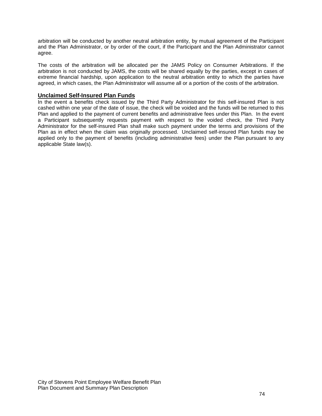arbitration will be conducted by another neutral arbitration entity, by mutual agreement of the Participant and the Plan Administrator, or by order of the court, if the Participant and the Plan Administrator cannot agree.

The costs of the arbitration will be allocated per the JAMS Policy on Consumer Arbitrations. If the arbitration is not conducted by JAMS, the costs will be shared equally by the parties, except in cases of extreme financial hardship, upon application to the neutral arbitration entity to which the parties have agreed, in which cases, the Plan Administrator will assume all or a portion of the costs of the arbitration.

## **Unclaimed Self-Insured Plan Funds**

In the event a benefits check issued by the Third Party Administrator for this self-insured Plan is not cashed within one year of the date of issue, the check will be voided and the funds will be returned to this Plan and applied to the payment of current benefits and administrative fees under this Plan. In the event a Participant subsequently requests payment with respect to the voided check, the Third Party Administrator for the self-insured Plan shall make such payment under the terms and provisions of the Plan as in effect when the claim was originally processed. Unclaimed self-insured Plan funds may be applied only to the payment of benefits (including administrative fees) under the Plan pursuant to any applicable State law(s).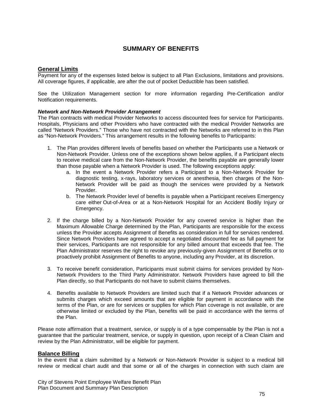# **SUMMARY OF BENEFITS**

## **General Limits**

Payment for any of the expenses listed below is subject to all Plan Exclusions, limitations and provisions. All coverage figures, if applicable, are after the out of pocket Deductible has been satisfied.

See the Utilization Management section for more information regarding Pre-Certification and/or Notification requirements.

#### *Network and Non-Network Provider Arrangement*

The Plan contracts with medical Provider Networks to access discounted fees for service for Participants. Hospitals, Physicians and other Providers who have contracted with the medical Provider Networks are called "Network Providers." Those who have not contracted with the Networks are referred to in this Plan as "Non-Network Providers." This arrangement results in the following benefits to Participants:

- 1. The Plan provides different levels of benefits based on whether the Participants use a Network or Non-Network Provider. Unless one of the exceptions shown below applies, if a Participant elects to receive medical care from the Non-Network Provider, the benefits payable are generally lower than those payable when a Network Provider is used. The following exceptions apply:
	- a. In the event a Network Provider refers a Participant to a Non-Network Provider for diagnostic testing, x-rays, laboratory services or anesthesia, then charges of the Non-Network Provider will be paid as though the services were provided by a Network Provider.
	- b. The Network Provider level of benefits is payable when a Participant receives Emergency care either Out-of-Area or at a Non-Network Hospital for an Accident Bodily Injury or Emergency.
- 2. If the charge billed by a Non-Network Provider for any covered service is higher than the Maximum Allowable Charge determined by the Plan, Participants are responsible for the excess unless the Provider accepts Assignment of Benefits as consideration in full for services rendered. Since Network Providers have agreed to accept a negotiated discounted fee as full payment for their services, Participants are not responsible for any billed amount that exceeds that fee. The Plan Administrator reserves the right to revoke any previously-given Assignment of Benefits or to proactively prohibit Assignment of Benefits to anyone, including any Provider, at its discretion.
- 3. To receive benefit consideration, Participants must submit claims for services provided by Non-Network Providers to the Third Party Administrator. Network Providers have agreed to bill the Plan directly, so that Participants do not have to submit claims themselves.
- 4. Benefits available to Network Providers are limited such that if a Network Provider advances or submits charges which exceed amounts that are eligible for payment in accordance with the terms of the Plan, or are for services or supplies for which Plan coverage is not available, or are otherwise limited or excluded by the Plan, benefits will be paid in accordance with the terms of the Plan.

Please note affirmation that a treatment, service, or supply is of a type compensable by the Plan is not a guarantee that the particular treatment, service, or supply in question, upon receipt of a Clean Claim and review by the Plan Administrator, will be eligible for payment.

#### **Balance Billing**

In the event that a claim submitted by a Network or Non-Network Provider is subject to a medical bill review or medical chart audit and that some or all of the charges in connection with such claim are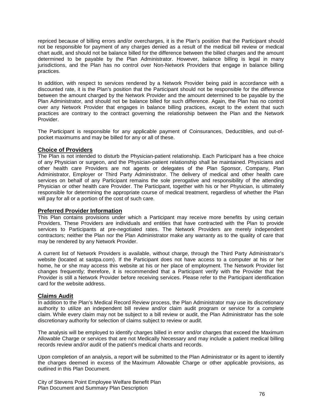repriced because of billing errors and/or overcharges, it is the Plan's position that the Participant should not be responsible for payment of any charges denied as a result of the medical bill review or medical chart audit, and should not be balance billed for the difference between the billed charges and the amount determined to be payable by the Plan Administrator. However, balance billing is legal in many jurisdictions, and the Plan has no control over Non-Network Providers that engage in balance billing practices.

In addition, with respect to services rendered by a Network Provider being paid in accordance with a discounted rate, it is the Plan's position that the Participant should not be responsible for the difference between the amount charged by the Network Provider and the amount determined to be payable by the Plan Administrator, and should not be balance billed for such difference. Again, the Plan has no control over any Network Provider that engages in balance billing practices, except to the extent that such practices are contrary to the contract governing the relationship between the Plan and the Network Provider.

The Participant is responsible for any applicable payment of Coinsurances, Deductibles, and out-ofpocket maximums and may be billed for any or all of these.

#### **Choice of Providers**

The Plan is not intended to disturb the Physician-patient relationship. Each Participant has a free choice of any Physician or surgeon, and the Physician-patient relationship shall be maintained. Physicians and other health care Providers are not agents or delegates of the Plan Sponsor, Company, Plan Administrator, Employer or Third Party Administrator. The delivery of medical and other health care services on behalf of any Participant remains the sole prerogative and responsibility of the attending Physician or other health care Provider. The Participant, together with his or her Physician, is ultimately responsible for determining the appropriate course of medical treatment, regardless of whether the Plan will pay for all or a portion of the cost of such care.

#### **Preferred Provider Information**

This Plan contains provisions under which a Participant may receive more benefits by using certain Providers. These Providers are individuals and entities that have contracted with the Plan to provide services to Participants at pre-negotiated rates. The Network Providers are merely independent contractors; neither the Plan nor the Plan Administrator make any warranty as to the quality of care that may be rendered by any Network Provider.

A current list of Network Providers is available, without charge, through the Third Party Administrator's website (located at sastpa.com). If the Participant does not have access to a computer at his or her home, he or she may access this website at his or her place of employment. The Network Provider list changes frequently; therefore, it is recommended that a Participant verify with the Provider that the Provider is still a Network Provider before receiving services. Please refer to the Participant identification card for the website address.

#### **Claims Audit**

In addition to the Plan's Medical Record Review process, the Plan Administrator may use its discretionary authority to utilize an independent bill review and/or claim audit program or service for a complete claim. While every claim may not be subject to a bill review or audit, the Plan Administrator has the sole discretionary authority for selection of claims subject to review or audit.

The analysis will be employed to identify charges billed in error and/or charges that exceed the Maximum Allowable Charge or services that are not Medically Necessary and may include a patient medical billing records review and/or audit of the patient's medical charts and records.

Upon completion of an analysis, a report will be submitted to the Plan Administrator or its agent to identify the charges deemed in excess of the Maximum Allowable Charge or other applicable provisions, as outlined in this Plan Document.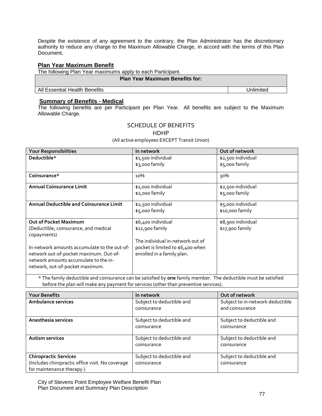Despite the existence of any agreement to the contrary, the Plan Administrator has the discretionary authority to reduce any charge to the Maximum Allowable Charge, in accord with the terms of this Plan Document.

#### **Plan Year Maximum Benefit**

The following Plan Year maximums apply to each Participant.

## **Plan Year Maximum Benefits for:**

All Essential Health Benefits Unlimited

#### **Summary of Benefits - Medical**

The following benefits are per Participant per Plan Year. All benefits are subject to the Maximum Allowable Charge.

#### SCHEDULE OF BENEFITS HDHP

(All active employees EXCEPT Transit Union)

| In network                        | Out of network     |
|-----------------------------------|--------------------|
| \$1,500 individual                | \$2,500 individual |
|                                   | \$5,000 family     |
| 10%                               | 30%                |
| \$1,000 individual                | \$2,500 individual |
| \$2,000 family                    | \$5,000 family     |
| \$2,500 individual                | \$5,000 individual |
| \$5,000 family                    | \$10,000 family    |
| \$6,400 individual                | \$8,900 individual |
| \$12,900 family                   | \$17,900 family    |
| The individual in-network out of  |                    |
| pocket is limited to \$6,400 when |                    |
| enrolled in a family plan.        |                    |
|                                   | \$3,000 family     |

\* The family deductible and coinsurance can be satisfied by **one** family member. The deductible must be satisfied before the plan will make any payment for services (other than preventive services).

| <b>Your Benefits</b>                             | In network                | Out of network                   |
|--------------------------------------------------|---------------------------|----------------------------------|
| Ambulance services                               | Subject to deductible and | Subject to in-network deductible |
|                                                  | coinsurance               | and coinsurance                  |
| Anesthesia services                              | Subject to deductible and | Subject to deductible and        |
|                                                  | coinsurance               | coinsurance                      |
|                                                  |                           |                                  |
| Autism services                                  | Subject to deductible and | Subject to deductible and        |
|                                                  | coinsurance               | coinsurance                      |
|                                                  |                           |                                  |
| <b>Chiropractic Services</b>                     | Subject to deductible and | Subject to deductible and        |
| (Includes chiropractic office visit. No coverage | coinsurance               | coinsurance                      |
| for maintenance therapy.)                        |                           |                                  |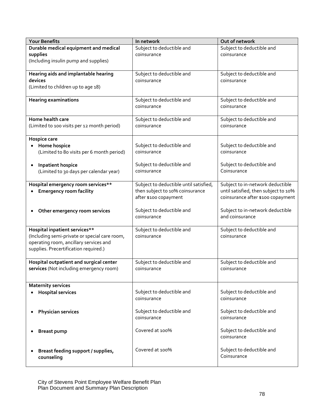| <b>Your Benefits</b>                          | In network                               | Out of network                                      |
|-----------------------------------------------|------------------------------------------|-----------------------------------------------------|
| Durable medical equipment and medical         | Subject to deductible and                | Subject to deductible and                           |
| supplies                                      | coinsurance                              | coinsurance                                         |
| (Including insulin pump and supplies)         |                                          |                                                     |
| Hearing aids and implantable hearing          | Subject to deductible and                | Subject to deductible and                           |
| devices                                       | coinsurance                              | coinsurance                                         |
| (Limited to children up to age 18)            |                                          |                                                     |
|                                               |                                          |                                                     |
| <b>Hearing examinations</b>                   | Subject to deductible and                | Subject to deductible and                           |
|                                               | coinsurance                              | coinsurance                                         |
|                                               |                                          |                                                     |
| Home health care                              | Subject to deductible and                | Subject to deductible and                           |
| (Limited to 100 visits per 12 month period)   | coinsurance                              | coinsurance                                         |
| <b>Hospice care</b>                           |                                          |                                                     |
| Home hospice                                  | Subject to deductible and                | Subject to deductible and                           |
| (Limited to 80 visits per 6 month period)     | coinsurance                              | coinsurance                                         |
|                                               |                                          |                                                     |
| <b>Inpatient hospice</b>                      | Subject to deductible and                | Subject to deductible and                           |
| (Limited to 30 days per calendar year)        | coinsurance                              | Coinsurance                                         |
|                                               |                                          |                                                     |
| Hospital emergency room services**            | Subject to deductible until satisfied,   | Subject to in-network deductible                    |
| <b>Emergency room facility</b>                | then subject to 10% coinsurance          | until satisfied, then subject to 10%                |
|                                               | after \$100 copayment                    | coinsurance after \$100 copayment                   |
|                                               |                                          |                                                     |
| Other emergency room services                 | Subject to deductible and<br>coinsurance | Subject to in-network deductible<br>and coinsurance |
|                                               |                                          |                                                     |
| Hospital inpatient services**                 | Subject to deductible and                | Subject to deductible and                           |
| (Including semi-private or special care room, | coinsurance                              | coinsurance                                         |
| operating room, ancillary services and        |                                          |                                                     |
| supplies. Precertification required.)         |                                          |                                                     |
|                                               |                                          |                                                     |
| Hospital outpatient and surgical center       | Subject to deductible and                | Subject to deductible and<br>coinsurance            |
| services (Not including emergency room)       | coinsurance                              |                                                     |
|                                               |                                          |                                                     |
| <b>Maternity services</b>                     |                                          |                                                     |
| <b>Hospital services</b>                      | Subject to deductible and                | Subject to deductible and                           |
|                                               | coinsurance                              | coinsurance                                         |
| Physician services                            | Subject to deductible and                | Subject to deductible and                           |
|                                               | coinsurance                              | coinsurance                                         |
|                                               |                                          |                                                     |
| <b>Breast pump</b>                            | Covered at 100%                          | Subject to deductible and                           |
|                                               |                                          | coinsurance                                         |
|                                               |                                          |                                                     |
| Breast feeding support / supplies,            | Covered at 100%                          | Subject to deductible and                           |
| counseling                                    |                                          | Coinsurance                                         |
|                                               |                                          |                                                     |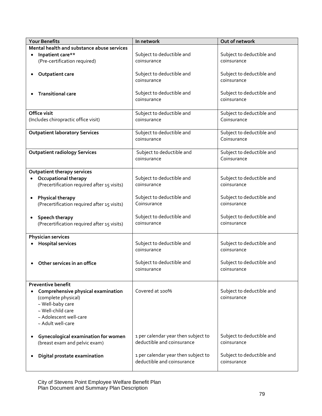| <b>Your Benefits</b>                                                                                                                              | In network                                                        | Out of network                           |
|---------------------------------------------------------------------------------------------------------------------------------------------------|-------------------------------------------------------------------|------------------------------------------|
| Mental health and substance abuse services                                                                                                        |                                                                   |                                          |
| Inpatient care**<br>(Pre-certification required)                                                                                                  | Subject to deductible and<br>coinsurance                          | Subject to deductible and<br>coinsurance |
| Outpatient care                                                                                                                                   | Subject to deductible and<br>coinsurance                          | Subject to deductible and<br>coinsurance |
| <b>Transitional care</b>                                                                                                                          | Subject to deductible and<br>coinsurance                          | Subject to deductible and<br>coinsurance |
| Office visit<br>(Includes chiropractic office visit)                                                                                              | Subject to deductible and<br>coinsurance                          | Subject to deductible and<br>Coinsurance |
| <b>Outpatient laboratory Services</b>                                                                                                             | Subject to deductible and<br>coinsurance                          | Subject to deductible and<br>Coinsurance |
| <b>Outpatient radiology Services</b>                                                                                                              | Subject to deductible and<br>coinsurance                          | Subject to deductible and<br>Coinsurance |
| Outpatient therapy services                                                                                                                       |                                                                   |                                          |
| Occupational therapy<br>(Precertification required after 15 visits)                                                                               | Subject to deductible and<br>coinsurance                          | Subject to deductible and<br>coinsurance |
| <b>Physical therapy</b><br>$\bullet$<br>(Precertification required after 15 visits)                                                               | Subject to deductible and<br>Coinsurance                          | Subject to deductible and<br>coinsurance |
|                                                                                                                                                   |                                                                   |                                          |
| Speech therapy<br>(Precertification required after 15 visits)                                                                                     | Subject to deductible and<br>coinsurance                          | Subject to deductible and<br>coinsurance |
| <b>Physician services</b>                                                                                                                         |                                                                   |                                          |
| <b>Hospital services</b>                                                                                                                          | Subject to deductible and<br>coinsurance                          | Subject to deductible and<br>coinsurance |
| Other services in an office                                                                                                                       | Subject to deductible and<br>coinsurance                          | Subject to deductible and<br>coinsurance |
| <b>Preventive benefit</b>                                                                                                                         |                                                                   |                                          |
| Comprehensive physical examination<br>(complete physical)<br>~ Well-baby care<br>~ Well-child care<br>~ Adolescent well-care<br>~ Adult well-care | Covered at 100%                                                   | Subject to deductible and<br>coinsurance |
| Gynecological examination for women<br>(breast exam and pelvic exam)                                                                              | 1 per calendar year then subject to<br>deductible and coinsurance | Subject to deductible and<br>coinsurance |
| Digital prostate examination                                                                                                                      | 1 per calendar year then subject to<br>deductible and coinsurance | Subject to deductible and<br>coinsurance |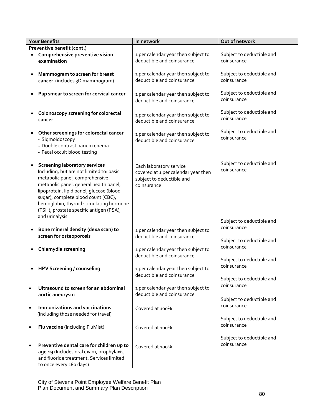|           | <b>Your Benefits</b>                                                                                                                                                                                                                                                                                                                  | In network                                                                                                 | Out of network                                                                       |
|-----------|---------------------------------------------------------------------------------------------------------------------------------------------------------------------------------------------------------------------------------------------------------------------------------------------------------------------------------------|------------------------------------------------------------------------------------------------------------|--------------------------------------------------------------------------------------|
|           | Preventive benefit (cont.)                                                                                                                                                                                                                                                                                                            |                                                                                                            |                                                                                      |
| $\bullet$ | Comprehensive preventive vision<br>examination                                                                                                                                                                                                                                                                                        | 1 per calendar year then subject to<br>deductible and coinsurance                                          | Subject to deductible and<br>coinsurance                                             |
|           | Mammogram to screen for breast<br>cancer (includes 3D mammogram)                                                                                                                                                                                                                                                                      | 1 per calendar year then subject to<br>deductible and coinsurance                                          | Subject to deductible and<br>coinsurance                                             |
|           | Pap smear to screen for cervical cancer                                                                                                                                                                                                                                                                                               | 1 per calendar year then subject to<br>deductible and coinsurance                                          | Subject to deductible and<br>coinsurance                                             |
|           | Colonoscopy screening for colorectal<br>cancer                                                                                                                                                                                                                                                                                        | 1 per calendar year then subject to<br>deductible and coinsurance                                          | Subject to deductible and<br>coinsurance                                             |
|           | Other screenings for colorectal cancer<br>~ Sigmoidoscopy<br>~ Double contrast barium enema<br>~ Fecal occult blood testing                                                                                                                                                                                                           | 1 per calendar year then subject to<br>deductible and coinsurance                                          | Subject to deductible and<br>coinsurance                                             |
| $\bullet$ | <b>Screening laboratory services</b><br>Including, but are not limited to: basic<br>metabolic panel, comprehensive<br>metabolic panel, general health panel,<br>lipoprotein, lipid panel, glucose (blood<br>sugar), complete blood count (CBC),<br>hemoglobin, thyroid stimulating hormone<br>(TSH), prostate specific antigen (PSA), | Each laboratory service<br>covered at 1 per calendar year then<br>subject to deductible and<br>coinsurance | Subject to deductible and<br>coinsurance                                             |
| $\bullet$ | and urinalysis.<br>Bone mineral density (dexa scan) to<br>screen for osteoporosis                                                                                                                                                                                                                                                     | 1 per calendar year then subject to<br>deductible and coinsurance                                          | Subject to deductible and<br>coinsurance<br>Subject to deductible and<br>coinsurance |
|           | Chlamydia screening                                                                                                                                                                                                                                                                                                                   | 1 per calendar year then subject to<br>deductible and coinsurance                                          | Subject to deductible and                                                            |
|           | <b>HPV Screening / counseling</b>                                                                                                                                                                                                                                                                                                     | 1 per calendar year then subject to<br>deductible and coinsurance                                          | coinsurance<br>Subject to deductible and                                             |
|           | Ultrasound to screen for an abdominal<br>aortic aneurysm                                                                                                                                                                                                                                                                              | 1 per calendar year then subject to<br>deductible and coinsurance                                          | coinsurance<br>Subject to deductible and                                             |
|           | Immunizations and vaccinations<br>(including those needed for travel)                                                                                                                                                                                                                                                                 | Covered at 100%                                                                                            | coinsurance                                                                          |
|           | Flu vaccine (including FluMist)                                                                                                                                                                                                                                                                                                       | Covered at 100%                                                                                            | Subject to deductible and<br>coinsurance                                             |
|           | Preventive dental care for children up to<br>age 19 (Includes oral exam, prophylaxis,<br>and fluoride treatment. Services limited<br>to once every 180 days)                                                                                                                                                                          | Covered at 100%                                                                                            | Subject to deductible and<br>coinsurance                                             |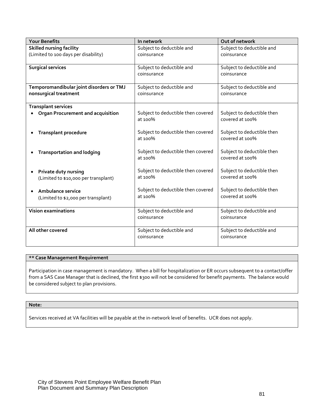| <b>Your Benefits</b>                     | In network                                    | Out of network                                |
|------------------------------------------|-----------------------------------------------|-----------------------------------------------|
| Skilled nursing facility                 | Subject to deductible and                     | Subject to deductible and                     |
| (Limited to 100 days per disability)     | coinsurance                                   | coinsurance                                   |
|                                          |                                               |                                               |
| <b>Surgical services</b>                 | Subject to deductible and                     | Subject to deductible and                     |
|                                          | coinsurance                                   | coinsurance                                   |
| Temporomandibular joint disorders or TMJ | Subject to deductible and                     | Subject to deductible and                     |
| nonsurgical treatment                    | coinsurance                                   | coinsurance                                   |
|                                          |                                               |                                               |
| <b>Transplant services</b>               |                                               |                                               |
| <b>Organ Procurement and acquisition</b> | Subject to deductible then covered            | Subject to deductible then                    |
|                                          | at 100%                                       | covered at 100%                               |
|                                          |                                               |                                               |
| <b>Transplant procedure</b>              | Subject to deductible then covered            | Subject to deductible then                    |
|                                          | at 100%                                       | covered at 100%                               |
|                                          |                                               |                                               |
| <b>Transportation and lodging</b>        | Subject to deductible then covered<br>at 100% | Subject to deductible then<br>covered at 100% |
|                                          |                                               |                                               |
| <b>Private duty nursing</b>              | Subject to deductible then covered            | Subject to deductible then                    |
| (Limited to \$10,000 per transplant)     | at 100%                                       | covered at 100%                               |
|                                          |                                               |                                               |
| Ambulance service                        | Subject to deductible then covered            | Subject to deductible then                    |
| (Limited to \$2,000 per transplant)      | at 100%                                       | covered at 100%                               |
|                                          |                                               |                                               |
| <b>Vision examinations</b>               | Subject to deductible and                     | Subject to deductible and                     |
|                                          | coinsurance                                   | coinsurance                                   |
|                                          |                                               |                                               |
| All other covered                        | Subject to deductible and                     | Subject to deductible and                     |
|                                          | coinsurance                                   | coinsurance                                   |
|                                          |                                               |                                               |

### **\*\* Case Management Requirement**

Participation in case management is mandatory. When a bill for hospitalization or ER occurs subsequent to a contact/offer from a SAS Case Manager that is declined, the first \$300 will not be considered for benefit payments. The balance would be considered subject to plan provisions.

## **Note:**

Services received at VA facilities will be payable at the in-network level of benefits. UCR does not apply.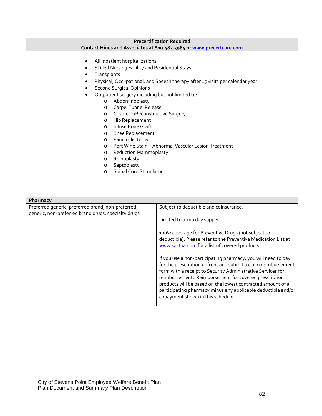|                                                                                                     | <b>Precertification Required</b>                                                                                                                                                                                                                                                                                                                                                                                                                                                                                                                                                   |  |  |
|-----------------------------------------------------------------------------------------------------|------------------------------------------------------------------------------------------------------------------------------------------------------------------------------------------------------------------------------------------------------------------------------------------------------------------------------------------------------------------------------------------------------------------------------------------------------------------------------------------------------------------------------------------------------------------------------------|--|--|
|                                                                                                     | Contact Hines and Associates at 800.483.5984 or www.precertcare.com                                                                                                                                                                                                                                                                                                                                                                                                                                                                                                                |  |  |
| $\bullet$<br>$\bullet$<br>$\circ$<br>$\circ$<br>$\circ$<br>$\circ$<br>$\circ$<br>$\circ$<br>$\circ$ | All Inpatient hospitalizations<br>Skilled Nursing Facility and Residential Stays<br>Transplants<br>Physical, Occupational, and Speech therapy after 15 visits per calendar year<br><b>Second Surgical Opinions</b><br>Outpatient surgery including but not limited to:<br>Abdominoplasty<br>$\circ$<br><b>Carpel Tunnel Release</b><br>Cosmetic/Reconstructive Surgery<br>Hip Replacement<br>$\circ$<br>Infuse Bone Graft<br>$\Omega$<br>Knee Replacement<br>Panniculectomy<br>Port Wine Stain - Abnormal Vascular Lesion Treatment<br><b>Reduction Mammoplasty</b><br>Rhinoplasty |  |  |
| $\circ$<br>$\circ$                                                                                  | Septoplasty<br>Spinal Cord Stimulator                                                                                                                                                                                                                                                                                                                                                                                                                                                                                                                                              |  |  |
|                                                                                                     |                                                                                                                                                                                                                                                                                                                                                                                                                                                                                                                                                                                    |  |  |

| Pharmacy                                                                                                 |                                                                                                                                                                                                                                                                                                                                                                                                                             |
|----------------------------------------------------------------------------------------------------------|-----------------------------------------------------------------------------------------------------------------------------------------------------------------------------------------------------------------------------------------------------------------------------------------------------------------------------------------------------------------------------------------------------------------------------|
| Preferred generic, preferred brand, non-preferred<br>generic, non-preferred brand drugs, specialty drugs | Subject to deductible and coinsurance.                                                                                                                                                                                                                                                                                                                                                                                      |
|                                                                                                          | Limited to a 100 day supply.                                                                                                                                                                                                                                                                                                                                                                                                |
|                                                                                                          | 100% coverage for Preventive Drugs (not subject to<br>deductible). Please refer to the Preventive Medication List at<br>www.sastpa.com for a list of covered products.                                                                                                                                                                                                                                                      |
|                                                                                                          | If you use a non-participating pharmacy, you will need to pay<br>for the prescription upfront and submit a claim reimbursement<br>form with a receipt to Security Administrative Services for<br>reimbursement. Reimbursement for covered prescription<br>products will be based on the lowest contracted amount of a<br>participating pharmacy minus any applicable deductible and/or<br>copayment shown in this schedule. |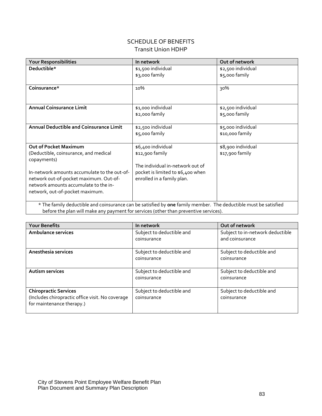# SCHEDULE OF BENEFITS Transit Union HDHP

| Your Responsibilities                                                                                           | In network                        | Out of network     |
|-----------------------------------------------------------------------------------------------------------------|-----------------------------------|--------------------|
| Deductible*                                                                                                     | \$1,500 individual                | \$2,500 individual |
|                                                                                                                 | \$3,000 family                    | \$5,000 family     |
|                                                                                                                 |                                   |                    |
| Coinsurance*                                                                                                    | 10%                               | 30%                |
|                                                                                                                 |                                   |                    |
| <b>Annual Coinsurance Limit</b>                                                                                 | \$1,000 individual                | \$2,500 individual |
|                                                                                                                 | \$2,000 family                    | \$5,000 family     |
|                                                                                                                 |                                   |                    |
| Annual Deductible and Coinsurance Limit                                                                         | \$2,500 individual                | \$5,000 individual |
|                                                                                                                 | \$5,000 family                    | \$10,000 family    |
|                                                                                                                 |                                   |                    |
| Out of Pocket Maximum                                                                                           | \$6,400 individual                | \$8,900 individual |
| (Deductible, coinsurance, and medical<br>copayments)                                                            | \$12,900 family                   | \$17,900 family    |
|                                                                                                                 | The individual in-network out of  |                    |
| In-network amounts accumulate to the out-of-                                                                    | pocket is limited to \$6,400 when |                    |
| network out-of-pocket maximum. Out-of-                                                                          | enrolled in a family plan.        |                    |
| network amounts accumulate to the in-                                                                           |                                   |                    |
| network, out-of-pocket maximum.                                                                                 |                                   |                    |
|                                                                                                                 |                                   |                    |
| * The family deductible and coinsurance can be satisfied by one family member. The deductible must be satisfied |                                   |                    |

before the plan will make any payment for services (other than preventive services).

| <b>Your Benefits</b>                                                          | In network                | Out of network                   |
|-------------------------------------------------------------------------------|---------------------------|----------------------------------|
| Ambulance services                                                            | Subject to deductible and | Subject to in-network deductible |
|                                                                               | coinsurance               | and coinsurance                  |
| Anesthesia services                                                           | Subject to deductible and | Subject to deductible and        |
|                                                                               | coinsurance               | coinsurance                      |
| <b>Autism services</b>                                                        | Subject to deductible and | Subject to deductible and        |
|                                                                               | coinsurance               | coinsurance                      |
| <b>Chiropractic Services</b>                                                  | Subject to deductible and | Subject to deductible and        |
| (Includes chiropractic office visit. No coverage<br>for maintenance therapy.) | coinsurance               | coinsurance                      |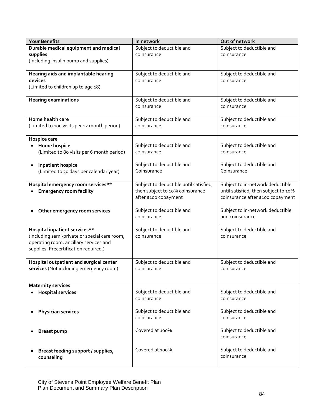| <b>Your Benefits</b>                             | In network                             | Out of network                       |
|--------------------------------------------------|----------------------------------------|--------------------------------------|
| Durable medical equipment and medical            | Subject to deductible and              | Subject to deductible and            |
| supplies                                         | coinsurance                            | coinsurance                          |
| (Including insulin pump and supplies)            |                                        |                                      |
| Hearing aids and implantable hearing             | Subject to deductible and              | Subject to deductible and            |
| devices                                          | coinsurance                            | coinsurance                          |
| (Limited to children up to age 18)               |                                        |                                      |
|                                                  |                                        |                                      |
| <b>Hearing examinations</b>                      | Subject to deductible and              | Subject to deductible and            |
|                                                  | coinsurance                            | coinsurance                          |
|                                                  |                                        |                                      |
| Home health care                                 | Subject to deductible and              | Subject to deductible and            |
| (Limited to 100 visits per 12 month period)      | coinsurance                            | coinsurance                          |
| <b>Hospice care</b>                              |                                        |                                      |
| Home hospice                                     | Subject to deductible and              | Subject to deductible and            |
| (Limited to 80 visits per 6 month period)        | coinsurance                            | coinsurance                          |
|                                                  |                                        |                                      |
| <b>Inpatient hospice</b>                         | Subject to deductible and              | Subject to deductible and            |
| (Limited to 30 days per calendar year)           | Coinsurance                            | Coinsurance                          |
|                                                  |                                        |                                      |
| Hospital emergency room services**               | Subject to deductible until satisfied, | Subject to in-network deductible     |
| <b>Emergency room facility</b>                   | then subject to 10% coinsurance        | until satisfied, then subject to 10% |
|                                                  | after \$100 copayment                  | coinsurance after \$100 copayment    |
|                                                  |                                        |                                      |
| Other emergency room services                    | Subject to deductible and              | Subject to in-network deductible     |
|                                                  | coinsurance                            | and coinsurance                      |
| Hospital inpatient services**                    | Subject to deductible and              | Subject to deductible and            |
| (Including semi-private or special care room,    | coinsurance                            | coinsurance                          |
| operating room, ancillary services and           |                                        |                                      |
| supplies. Precertification required.)            |                                        |                                      |
|                                                  |                                        |                                      |
| Hospital outpatient and surgical center          | Subject to deductible and              | Subject to deductible and            |
| services (Not including emergency room)          | coinsurance                            | coinsurance                          |
|                                                  |                                        |                                      |
| <b>Maternity services</b>                        |                                        |                                      |
| <b>Hospital services</b>                         | Subject to deductible and              | Subject to deductible and            |
|                                                  | coinsurance                            | coinsurance                          |
|                                                  |                                        |                                      |
| Physician services                               | Subject to deductible and              | Subject to deductible and            |
|                                                  | coinsurance                            | coinsurance                          |
|                                                  | Covered at 100%                        | Subject to deductible and            |
| <b>Breast pump</b>                               |                                        | coinsurance                          |
|                                                  |                                        |                                      |
|                                                  | Covered at 100%                        | Subject to deductible and            |
| Breast feeding support / supplies,<br>counseling |                                        | coinsurance                          |
|                                                  |                                        |                                      |
|                                                  |                                        |                                      |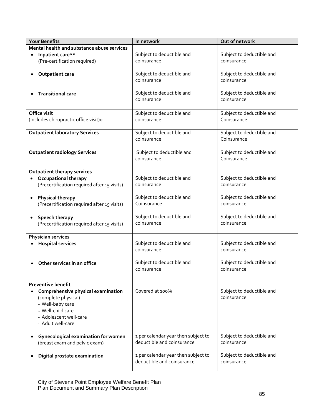| <b>Your Benefits</b>                                                                                                                              | In network                                                        | Out of network                           |
|---------------------------------------------------------------------------------------------------------------------------------------------------|-------------------------------------------------------------------|------------------------------------------|
| Mental health and substance abuse services                                                                                                        |                                                                   |                                          |
| Inpatient care**                                                                                                                                  | Subject to deductible and                                         | Subject to deductible and                |
| (Pre-certification required)                                                                                                                      | coinsurance                                                       | coinsurance                              |
| Outpatient care                                                                                                                                   | Subject to deductible and<br>coinsurance                          | Subject to deductible and<br>coinsurance |
| <b>Transitional care</b>                                                                                                                          | Subject to deductible and<br>coinsurance                          | Subject to deductible and<br>coinsurance |
| Office visit                                                                                                                                      | Subject to deductible and                                         | Subject to deductible and                |
| (Includes chiropractic office visit)o                                                                                                             | coinsurance                                                       | Coinsurance                              |
| <b>Outpatient laboratory Services</b>                                                                                                             | Subject to deductible and<br>coinsurance                          | Subject to deductible and<br>Coinsurance |
| <b>Outpatient radiology Services</b>                                                                                                              | Subject to deductible and<br>coinsurance                          | Subject to deductible and<br>Coinsurance |
| Outpatient therapy services                                                                                                                       |                                                                   |                                          |
| Occupational therapy<br>(Precertification required after 15 visits)                                                                               | Subject to deductible and<br>coinsurance                          | Subject to deductible and<br>coinsurance |
|                                                                                                                                                   | Subject to deductible and                                         | Subject to deductible and                |
| <b>Physical therapy</b><br>$\bullet$<br>(Precertification required after 15 visits)                                                               | Coinsurance                                                       | coinsurance                              |
|                                                                                                                                                   |                                                                   |                                          |
| Speech therapy                                                                                                                                    | Subject to deductible and                                         | Subject to deductible and                |
| (Precertification required after 15 visits)                                                                                                       | coinsurance                                                       | coinsurance                              |
|                                                                                                                                                   |                                                                   |                                          |
| <b>Physician services</b>                                                                                                                         |                                                                   |                                          |
| <b>Hospital services</b>                                                                                                                          | Subject to deductible and                                         | Subject to deductible and                |
|                                                                                                                                                   | coinsurance                                                       | coinsurance                              |
|                                                                                                                                                   |                                                                   |                                          |
| Other services in an office                                                                                                                       | Subject to deductible and                                         | Subject to deductible and                |
|                                                                                                                                                   | coinsurance                                                       | coinsurance                              |
|                                                                                                                                                   |                                                                   |                                          |
| <b>Preventive benefit</b>                                                                                                                         |                                                                   |                                          |
| Comprehensive physical examination<br>(complete physical)<br>~ Well-baby care<br>~ Well-child care<br>~ Adolescent well-care<br>~ Adult well-care | Covered at 100%                                                   | Subject to deductible and<br>coinsurance |
| Gynecological examination for women<br>(breast exam and pelvic exam)                                                                              | 1 per calendar year then subject to<br>deductible and coinsurance | Subject to deductible and<br>coinsurance |
| Digital prostate examination                                                                                                                      | 1 per calendar year then subject to<br>deductible and coinsurance | Subject to deductible and<br>coinsurance |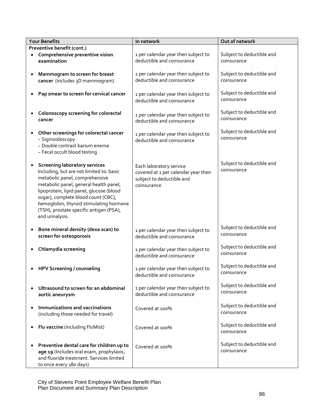| <b>Your Benefits</b> |                                                                                                                                                                                                                                                                                                                                                          | In network                                                                                                 | Out of network                           |
|----------------------|----------------------------------------------------------------------------------------------------------------------------------------------------------------------------------------------------------------------------------------------------------------------------------------------------------------------------------------------------------|------------------------------------------------------------------------------------------------------------|------------------------------------------|
|                      | Preventive benefit (cont.)                                                                                                                                                                                                                                                                                                                               |                                                                                                            |                                          |
|                      | Comprehensive preventive vision<br>examination                                                                                                                                                                                                                                                                                                           | 1 per calendar year then subject to<br>deductible and coinsurance                                          | Subject to deductible and<br>coinsurance |
| $\bullet$            | Mammogram to screen for breast<br>cancer (includes 3D mammogram)                                                                                                                                                                                                                                                                                         | 1 per calendar year then subject to<br>deductible and coinsurance                                          | Subject to deductible and<br>coinsurance |
|                      | Pap smear to screen for cervical cancer                                                                                                                                                                                                                                                                                                                  | 1 per calendar year then subject to<br>deductible and coinsurance                                          | Subject to deductible and<br>coinsurance |
|                      | Colonoscopy screening for colorectal<br>cancer                                                                                                                                                                                                                                                                                                           | 1 per calendar year then subject to<br>deductible and coinsurance                                          | Subject to deductible and<br>coinsurance |
| $\bullet$            | Other screenings for colorectal cancer<br>~ Sigmoidoscopy<br>~ Double contrast barium enema<br>~ Fecal occult blood testing                                                                                                                                                                                                                              | 1 per calendar year then subject to<br>deductible and coinsurance                                          | Subject to deductible and<br>coinsurance |
| $\bullet$            | <b>Screening laboratory services</b><br>Including, but are not limited to: basic<br>metabolic panel, comprehensive<br>metabolic panel, general health panel,<br>lipoprotein, lipid panel, glucose (blood<br>sugar), complete blood count (CBC),<br>hemoglobin, thyroid stimulating hormone<br>(TSH), prostate specific antigen (PSA),<br>and urinalysis. | Each laboratory service<br>covered at 1 per calendar year then<br>subject to deductible and<br>coinsurance | Subject to deductible and<br>coinsurance |
| $\bullet$            | Bone mineral density (dexa scan) to<br>screen for osteoporosis                                                                                                                                                                                                                                                                                           | 1 per calendar year then subject to<br>deductible and coinsurance                                          | Subject to deductible and<br>coinsurance |
|                      | Chlamydia screening                                                                                                                                                                                                                                                                                                                                      | 1 per calendar year then subject to<br>deductible and coinsurance                                          | Subject to deductible and<br>coinsurance |
|                      | <b>HPV Screening / counseling</b>                                                                                                                                                                                                                                                                                                                        | 1 per calendar year then subject to<br>deductible and coinsurance                                          | Subject to deductible and<br>coinsurance |
|                      | Ultrasound to screen for an abdominal<br>aortic aneurysm                                                                                                                                                                                                                                                                                                 | 1 per calendar year then subject to<br>deductible and coinsurance                                          | Subject to deductible and<br>coinsurance |
|                      | Immunizations and vaccinations<br>(including those needed for travel)                                                                                                                                                                                                                                                                                    | Covered at 100%                                                                                            | Subject to deductible and<br>coinsurance |
|                      | Flu vaccine (including FluMist)                                                                                                                                                                                                                                                                                                                          | Covered at 100%                                                                                            | Subject to deductible and<br>coinsurance |
|                      | Preventive dental care for children up to<br>age 19 (Includes oral exam, prophylaxis,<br>and fluoride treatment. Services limited<br>to once every 180 days)                                                                                                                                                                                             | Covered at 100%                                                                                            | Subject to deductible and<br>coinsurance |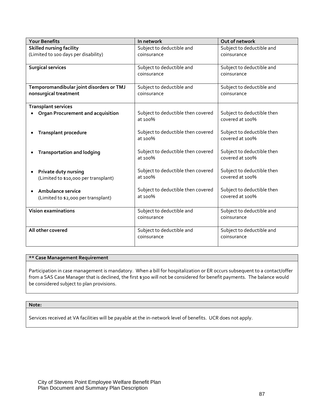| <b>Your Benefits</b>                     | In network                         | Out of network             |
|------------------------------------------|------------------------------------|----------------------------|
| Skilled nursing facility                 | Subject to deductible and          | Subject to deductible and  |
| (Limited to 100 days per disability)     | coinsurance                        | coinsurance                |
|                                          |                                    |                            |
| <b>Surgical services</b>                 | Subject to deductible and          | Subject to deductible and  |
|                                          | coinsurance                        | coinsurance                |
| Temporomandibular joint disorders or TMJ | Subject to deductible and          | Subject to deductible and  |
| nonsurgical treatment                    | coinsurance                        | coinsurance                |
|                                          |                                    |                            |
| <b>Transplant services</b>               |                                    |                            |
| <b>Organ Procurement and acquisition</b> | Subject to deductible then covered | Subject to deductible then |
|                                          | at 100%                            | covered at 100%            |
|                                          |                                    |                            |
| <b>Transplant procedure</b>              | Subject to deductible then covered | Subject to deductible then |
|                                          | at 100%                            | covered at 100%            |
|                                          | Subject to deductible then covered | Subject to deductible then |
| <b>Transportation and lodging</b>        | at 100%                            | covered at 100%            |
|                                          |                                    |                            |
| <b>Private duty nursing</b>              | Subject to deductible then covered | Subject to deductible then |
| (Limited to \$10,000 per transplant)     | at 100%                            | covered at 100%            |
|                                          |                                    |                            |
| Ambulance service                        | Subject to deductible then covered | Subject to deductible then |
| (Limited to \$2,000 per transplant)      | at 100%                            | covered at 100%            |
|                                          |                                    |                            |
| <b>Vision examinations</b>               | Subject to deductible and          | Subject to deductible and  |
|                                          | coinsurance                        | coinsurance                |
|                                          |                                    |                            |
| All other covered                        | Subject to deductible and          | Subject to deductible and  |
|                                          | coinsurance                        | coinsurance                |
|                                          |                                    |                            |

### **\*\* Case Management Requirement**

Participation in case management is mandatory. When a bill for hospitalization or ER occurs subsequent to a contact/offer from a SAS Case Manager that is declined, the first \$300 will not be considered for benefit payments. The balance would be considered subject to plan provisions.

## **Note:**

Services received at VA facilities will be payable at the in-network level of benefits. UCR does not apply.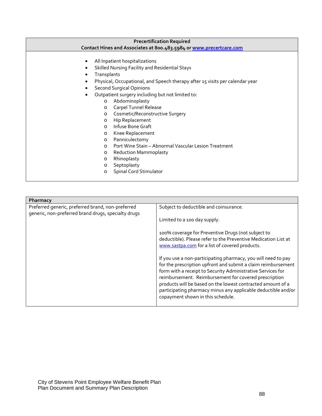| Contact Hines and Associates at 800.483.5984 or www.precertcare.com                                                                                                                                                                                                                                                                                                                                                                                                                                                                                                                                                                                                                                                                                    |  |  |  |
|--------------------------------------------------------------------------------------------------------------------------------------------------------------------------------------------------------------------------------------------------------------------------------------------------------------------------------------------------------------------------------------------------------------------------------------------------------------------------------------------------------------------------------------------------------------------------------------------------------------------------------------------------------------------------------------------------------------------------------------------------------|--|--|--|
| All Inpatient hospitalizations<br>$\bullet$<br>Skilled Nursing Facility and Residential Stays<br>٠<br>Transplants<br>٠<br>Physical, Occupational, and Speech therapy after 15 visits per calendar year<br><b>Second Surgical Opinions</b><br>Outpatient surgery including but not limited to:<br>Abdominoplasty<br>$\circ$<br><b>Carpel Tunnel Release</b><br>$\circ$<br>Cosmetic/Reconstructive Surgery<br>$\circ$<br>Hip Replacement<br>$\circ$<br>Infuse Bone Graft<br>$\Omega$<br>Knee Replacement<br>$\circ$<br>Panniculectomy<br>$\circ$<br>Port Wine Stain - Abnormal Vascular Lesion Treatment<br>$\Omega$<br><b>Reduction Mammoplasty</b><br>$\circ$<br>Rhinoplasty<br>$\circ$<br>Septoplasty<br>$\circ$<br>Spinal Cord Stimulator<br>$\circ$ |  |  |  |

| Subject to deductible and coinsurance.                                                                                                                                                                                                                                                                                                                                                                                      |
|-----------------------------------------------------------------------------------------------------------------------------------------------------------------------------------------------------------------------------------------------------------------------------------------------------------------------------------------------------------------------------------------------------------------------------|
| Limited to a 100 day supply.                                                                                                                                                                                                                                                                                                                                                                                                |
| 100% coverage for Preventive Drugs (not subject to<br>deductible). Please refer to the Preventive Medication List at<br>www.sastpa.com for a list of covered products.                                                                                                                                                                                                                                                      |
| If you use a non-participating pharmacy, you will need to pay<br>for the prescription upfront and submit a claim reimbursement<br>form with a receipt to Security Administrative Services for<br>reimbursement. Reimbursement for covered prescription<br>products will be based on the lowest contracted amount of a<br>participating pharmacy minus any applicable deductible and/or<br>copayment shown in this schedule. |
|                                                                                                                                                                                                                                                                                                                                                                                                                             |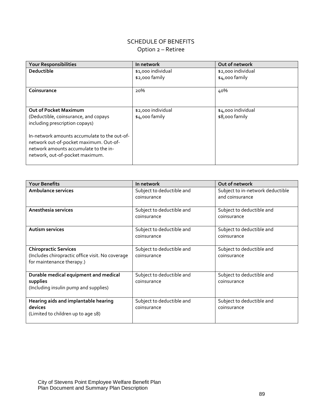# SCHEDULE OF BENEFITS Option 2 – Retiree

| Your Responsibilities                                                                                                                                              | In network         | Out of network     |
|--------------------------------------------------------------------------------------------------------------------------------------------------------------------|--------------------|--------------------|
| <b>Deductible</b>                                                                                                                                                  | \$1,000 individual | \$2,000 individual |
|                                                                                                                                                                    | \$2,000 family     | \$4,000 family     |
| Coinsurance                                                                                                                                                        | 20%                | 40%                |
|                                                                                                                                                                    |                    |                    |
| Out of Pocket Maximum                                                                                                                                              | \$2,000 individual | \$4,000 individual |
| (Deductible, coinsurance, and copays                                                                                                                               | \$4,000 family     | \$8,000 family     |
| including prescription copays)                                                                                                                                     |                    |                    |
| In-network amounts accumulate to the out-of-<br>network out-of-pocket maximum. Out-of-<br>network amounts accumulate to the in-<br>network, out-of-pocket maximum. |                    |                    |

| <b>Your Benefits</b>                             | In network                | Out of network                   |
|--------------------------------------------------|---------------------------|----------------------------------|
| Ambulance services                               | Subject to deductible and | Subject to in-network deductible |
|                                                  | coinsurance               | and coinsurance                  |
|                                                  |                           |                                  |
| Anesthesia services                              | Subject to deductible and | Subject to deductible and        |
|                                                  | coinsurance               | coinsurance                      |
| <b>Autism services</b>                           | Subject to deductible and | Subject to deductible and        |
|                                                  | coinsurance               | coinsurance                      |
|                                                  |                           |                                  |
| <b>Chiropractic Services</b>                     | Subject to deductible and | Subject to deductible and        |
| (Includes chiropractic office visit. No coverage | coinsurance               | coinsurance                      |
| for maintenance therapy.)                        |                           |                                  |
|                                                  |                           |                                  |
| Durable medical equipment and medical            | Subject to deductible and | Subject to deductible and        |
| supplies                                         | coinsurance               | coinsurance                      |
| (Including insulin pump and supplies)            |                           |                                  |
|                                                  |                           |                                  |
| Hearing aids and implantable hearing<br>devices  | Subject to deductible and | Subject to deductible and        |
|                                                  | coinsurance               | coinsurance                      |
| (Limited to children up to age 18)               |                           |                                  |
|                                                  |                           |                                  |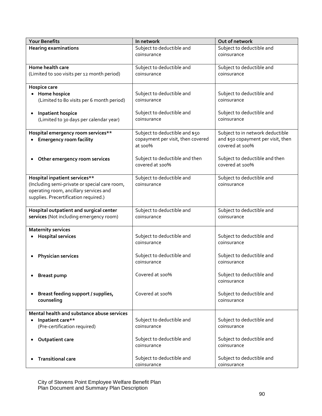| <b>Your Benefits</b>                          | In network                        | Out of network                     |
|-----------------------------------------------|-----------------------------------|------------------------------------|
| <b>Hearing examinations</b>                   | Subject to deductible and         | Subject to deductible and          |
|                                               | coinsurance                       | coinsurance                        |
|                                               |                                   |                                    |
| Home health care                              | Subject to deductible and         | Subject to deductible and          |
| (Limited to 100 visits per 12 month period)   | coinsurance                       | coinsurance                        |
|                                               |                                   |                                    |
| <b>Hospice care</b>                           |                                   |                                    |
| • Home hospice                                | Subject to deductible and         | Subject to deductible and          |
| (Limited to 80 visits per 6 month period)     | coinsurance                       | coinsurance                        |
|                                               |                                   |                                    |
| Inpatient hospice                             | Subject to deductible and         | Subject to deductible and          |
| (Limited to 30 days per calendar year)        | coinsurance                       | coinsurance                        |
|                                               |                                   |                                    |
| Hospital emergency room services**            | Subject to deductible and \$50    | Subject to in network deductible   |
| <b>Emergency room facility</b>                | copayment per visit, then covered | and \$50 copayment per visit, then |
|                                               | at 100%                           | covered at 100%                    |
|                                               |                                   |                                    |
| Other emergency room services                 | Subject to deductible and then    | Subject to deductible and then     |
|                                               | covered at 100%                   | covered at 100%                    |
|                                               |                                   |                                    |
| Hospital inpatient services**                 | Subject to deductible and         | Subject to deductible and          |
| (Including semi-private or special care room, | coinsurance                       | coinsurance                        |
| operating room, ancillary services and        |                                   |                                    |
| supplies. Precertification required.)         |                                   |                                    |
|                                               |                                   |                                    |
| Hospital outpatient and surgical center       | Subject to deductible and         | Subject to deductible and          |
| services (Not including emergency room)       | coinsurance                       | coinsurance                        |
| <b>Maternity services</b>                     |                                   |                                    |
| <b>Hospital services</b>                      | Subject to deductible and         | Subject to deductible and          |
|                                               | coinsurance                       | coinsurance                        |
|                                               |                                   |                                    |
|                                               | Subject to deductible and         | Subject to deductible and          |
| <b>Physician services</b>                     | coinsurance                       | coinsurance                        |
|                                               |                                   |                                    |
| <b>Breast pump</b>                            | Covered at 100%                   | Subject to deductible and          |
|                                               |                                   | coinsurance                        |
|                                               |                                   |                                    |
| Breast feeding support / supplies,            | Covered at 100%                   | Subject to deductible and          |
| counseling                                    |                                   | coinsurance                        |
|                                               |                                   |                                    |
| Mental health and substance abuse services    |                                   |                                    |
| Inpatient care**                              | Subject to deductible and         | Subject to deductible and          |
| (Pre-certification required)                  | coinsurance                       | coinsurance                        |
|                                               |                                   |                                    |
| Outpatient care                               | Subject to deductible and         | Subject to deductible and          |
|                                               | coinsurance                       | coinsurance                        |
|                                               |                                   |                                    |
| <b>Transitional care</b>                      | Subject to deductible and         | Subject to deductible and          |
|                                               | coinsurance                       | coinsurance                        |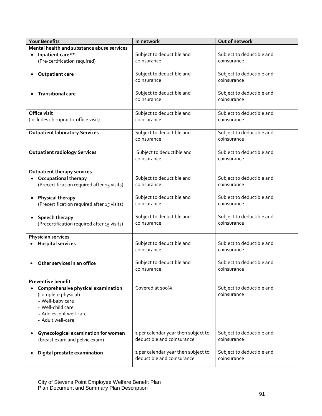| <b>Your Benefits</b>                        | In network                          | Out of network            |
|---------------------------------------------|-------------------------------------|---------------------------|
| Mental health and substance abuse services  |                                     |                           |
| Inpatient care**                            | Subject to deductible and           | Subject to deductible and |
| (Pre-certification required)                | coinsurance                         | coinsurance               |
|                                             |                                     |                           |
| Outpatient care                             | Subject to deductible and           | Subject to deductible and |
|                                             | coinsurance                         | coinsurance               |
|                                             |                                     |                           |
|                                             |                                     |                           |
| <b>Transitional care</b>                    | Subject to deductible and           | Subject to deductible and |
|                                             | coinsurance                         | coinsurance               |
|                                             |                                     |                           |
| Office visit                                | Subject to deductible and           | Subject to deductible and |
| (Includes chiropractic office visit)        | coinsurance                         | coinsurance               |
|                                             |                                     |                           |
| <b>Outpatient laboratory Services</b>       | Subject to deductible and           | Subject to deductible and |
|                                             | coinsurance                         | coinsurance               |
|                                             |                                     |                           |
| <b>Outpatient radiology Services</b>        | Subject to deductible and           | Subject to deductible and |
|                                             | coinsurance                         | coinsurance               |
|                                             |                                     |                           |
| Outpatient therapy services                 |                                     |                           |
| Occupational therapy                        | Subject to deductible and           | Subject to deductible and |
| (Precertification required after 15 visits) | coinsurance                         | coinsurance               |
|                                             |                                     |                           |
|                                             | Subject to deductible and           | Subject to deductible and |
| <b>Physical therapy</b><br>$\bullet$        | coinsurance                         | coinsurance               |
| (Precertification required after 15 visits) |                                     |                           |
|                                             |                                     |                           |
| <b>Speech therapy</b>                       | Subject to deductible and           | Subject to deductible and |
| (Precertification required after 15 visits) | coinsurance                         | coinsurance               |
|                                             |                                     |                           |
| <b>Physician services</b>                   |                                     |                           |
| <b>Hospital services</b>                    | Subject to deductible and           | Subject to deductible and |
|                                             | coinsurance                         | coinsurance               |
|                                             |                                     |                           |
| Other services in an office                 | Subject to deductible and           | Subject to deductible and |
|                                             | coinsurance                         | coinsurance               |
|                                             |                                     |                           |
| <b>Preventive benefit</b>                   |                                     |                           |
| Comprehensive physical examination          | Covered at 100%                     | Subject to deductible and |
| (complete physical)                         |                                     | coinsurance               |
| ~ Well-baby care                            |                                     |                           |
| ~ Well-child care                           |                                     |                           |
| ~ Adolescent well-care                      |                                     |                           |
| ~ Adult well-care                           |                                     |                           |
|                                             |                                     |                           |
| <b>Gynecological examination for women</b>  | 1 per calendar year then subject to | Subject to deductible and |
| (breast exam and pelvic exam)               | deductible and coinsurance          | coinsurance               |
|                                             |                                     |                           |
| Digital prostate examination                | 1 per calendar year then subject to | Subject to deductible and |
|                                             | deductible and coinsurance          | coinsurance               |
|                                             |                                     |                           |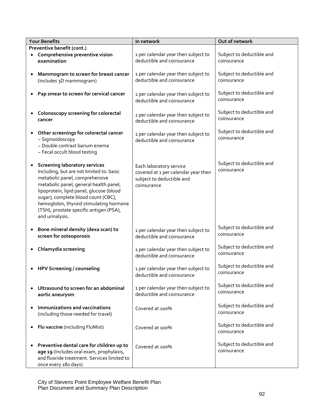| <b>Your Benefits</b> |                                                                                                                                                                                                                                                                                                                                                          | In network                                                                                                 | Out of network                           |
|----------------------|----------------------------------------------------------------------------------------------------------------------------------------------------------------------------------------------------------------------------------------------------------------------------------------------------------------------------------------------------------|------------------------------------------------------------------------------------------------------------|------------------------------------------|
|                      | Preventive benefit (cont.)                                                                                                                                                                                                                                                                                                                               |                                                                                                            |                                          |
| $\bullet$            | Comprehensive preventive vision<br>examination                                                                                                                                                                                                                                                                                                           | 1 per calendar year then subject to<br>deductible and coinsurance                                          | Subject to deductible and<br>coinsurance |
| $\bullet$            | Mammogram to screen for breast cancer<br>(includes 3D mammogram)                                                                                                                                                                                                                                                                                         | 1 per calendar year then subject to<br>deductible and coinsurance                                          | Subject to deductible and<br>coinsurance |
|                      | Pap smear to screen for cervical cancer                                                                                                                                                                                                                                                                                                                  | 1 per calendar year then subject to<br>deductible and coinsurance                                          | Subject to deductible and<br>coinsurance |
| $\bullet$            | Colonoscopy screening for colorectal<br>cancer                                                                                                                                                                                                                                                                                                           | 1 per calendar year then subject to<br>deductible and coinsurance                                          | Subject to deductible and<br>coinsurance |
| $\bullet$            | Other screenings for colorectal cancer<br>~ Sigmoidoscopy<br>~ Double contrast barium enema<br>~ Fecal occult blood testing                                                                                                                                                                                                                              | 1 per calendar year then subject to<br>deductible and coinsurance                                          | Subject to deductible and<br>coinsurance |
| $\bullet$            | <b>Screening laboratory services</b><br>Including, but are not limited to: basic<br>metabolic panel, comprehensive<br>metabolic panel, general health panel,<br>lipoprotein, lipid panel, glucose (blood<br>sugar), complete blood count (CBC),<br>hemoglobin, thyroid stimulating hormone<br>(TSH), prostate specific antigen (PSA),<br>and urinalysis. | Each laboratory service<br>covered at 1 per calendar year then<br>subject to deductible and<br>coinsurance | Subject to deductible and<br>coinsurance |
| $\bullet$            | Bone mineral density (dexa scan) to<br>screen for osteoporosis                                                                                                                                                                                                                                                                                           | 1 per calendar year then subject to<br>deductible and coinsurance                                          | Subject to deductible and<br>coinsurance |
|                      | <b>Chlamydia screening</b>                                                                                                                                                                                                                                                                                                                               | 1 per calendar year then subject to<br>deductible and coinsurance                                          | Subject to deductible and<br>coinsurance |
| ٠                    | <b>HPV Screening / counseling</b>                                                                                                                                                                                                                                                                                                                        | 1 per calendar year then subject to<br>deductible and coinsurance                                          | Subject to deductible and<br>coinsurance |
| $\bullet$            | Ultrasound to screen for an abdominal<br>aortic aneurysm                                                                                                                                                                                                                                                                                                 | 1 per calendar year then subject to<br>deductible and coinsurance                                          | Subject to deductible and<br>coinsurance |
| $\bullet$            | Immunizations and vaccinations<br>(including those needed for travel)                                                                                                                                                                                                                                                                                    | Covered at 100%                                                                                            | Subject to deductible and<br>coinsurance |
| $\bullet$            | Flu vaccine (including FluMist)                                                                                                                                                                                                                                                                                                                          | Covered at 100%                                                                                            | Subject to deductible and<br>coinsurance |
| $\bullet$            | Preventive dental care for children up to<br>age 19 (Includes oral exam, prophylaxis,<br>and fluoride treatment. Services limited to<br>once every 180 days)                                                                                                                                                                                             | Covered at 100%                                                                                            | Subject to deductible and<br>coinsurance |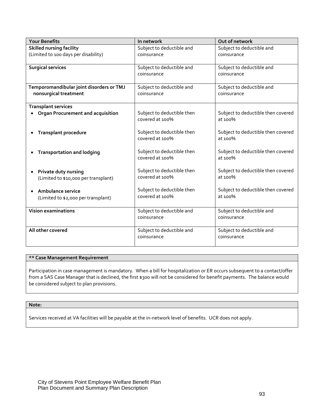| Skilled nursing facility<br>Subject to deductible and<br>Subject to deductible and<br>(Limited to 100 days per disability)<br>coinsurance<br>coinsurance |
|----------------------------------------------------------------------------------------------------------------------------------------------------------|
|                                                                                                                                                          |
|                                                                                                                                                          |
|                                                                                                                                                          |
| <b>Surgical services</b><br>Subject to deductible and<br>Subject to deductible and                                                                       |
| coinsurance<br>coinsurance                                                                                                                               |
|                                                                                                                                                          |
| Temporomandibular joint disorders or TMJ<br>Subject to deductible and<br>Subject to deductible and                                                       |
| nonsurgical treatment<br>coinsurance<br>coinsurance                                                                                                      |
|                                                                                                                                                          |
| <b>Transplant services</b><br>Subject to deductible then<br>Subject to deductible then covered<br><b>Organ Procurement and acquisition</b>               |
| covered at 100%<br>at 100%                                                                                                                               |
|                                                                                                                                                          |
| Subject to deductible then<br>Subject to deductible then covered<br><b>Transplant procedure</b>                                                          |
| covered at 100%<br>at 100%                                                                                                                               |
|                                                                                                                                                          |
| Subject to deductible then<br>Subject to deductible then covered<br><b>Transportation and lodging</b>                                                    |
| covered at 100%<br>at 100%                                                                                                                               |
|                                                                                                                                                          |
| Subject to deductible then<br>Subject to deductible then covered<br>Private duty nursing<br>$\bullet$                                                    |
| covered at 100%<br>at 100%<br>(Limited to \$10,000 per transplant)                                                                                       |
|                                                                                                                                                          |
| Subject to deductible then<br>Subject to deductible then covered<br>Ambulance service                                                                    |
| covered at 100%<br>at 100%<br>(Limited to \$2,000 per transplant)                                                                                        |
|                                                                                                                                                          |
| Vision examinations<br>Subject to deductible and<br>Subject to deductible and                                                                            |
| coinsurance<br>coinsurance                                                                                                                               |
| All other covered<br>Subject to deductible and<br>Subject to deductible and                                                                              |
| coinsurance<br>coinsurance                                                                                                                               |
|                                                                                                                                                          |

### **\*\* Case Management Requirement**

Participation in case management is mandatory. When a bill for hospitalization or ER occurs subsequent to a contact/offer from a SAS Case Manager that is declined, the first \$300 will not be considered for benefit payments. The balance would be considered subject to plan provisions.

## **Note:**

Services received at VA facilities will be payable at the in-network level of benefits. UCR does not apply.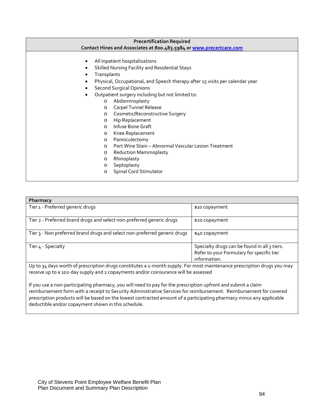| <b>Precertification Required</b>                                                                                                                                                             |                                                                                                                                                                                                                                                                                                                                                                                                                                                                                                                                                                            |  |  |
|----------------------------------------------------------------------------------------------------------------------------------------------------------------------------------------------|----------------------------------------------------------------------------------------------------------------------------------------------------------------------------------------------------------------------------------------------------------------------------------------------------------------------------------------------------------------------------------------------------------------------------------------------------------------------------------------------------------------------------------------------------------------------------|--|--|
| Contact Hines and Associates at 800.483.5984 or www.precertcare.com                                                                                                                          |                                                                                                                                                                                                                                                                                                                                                                                                                                                                                                                                                                            |  |  |
| $\bullet$<br>$\bullet$<br>Transplants<br>٠<br>$\bullet$<br>$\circ$<br>$\circ$<br>$\circ$<br>$\circ$<br>$\Omega$<br>$\circ$<br>$\circ$<br>$\circ$<br>$\circ$<br>$\circ$<br>$\circ$<br>$\circ$ | All Inpatient hospitalizations<br>Skilled Nursing Facility and Residential Stays<br>Physical, Occupational, and Speech therapy after 15 visits per calendar year<br><b>Second Surgical Opinions</b><br>Outpatient surgery including but not limited to:<br>Abdominoplasty<br><b>Carpel Tunnel Release</b><br>Cosmetic/Reconstructive Surgery<br>Hip Replacement<br>Infuse Bone Graft<br>Knee Replacement<br>Panniculectomy<br>Port Wine Stain - Abnormal Vascular Lesion Treatment<br><b>Reduction Mammoplasty</b><br>Rhinoplasty<br>Septoplasty<br>Spinal Cord Stimulator |  |  |

| Pharmacy                                                                                                       |                                              |
|----------------------------------------------------------------------------------------------------------------|----------------------------------------------|
| Tier 1 - Preferred generic drugs                                                                               | \$10 copayment                               |
|                                                                                                                |                                              |
| Tier 2 - Preferred brand drugs and select non-preferred generic drugs                                          | \$20 copayment                               |
| Tier 3 - Non preferred brand drugs and select non-preferred generic drugs                                      | \$40 copayment                               |
| Tier 4 - Specialty                                                                                             | Specialty drugs can be found in all 3 tiers. |
|                                                                                                                | Refer to your Formulary for specific tier    |
|                                                                                                                | information.                                 |
| the distribution of the state of the state of the state of the state of the state of the state of the state of |                                              |

Up to 34 days worth of prescription drugs constitutes a 1-month supply. For most maintenance prescription drugs you may receive up to a 102-day supply and 2 copayments and/or coinsurance will be assessed

If you use a non-participating pharmacy, you will need to pay for the prescription upfront and submit a claim reimbursement form with a receipt to Security Administrative Services for reimbursement. Reimbursement for covered prescription products will be based on the lowest contracted amount of a participating pharmacy minus any applicable deductible and/or copayment shown in this schedule.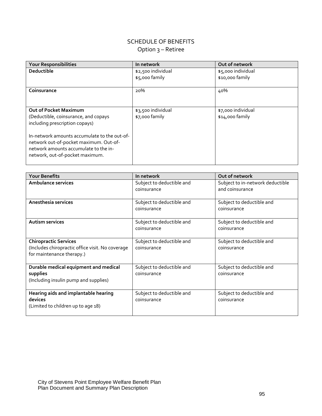# SCHEDULE OF BENEFITS Option 3 – Retiree

| Your Responsibilities                                                                                                                                              | In network         | Out of network     |
|--------------------------------------------------------------------------------------------------------------------------------------------------------------------|--------------------|--------------------|
| <b>Deductible</b>                                                                                                                                                  | \$2,500 individual | \$5,000 individual |
|                                                                                                                                                                    | \$5,000 family     | \$10,000 family    |
| Coinsurance                                                                                                                                                        | 20%                | 40%                |
| Out of Pocket Maximum                                                                                                                                              | \$3,500 individual | \$7,000 individual |
| (Deductible, coinsurance, and copays<br>including prescription copays)                                                                                             | \$7,000 family     | \$14,000 family    |
| In-network amounts accumulate to the out-of-<br>network out-of-pocket maximum. Out-of-<br>network amounts accumulate to the in-<br>network, out-of-pocket maximum. |                    |                    |

| <b>Your Benefits</b>                             | In network                | Out of network                   |
|--------------------------------------------------|---------------------------|----------------------------------|
| Ambulance services                               | Subject to deductible and | Subject to in-network deductible |
|                                                  | coinsurance               | and coinsurance                  |
|                                                  |                           |                                  |
| Anesthesia services                              | Subject to deductible and | Subject to deductible and        |
|                                                  | coinsurance               | coinsurance                      |
|                                                  |                           |                                  |
| <b>Autism services</b>                           | Subject to deductible and | Subject to deductible and        |
|                                                  | coinsurance               | coinsurance                      |
|                                                  |                           |                                  |
| <b>Chiropractic Services</b>                     | Subject to deductible and | Subject to deductible and        |
| (Includes chiropractic office visit. No coverage | coinsurance               | coinsurance                      |
| for maintenance therapy.)                        |                           |                                  |
|                                                  |                           |                                  |
| Durable medical equipment and medical            | Subject to deductible and | Subject to deductible and        |
| supplies                                         | coinsurance               | coinsurance                      |
| (Including insulin pump and supplies)            |                           |                                  |
|                                                  |                           |                                  |
| Hearing aids and implantable hearing             | Subject to deductible and | Subject to deductible and        |
| devices                                          | coinsurance               | coinsurance                      |
| (Limited to children up to age 18)               |                           |                                  |
|                                                  |                           |                                  |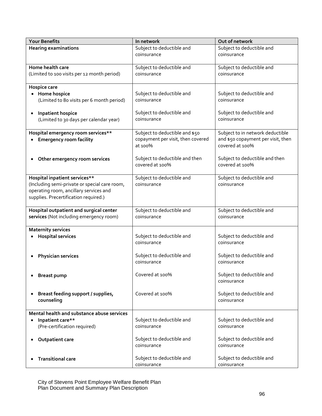| <b>Your Benefits</b>                                  | In network                               | Out of network                           |
|-------------------------------------------------------|------------------------------------------|------------------------------------------|
| <b>Hearing examinations</b>                           | Subject to deductible and                | Subject to deductible and                |
|                                                       | coinsurance                              | coinsurance                              |
|                                                       |                                          |                                          |
| Home health care                                      | Subject to deductible and                | Subject to deductible and                |
| (Limited to 100 visits per 12 month period)           | coinsurance                              | coinsurance                              |
|                                                       |                                          |                                          |
| <b>Hospice care</b>                                   |                                          |                                          |
| • Home hospice                                        | Subject to deductible and                | Subject to deductible and                |
| (Limited to 80 visits per 6 month period)             | coinsurance                              | coinsurance                              |
|                                                       |                                          |                                          |
| Inpatient hospice                                     | Subject to deductible and                | Subject to deductible and                |
| (Limited to 30 days per calendar year)                | coinsurance                              | coinsurance                              |
|                                                       |                                          |                                          |
| Hospital emergency room services**                    | Subject to deductible and \$50           | Subject to in network deductible         |
| <b>Emergency room facility</b>                        | copayment per visit, then covered        | and \$50 copayment per visit, then       |
|                                                       | at 100%                                  | covered at 100%                          |
|                                                       |                                          |                                          |
| Other emergency room services                         | Subject to deductible and then           | Subject to deductible and then           |
|                                                       | covered at 100%                          | covered at 100%                          |
|                                                       |                                          |                                          |
| Hospital inpatient services**                         | Subject to deductible and                | Subject to deductible and                |
| (Including semi-private or special care room,         | coinsurance                              | coinsurance                              |
| operating room, ancillary services and                |                                          |                                          |
| supplies. Precertification required.)                 |                                          |                                          |
|                                                       |                                          |                                          |
| Hospital outpatient and surgical center               | Subject to deductible and                | Subject to deductible and                |
| services (Not including emergency room)               | coinsurance                              | coinsurance                              |
|                                                       |                                          |                                          |
| <b>Maternity services</b><br><b>Hospital services</b> |                                          |                                          |
|                                                       | Subject to deductible and<br>coinsurance | Subject to deductible and<br>coinsurance |
|                                                       |                                          |                                          |
|                                                       | Subject to deductible and                | Subject to deductible and                |
| <b>Physician services</b>                             | coinsurance                              | coinsurance                              |
|                                                       |                                          |                                          |
|                                                       | Covered at 100%                          | Subject to deductible and                |
| <b>Breast pump</b>                                    |                                          | coinsurance                              |
|                                                       |                                          |                                          |
| Breast feeding support / supplies,                    | Covered at 100%                          | Subject to deductible and                |
| counseling                                            |                                          | coinsurance                              |
|                                                       |                                          |                                          |
| Mental health and substance abuse services            |                                          |                                          |
| Inpatient care**                                      | Subject to deductible and                | Subject to deductible and                |
| (Pre-certification required)                          | coinsurance                              | coinsurance                              |
|                                                       |                                          |                                          |
| Outpatient care                                       | Subject to deductible and                | Subject to deductible and                |
|                                                       | coinsurance                              | coinsurance                              |
|                                                       |                                          |                                          |
| <b>Transitional care</b>                              | Subject to deductible and                | Subject to deductible and                |
|                                                       | coinsurance                              | coinsurance                              |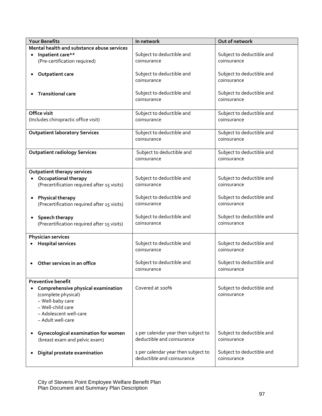| <b>Your Benefits</b>                        | In network                               | Out of network                           |
|---------------------------------------------|------------------------------------------|------------------------------------------|
| Mental health and substance abuse services  |                                          |                                          |
| Inpatient care**                            | Subject to deductible and                | Subject to deductible and                |
| (Pre-certification required)                | coinsurance                              | coinsurance                              |
|                                             |                                          |                                          |
| Outpatient care                             | Subject to deductible and                | Subject to deductible and                |
|                                             | coinsurance                              | coinsurance                              |
|                                             |                                          |                                          |
|                                             |                                          | Subject to deductible and                |
| <b>Transitional care</b>                    | Subject to deductible and                |                                          |
|                                             | coinsurance                              | coinsurance                              |
|                                             |                                          |                                          |
| Office visit                                | Subject to deductible and                | Subject to deductible and                |
| (Includes chiropractic office visit)        | coinsurance                              | coinsurance                              |
|                                             |                                          |                                          |
| <b>Outpatient laboratory Services</b>       | Subject to deductible and                | Subject to deductible and                |
|                                             | coinsurance                              | coinsurance                              |
|                                             |                                          |                                          |
| <b>Outpatient radiology Services</b>        | Subject to deductible and                | Subject to deductible and                |
|                                             | coinsurance                              | coinsurance                              |
|                                             |                                          |                                          |
| Outpatient therapy services                 |                                          |                                          |
| Occupational therapy                        | Subject to deductible and                | Subject to deductible and                |
| (Precertification required after 15 visits) | coinsurance                              | coinsurance                              |
|                                             |                                          |                                          |
|                                             |                                          |                                          |
| <b>Physical therapy</b><br>$\bullet$        | Subject to deductible and<br>coinsurance | Subject to deductible and<br>coinsurance |
| (Precertification required after 15 visits) |                                          |                                          |
|                                             |                                          |                                          |
| <b>Speech therapy</b>                       | Subject to deductible and                | Subject to deductible and                |
| (Precertification required after 15 visits) | coinsurance                              | coinsurance                              |
|                                             |                                          |                                          |
| <b>Physician services</b>                   |                                          |                                          |
| <b>Hospital services</b>                    | Subject to deductible and                | Subject to deductible and                |
|                                             | coinsurance                              | coinsurance                              |
|                                             |                                          |                                          |
| Other services in an office                 | Subject to deductible and                | Subject to deductible and                |
|                                             | coinsurance                              | coinsurance                              |
|                                             |                                          |                                          |
| <b>Preventive benefit</b>                   |                                          |                                          |
| Comprehensive physical examination          | Covered at 100%                          | Subject to deductible and                |
| (complete physical)                         |                                          | coinsurance                              |
| ~ Well-baby care                            |                                          |                                          |
| ~ Well-child care                           |                                          |                                          |
| ~ Adolescent well-care                      |                                          |                                          |
| ~ Adult well-care                           |                                          |                                          |
|                                             |                                          |                                          |
|                                             | 1 per calendar year then subject to      | Subject to deductible and                |
| <b>Gynecological examination for women</b>  | deductible and coinsurance               | coinsurance                              |
| (breast exam and pelvic exam)               |                                          |                                          |
|                                             |                                          |                                          |
| Digital prostate examination                | 1 per calendar year then subject to      | Subject to deductible and                |
|                                             | deductible and coinsurance               | coinsurance                              |
|                                             |                                          |                                          |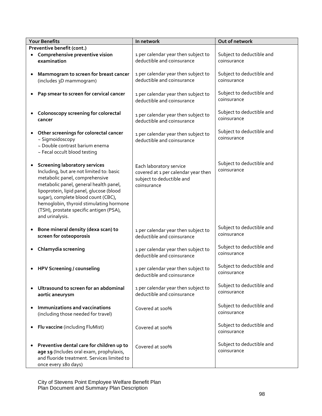| <b>Your Benefits</b>                                                                                                                                                                                                                                                                                                                                                  | In network                                                                                                 | Out of network                           |
|-----------------------------------------------------------------------------------------------------------------------------------------------------------------------------------------------------------------------------------------------------------------------------------------------------------------------------------------------------------------------|------------------------------------------------------------------------------------------------------------|------------------------------------------|
| Preventive benefit (cont.)                                                                                                                                                                                                                                                                                                                                            |                                                                                                            |                                          |
| Comprehensive preventive vision<br>$\bullet$<br>examination                                                                                                                                                                                                                                                                                                           | 1 per calendar year then subject to<br>deductible and coinsurance                                          | Subject to deductible and<br>coinsurance |
| Mammogram to screen for breast cancer<br>(includes 3D mammogram)                                                                                                                                                                                                                                                                                                      | 1 per calendar year then subject to<br>deductible and coinsurance                                          | Subject to deductible and<br>coinsurance |
| Pap smear to screen for cervical cancer                                                                                                                                                                                                                                                                                                                               | 1 per calendar year then subject to<br>deductible and coinsurance                                          | Subject to deductible and<br>coinsurance |
| Colonoscopy screening for colorectal<br>$\bullet$<br>cancer                                                                                                                                                                                                                                                                                                           | 1 per calendar year then subject to<br>deductible and coinsurance                                          | Subject to deductible and<br>coinsurance |
| Other screenings for colorectal cancer<br>$\bullet$<br>~ Sigmoidoscopy<br>~ Double contrast barium enema<br>~ Fecal occult blood testing                                                                                                                                                                                                                              | 1 per calendar year then subject to<br>deductible and coinsurance                                          | Subject to deductible and<br>coinsurance |
| <b>Screening laboratory services</b><br>$\bullet$<br>Including, but are not limited to: basic<br>metabolic panel, comprehensive<br>metabolic panel, general health panel,<br>lipoprotein, lipid panel, glucose (blood<br>sugar), complete blood count (CBC),<br>hemoglobin, thyroid stimulating hormone<br>(TSH), prostate specific antigen (PSA),<br>and urinalysis. | Each laboratory service<br>covered at 1 per calendar year then<br>subject to deductible and<br>coinsurance | Subject to deductible and<br>coinsurance |
| Bone mineral density (dexa scan) to<br>$\bullet$<br>screen for osteoporosis                                                                                                                                                                                                                                                                                           | 1 per calendar year then subject to<br>deductible and coinsurance                                          | Subject to deductible and<br>coinsurance |
| Chlamydia screening                                                                                                                                                                                                                                                                                                                                                   | 1 per calendar year then subject to<br>deductible and coinsurance                                          | Subject to deductible and<br>coinsurance |
| <b>HPV Screening / counseling</b><br>$\bullet$                                                                                                                                                                                                                                                                                                                        | 1 per calendar year then subject to<br>deductible and coinsurance                                          | Subject to deductible and<br>coinsurance |
| Ultrasound to screen for an abdominal<br>aortic aneurysm                                                                                                                                                                                                                                                                                                              | 1 per calendar year then subject to<br>deductible and coinsurance                                          | Subject to deductible and<br>coinsurance |
| Immunizations and vaccinations<br>(including those needed for travel)                                                                                                                                                                                                                                                                                                 | Covered at 100%                                                                                            | Subject to deductible and<br>coinsurance |
| Flu vaccine (including FluMist)                                                                                                                                                                                                                                                                                                                                       | Covered at 100%                                                                                            | Subject to deductible and<br>coinsurance |
| Preventive dental care for children up to<br>age 19 (Includes oral exam, prophylaxis,<br>and fluoride treatment. Services limited to<br>once every 180 days)                                                                                                                                                                                                          | Covered at 100%                                                                                            | Subject to deductible and<br>coinsurance |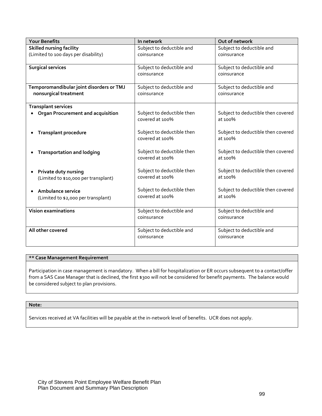| <b>Your Benefits</b>                                         | In network                                    | Out of network                                |
|--------------------------------------------------------------|-----------------------------------------------|-----------------------------------------------|
| <b>Skilled nursing facility</b>                              | Subject to deductible and                     | Subject to deductible and                     |
| (Limited to 100 days per disability)                         | coinsurance                                   | coinsurance                                   |
|                                                              |                                               |                                               |
| <b>Surgical services</b>                                     | Subject to deductible and                     | Subject to deductible and                     |
|                                                              | coinsurance                                   | coinsurance                                   |
| Temporomandibular joint disorders or TMJ                     | Subject to deductible and                     | Subject to deductible and                     |
| nonsurgical treatment                                        | coinsurance                                   | coinsurance                                   |
|                                                              |                                               |                                               |
| <b>Transplant services</b>                                   |                                               |                                               |
| <b>Organ Procurement and acquisition</b>                     | Subject to deductible then<br>covered at 100% | Subject to deductible then covered<br>at 100% |
|                                                              |                                               |                                               |
| <b>Transplant procedure</b>                                  | Subject to deductible then                    | Subject to deductible then covered            |
|                                                              | covered at 100%                               | at 100%                                       |
|                                                              |                                               |                                               |
| <b>Transportation and lodging</b>                            | Subject to deductible then                    | Subject to deductible then covered            |
|                                                              | covered at 100%                               | at 100%                                       |
|                                                              | Subject to deductible then                    | Subject to deductible then covered            |
| Private duty nursing<br>(Limited to \$10,000 per transplant) | covered at 100%                               | at 100%                                       |
|                                                              |                                               |                                               |
| Ambulance service                                            | Subject to deductible then                    | Subject to deductible then covered            |
| (Limited to \$2,000 per transplant)                          | covered at 100%                               | at 100%                                       |
|                                                              |                                               |                                               |
| <b>Vision examinations</b>                                   | Subject to deductible and                     | Subject to deductible and                     |
|                                                              | coinsurance                                   | coinsurance                                   |
| All other covered                                            |                                               |                                               |
|                                                              | Subject to deductible and<br>coinsurance      | Subject to deductible and<br>coinsurance      |
|                                                              |                                               |                                               |

### **\*\* Case Management Requirement**

Participation in case management is mandatory. When a bill for hospitalization or ER occurs subsequent to a contact/offer from a SAS Case Manager that is declined, the first \$300 will not be considered for benefit payments. The balance would be considered subject to plan provisions.

## **Note:**

Services received at VA facilities will be payable at the in-network level of benefits. UCR does not apply.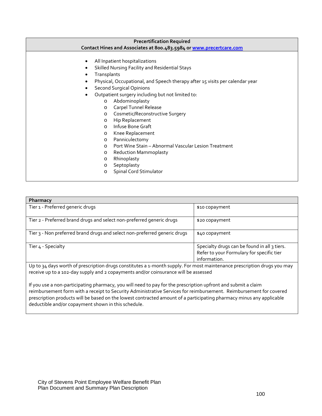| <b>Precertification Required</b>                                                                                                                                                |                                                                                                                                                                                                                                                                                                                                                                                                                                                                                                                                                                     |  |  |
|---------------------------------------------------------------------------------------------------------------------------------------------------------------------------------|---------------------------------------------------------------------------------------------------------------------------------------------------------------------------------------------------------------------------------------------------------------------------------------------------------------------------------------------------------------------------------------------------------------------------------------------------------------------------------------------------------------------------------------------------------------------|--|--|
|                                                                                                                                                                                 | Contact Hines and Associates at 800.483.5984 or www.precertcare.com                                                                                                                                                                                                                                                                                                                                                                                                                                                                                                 |  |  |
| $\bullet$<br>Transplants<br>٠<br>$\bullet$<br>$\circ$<br>$\circ$<br>$\circ$<br>$\circ$<br>$\Omega$<br>$\circ$<br>$\circ$<br>$\circ$<br>$\circ$<br>$\circ$<br>$\circ$<br>$\circ$ | All Inpatient hospitalizations<br>Skilled Nursing Facility and Residential Stays<br>Physical, Occupational, and Speech therapy after 15 visits per calendar year<br><b>Second Surgical Opinions</b><br>Outpatient surgery including but not limited to:<br>Abdominoplasty<br>Carpel Tunnel Release<br>Cosmetic/Reconstructive Surgery<br>Hip Replacement<br>Infuse Bone Graft<br>Knee Replacement<br>Panniculectomy<br>Port Wine Stain - Abnormal Vascular Lesion Treatment<br><b>Reduction Mammoplasty</b><br>Rhinoplasty<br>Septoplasty<br>Spinal Cord Stimulator |  |  |

| Pharmacy                                                                                                                              |                                                                                                           |
|---------------------------------------------------------------------------------------------------------------------------------------|-----------------------------------------------------------------------------------------------------------|
| Tier 1 - Preferred generic drugs                                                                                                      | \$10 copayment                                                                                            |
| Tier 2 - Preferred brand drugs and select non-preferred generic drugs                                                                 | \$20 copayment                                                                                            |
| Tier 3 - Non preferred brand drugs and select non-preferred generic drugs                                                             | \$40 copayment                                                                                            |
| Tier 4 - Specialty<br>the distribution of the distribution of the second and the second control of the second second and the second o | Specialty drugs can be found in all 3 tiers.<br>Refer to your Formulary for specific tier<br>information. |

Up to 34 days worth of prescription drugs constitutes a 1-month supply. For most maintenance prescription drugs you may receive up to a 102-day supply and 2 copayments and/or coinsurance will be assessed

If you use a non-participating pharmacy, you will need to pay for the prescription upfront and submit a claim reimbursement form with a receipt to Security Administrative Services for reimbursement. Reimbursement for covered prescription products will be based on the lowest contracted amount of a participating pharmacy minus any applicable deductible and/or copayment shown in this schedule.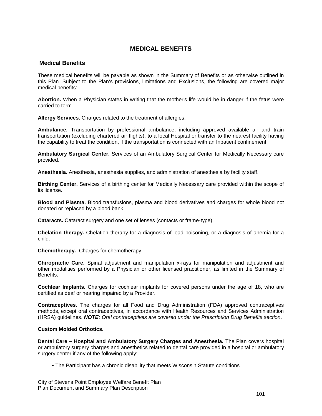## **MEDICAL BENEFITS**

## **Medical Benefits**

These medical benefits will be payable as shown in the Summary of Benefits or as otherwise outlined in this Plan. Subject to the Plan's provisions, limitations and Exclusions, the following are covered major medical benefits:

**Abortion.** When a Physician states in writing that the mother's life would be in danger if the fetus were carried to term.

**Allergy Services.** Charges related to the treatment of allergies.

**Ambulance.** Transportation by professional ambulance, including approved available air and train transportation (excluding chartered air flights), to a local Hospital or transfer to the nearest facility having the capability to treat the condition, if the transportation is connected with an Inpatient confinement.

**Ambulatory Surgical Center.** Services of an Ambulatory Surgical Center for Medically Necessary care provided.

**Anesthesia.** Anesthesia, anesthesia supplies, and administration of anesthesia by facility staff.

**Birthing Center.** Services of a birthing center for Medically Necessary care provided within the scope of its license.

**Blood and Plasma.** Blood transfusions, plasma and blood derivatives and charges for whole blood not donated or replaced by a blood bank.

**Cataracts.** Cataract surgery and one set of lenses (contacts or frame-type).

**Chelation therapy.** Chelation therapy for a diagnosis of lead poisoning, or a diagnosis of anemia for a child.

**Chemotherapy.** Charges for chemotherapy.

**Chiropractic Care.** Spinal adjustment and manipulation x-rays for manipulation and adjustment and other modalities performed by a Physician or other licensed practitioner, as limited in the Summary of Benefits.

**Cochlear Implants.** Charges for cochlear implants for covered persons under the age of 18, who are certified as deaf or hearing impaired by a Provider.

**Contraceptives.** The charges for all Food and Drug Administration (FDA) approved contraceptives methods, except oral contraceptives, in accordance with Health Resources and Services Administration (HRSA) guidelines. *NOTE: Oral contraceptives are covered under the Prescription Drug Benefits section*.

### **Custom Molded Orthotics.**

**Dental Care – Hospital and Ambulatory Surgery Charges and Anesthesia.** The Plan covers hospital or ambulatory surgery charges and anesthetics related to dental care provided in a hospital or ambulatory surgery center if any of the following apply:

• The Participant has a chronic disability that meets Wisconsin Statute conditions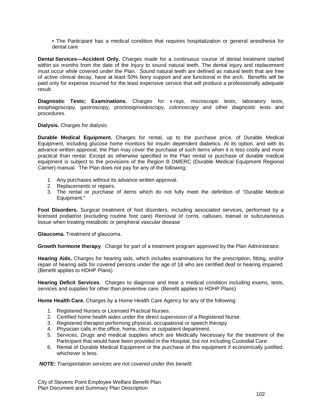• The Participant has a medical condition that requires hospitalization or general anesthesia for dental care

**Dental Services—Accident Only.** Charges made for a continuous course of dental treatment started within six months from the date of the Injury to sound natural teeth. The dental injury and replacement must occur while covered under the Plan. Sound natural teeth are defined as natural teeth that are free of active clinical decay, have at least 50% bony support and are functional in the arch. Benefits will be paid only for expense incurred for the least expensive service that will produce a professionally adequate result.

**Diagnostic Tests; Examinations.** Charges for x-rays, microscopic tests, laboratory tests, esophagoscopy, gastroscopy, proctosigmoidoscopy, colonoscopy and other diagnostic tests and procedures.

**Dialysis.** Charges for dialysis.

**Durable Medical Equipment.** Charges for rental, up to the purchase price, of Durable Medical Equipment, including glucose home monitors for insulin dependent diabetics. At its option, and with its advance written approval, the Plan may cover the purchase of such items when it is less costly and more practical than rental. Except as otherwise specified in the Plan rental or purchase of durable medical equipment is subject to the provisions of the Region B DMERC (Durable Medical Equipment Regional Carrier) manual. The Plan does not pay for any of the following:

- 1. Any purchases without its advance written approval.
- 2. Replacements or repairs.
- 3. The rental or purchase of items which do not fully meet the definition of "Durable Medical Equipment."

**Foot Disorders.** Surgical treatment of foot disorders, including associated services, performed by a licensed podiatrist (excluding routine foot care) Removal of corns, calluses, toenail or subcutaneous tissue when treating metabolic or peripheral vascular disease

**Glaucoma.** Treatment of glaucoma.

**Growth hormone therapy**. Charge for part of a treatment program approved by the Plan Administrator.

**Hearing Aids.** Charges for hearing aids, which includes examinations for the prescription, fitting, and/or repair of hearing aids for covered persons under the age of 18 who are certified deaf or hearing impaired. (Benefit applies to HDHP Plans)

**Hearing Deficit Services**. Charges to diagnose and treat a medical condition including exams, tests, services and supplies for other than preventive care. (Benefit applies to HDHP Plans)

**Home Health Care.** Charges by a Home Health Care Agency for any of the following:

- 1. Registered Nurses or Licensed Practical Nurses.
- 2. Certified home health aides under the direct supervision of a Registered Nurse.
- 3. Registered therapist performing physical, occupational or speech therapy.
- 4. Physician calls in the office, home, clinic or outpatient department.
- 5. Services, Drugs and medical supplies which are Medically Necessary for the treatment of the Participant that would have been provided in the Hospital, but not including Custodial Care.
- 6. Rental of Durable Medical Equipment or the purchase of this equipment if economically justified, whichever is less.

*NOTE: Transportation services are not covered under this benefit.*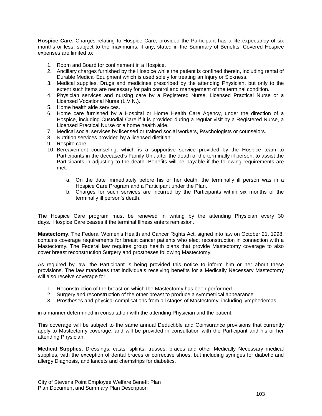**Hospice Care.** Charges relating to Hospice Care, provided the Participant has a life expectancy of six months or less, subject to the maximums, if any, stated in the Summary of Benefits. Covered Hospice expenses are limited to:

- 1. Room and Board for confinement in a Hospice.
- 2. Ancillary charges furnished by the Hospice while the patient is confined therein, including rental of Durable Medical Equipment which is used solely for treating an Injury or Sickness.
- 3. Medical supplies, Drugs and medicines prescribed by the attending Physician, but only to the extent such items are necessary for pain control and management of the terminal condition.
- 4. Physician services and nursing care by a Registered Nurse, Licensed Practical Nurse or a Licensed Vocational Nurse (L.V.N.).
- 5. Home health aide services.
- 6. Home care furnished by a Hospital or Home Health Care Agency, under the direction of a Hospice, including Custodial Care if it is provided during a regular visit by a Registered Nurse, a Licensed Practical Nurse or a home health aide.
- 7. Medical social services by licensed or trained social workers, Psychologists or counselors.
- 8. Nutrition services provided by a licensed dietitian.
- 9. Respite care.
- 10. Bereavement counseling, which is a supportive service provided by the Hospice team to Participants in the deceased's Family Unit after the death of the terminally ill person, to assist the Participants in adjusting to the death. Benefits will be payable if the following requirements are met:
	- a. On the date immediately before his or her death, the terminally ill person was in a Hospice Care Program and a Participant under the Plan.
	- b. Charges for such services are incurred by the Participants within six months of the terminally ill person's death.

The Hospice Care program must be renewed in writing by the attending Physician every 30 days. Hospice Care ceases if the terminal Illness enters remission.

**Mastectomy.** The Federal Women's Health and Cancer Rights Act, signed into law on October 21, 1998, contains coverage requirements for breast cancer patients who elect reconstruction in connection with a Mastectomy. The Federal law requires group health plans that provide Mastectomy coverage to also cover breast reconstruction Surgery and prostheses following Mastectomy.

As required by law, the Participant is being provided this notice to inform him or her about these provisions. The law mandates that individuals receiving benefits for a Medically Necessary Mastectomy will also receive coverage for:

- 1. Reconstruction of the breast on which the Mastectomy has been performed.
- 2. Surgery and reconstruction of the other breast to produce a symmetrical appearance.
- 3. Prostheses and physical complications from all stages of Mastectomy, including lymphedemas.

in a manner determined in consultation with the attending Physician and the patient.

This coverage will be subject to the same annual Deductible and Coinsurance provisions that currently apply to Mastectomy coverage, and will be provided in consultation with the Participant and his or her attending Physician.

**Medical Supplies.** Dressings, casts, splints, trusses, braces and other Medically Necessary medical supplies, with the exception of dental braces or corrective shoes, but including syringes for diabetic and allergy Diagnosis, and lancets and chemstrips for diabetics.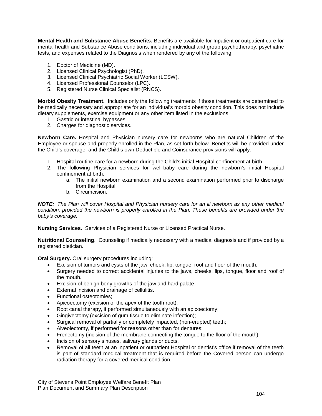**Mental Health and Substance Abuse Benefits.** Benefits are available for Inpatient or outpatient care for mental health and Substance Abuse conditions, including individual and group psychotherapy, psychiatric tests, and expenses related to the Diagnosis when rendered by any of the following:

- 1. Doctor of Medicine (MD).
- 2. Licensed Clinical Psychologist (PhD).
- 3. Licensed Clinical Psychiatric Social Worker (LCSW).
- 4. Licensed Professional Counselor (LPC).
- 5. Registered Nurse Clinical Specialist (RNCS).

**Morbid Obesity Treatment.** Includes only the following treatments if those treatments are determined to be medically necessary and appropriate for an individual's morbid obesity condition. This does not include dietary supplements, exercise equipment or any other item listed in the exclusions.

- 1. Gastric or intestinal bypasses.
- 2. Charges for diagnostic services.

**Newborn Care.** Hospital and Physician nursery care for newborns who are natural Children of the Employee or spouse and properly enrolled in the Plan, as set forth below. Benefits will be provided under the Child's coverage, and the Child's own Deductible and Coinsurance provisions will apply:

- 1. Hospital routine care for a newborn during the Child's initial Hospital confinement at birth.
- 2. The following Physician services for well-baby care during the newborn's initial Hospital confinement at birth:
	- a. The initial newborn examination and a second examination performed prior to discharge from the Hospital.
	- b. Circumcision.

*NOTE: The Plan will cover Hospital and Physician nursery care for an ill newborn as any other medical*  condition, provided the newborn is properly enrolled in the Plan. These benefits are provided under the *baby's coverage.*

**Nursing Services.** Services of a Registered Nurse or Licensed Practical Nurse.

**Nutritional Counseling**. Counseling if medically necessary with a medical diagnosis and if provided by a registered dietician.

**Oral Surgery.** Oral surgery procedures including:

- Excision of tumors and cysts of the jaw, cheek, lip, tongue, roof and floor of the mouth.
- Surgery needed to correct accidental injuries to the jaws, cheeks, lips, tongue, floor and roof of the mouth.
- Excision of benign bony growths of the jaw and hard palate.
- External incision and drainage of cellulitis.
- Functional osteotomies;
- Apicoectomy (excision of the apex of the tooth root);
- Root canal therapy, if performed simultaneously with an apicoectomy;
- Gingivectomy (excision of gum tissue to eliminate infection);
- Surgical removal of partially or completely impacted, (non-erupted) teeth;
- Alveolectomy, if performed for reasons other than for dentures;
- Frenectomy (incision of the membrane connecting the tongue to the floor of the mouth);
- Incision of sensory sinuses, salivary glands or ducts.
- Removal of all teeth at an inpatient or outpatient Hospital or dentist's office if removal of the teeth is part of standard medical treatment that is required before the Covered person can undergo radiation therapy for a covered medical condition.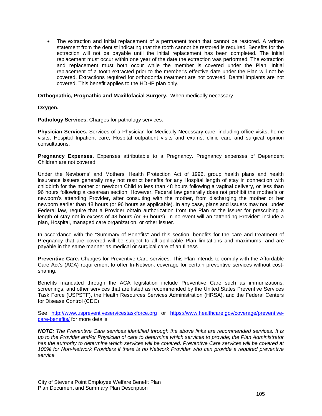• The extraction and initial replacement of a permanent tooth that cannot be restored. A written statement from the dentist indicating that the tooth cannot be restored is required. Benefits for the extraction will not be payable until the initial replacement has been completed. The initial replacement must occur within one year of the date the extraction was performed. The extraction and replacement must both occur while the member is covered under the Plan. Initial replacement of a tooth extracted prior to the member's effective date under the Plan will not be covered. Extractions required for orthodontia treatment are not covered. Dental implants are not covered. This benefit applies to the HDHP plan only.

**Orthognathic, Prognathic and Maxillofacial Surgery.** When medically necessary.

**Oxygen.**

**Pathology Services.** Charges for pathology services.

**Physician Services.** Services of a Physician for Medically Necessary care, including office visits, home visits, Hospital Inpatient care, Hospital outpatient visits and exams, clinic care and surgical opinion consultations.

**Pregnancy Expenses.** Expenses attributable to a Pregnancy. Pregnancy expenses of Dependent Children are not covered.

Under the Newborns' and Mothers' Health Protection Act of 1996, group health plans and health insurance issuers generally may not restrict benefits for any Hospital length of stay in connection with childbirth for the mother or newborn Child to less than 48 hours following a vaginal delivery, or less than 96 hours following a cesarean section. However, Federal law generally does not prohibit the mother's or newborn's attending Provider, after consulting with the mother, from discharging the mother or her newborn earlier than 48 hours (or 96 hours as applicable). In any case, plans and issuers may not, under Federal law, require that a Provider obtain authorization from the Plan or the issuer for prescribing a length of stay not in excess of 48 hours (or 96 hours). In no event will an "attending Provider" include a plan, Hospital, managed care organization, or other issuer.

In accordance with the "Summary of Benefits" and this section, benefits for the care and treatment of Pregnancy that are covered will be subject to all applicable Plan limitations and maximums, and are payable in the same manner as medical or surgical care of an Illness.

**Preventive Care.** Charges for Preventive Care services. This Plan intends to comply with the Affordable Care Act's (ACA) requirement to offer In-Network coverage for certain preventive services without costsharing.

Benefits mandated through the ACA legislation include Preventive Care such as immunizations, screenings, and other services that are listed as recommended by the United States Preventive Services Task Force (USPSTF), the Health Resources Services Administration (HRSA), and the Federal Centers for Disease Control (CDC).

See [http://www.uspreventiveservicestaskforce.org](http://www.uspreventiveservicestaskforce.org/) or [https://www.healthcare.gov/coverage/preventive](https://www.healthcare.gov/coverage/preventive-care-benefits/)[care-benefits/](https://www.healthcare.gov/coverage/preventive-care-benefits/) for more details.

*NOTE: The Preventive Care services identified through the above links are recommended services. It is up to the Provider and/or Physician of care to determine which services to provide; the Plan Administrator has the authority to determine which services will be covered. Preventive Care services will be covered at 100% for Non-Network Providers if there is no Network Provider who can provide a required preventive service.*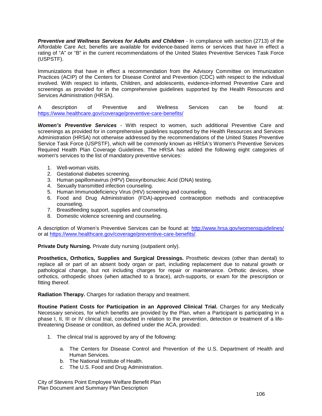*Preventive and Wellness Services for Adults and Children* - In compliance with section (2713) of the Affordable Care Act, benefits are available for evidence-based items or services that have in effect a rating of "A" or "B" in the current recommendations of the United States Preventive Services Task Force (USPSTF).

Immunizations that have in effect a recommendation from the Advisory Committee on Immunization Practices (ACIP) of the Centers for Disease Control and Prevention (CDC) with respect to the individual involved. With respect to infants, Children, and adolescents, evidence-informed Preventive Care and screenings as provided for in the comprehensive guidelines supported by the Health Resources and Services Administration (HRSA).

A description of Preventive and Wellness Services can be found at: <https://www.healthcare.gov/coverage/preventive-care-benefits/>

*Women's Preventive Services* - With respect to women, such additional Preventive Care and screenings as provided for in comprehensive guidelines supported by the Health Resources and Services Administration (HRSA) not otherwise addressed by the recommendations of the United States Preventive Service Task Force (USPSTF), which will be commonly known as HRSA's Women's Preventive Services Required Health Plan Coverage Guidelines. The HRSA has added the following eight categories of women's services to the list of mandatory preventive services:

- 1. Well-woman visits.
- 2. Gestational diabetes screening.
- 3. Human papillomavirus (HPV) Deoxyribonucleic Acid (DNA) testing.
- 4. Sexually transmitted infection counseling.
- 5. Human Immunodeficiency Virus (HIV) screening and counseling.
- 6. Food and Drug Administration (FDA)-approved contraception methods and contraceptive counseling.
- 7. Breastfeeding support, supplies and counseling.
- 8. Domestic violence screening and counseling.

A description of Women's Preventive Services can be found at:<http://www.hrsa.gov/womensguidelines/> or at [https://www.healthcare.gov/coverage/preventive-care-benefits/.](https://www.healthcare.gov/coverage/preventive-care-benefits/)

**Private Duty Nursing.** Private duty nursing (outpatient only).

**Prosthetics, Orthotics, Supplies and Surgical Dressings.** Prosthetic devices (other than dental) to replace all or part of an absent body organ or part, including replacement due to natural growth or pathological change, but not including charges for repair or maintenance. Orthotic devices, shoe orthotics, orthopedic shoes (when attached to a brace), arch-supports, or exam for the prescription or fitting thereof.

**Radiation Therapy.** Charges for radiation therapy and treatment.

**Routine Patient Costs for Participation in an Approved Clinical Trial.** Charges for any Medically Necessary services, for which benefits are provided by the Plan, when a Participant is participating in a phase I, II, III or IV clinical trial, conducted in relation to the prevention, detection or treatment of a lifethreatening Disease or condition, as defined under the ACA, provided:

- 1. The clinical trial is approved by any of the following:
	- a. The Centers for Disease Control and Prevention of the U.S. Department of Health and Human Services.
	- b. The National Institute of Health.
	- c. The U.S. Food and Drug Administration.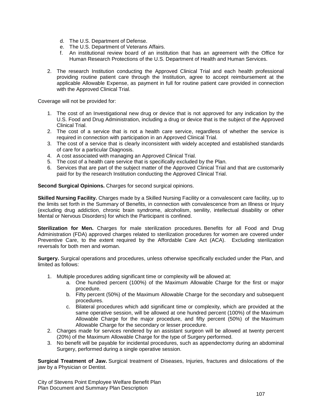- d. The U.S. Department of Defense.
- e. The U.S. Department of Veterans Affairs.
- f. An institutional review board of an institution that has an agreement with the Office for Human Research Protections of the U.S. Department of Health and Human Services.
- 2. The research Institution conducting the Approved Clinical Trial and each health professional providing routine patient care through the Institution, agree to accept reimbursement at the applicable Allowable Expense, as payment in full for routine patient care provided in connection with the Approved Clinical Trial.

Coverage will not be provided for:

- 1. The cost of an Investigational new drug or device that is not approved for any indication by the U.S. Food and Drug Administration, including a drug or device that is the subject of the Approved Clinical Trial.
- 2. The cost of a service that is not a health care service, regardless of whether the service is required in connection with participation in an Approved Clinical Trial.
- 3. The cost of a service that is clearly inconsistent with widely accepted and established standards of care for a particular Diagnosis.
- 4. A cost associated with managing an Approved Clinical Trial.
- 5. The cost of a health care service that is specifically excluded by the Plan.
- 6. Services that are part of the subject matter of the Approved Clinical Trial and that are customarily paid for by the research Institution conducting the Approved Clinical Trial.

**Second Surgical Opinions.** Charges for second surgical opinions.

**Skilled Nursing Facility.** Charges made by a Skilled Nursing Facility or a convalescent care facility, up to the limits set forth in the Summary of Benefits, in connection with convalescence from an Illness or Injury (excluding drug addiction, chronic brain syndrome, alcoholism, senility, intellectual disability or other Mental or Nervous Disorders) for which the Participant is confined.

**Sterilization for Men.** Charges for male sterilization procedures. Benefits for all Food and Drug Administration (FDA) approved charges related to sterilization procedures for women are covered under Preventive Care, to the extent required by the Affordable Care Act (ACA). Excluding sterilization reversals for both men and woman.

**Surgery.** Surgical operations and procedures, unless otherwise specifically excluded under the Plan, and limited as follows:

- 1. Multiple procedures adding significant time or complexity will be allowed at:
	- a. One hundred percent (100%) of the Maximum Allowable Charge for the first or major procedure.
	- b. Fifty percent (50%) of the Maximum Allowable Charge for the secondary and subsequent procedures.
	- c. Bilateral procedures which add significant time or complexity, which are provided at the same operative session, will be allowed at one hundred percent (100%) of the Maximum Allowable Charge for the major procedure, and fifty percent (50%) of the Maximum Allowable Charge for the secondary or lesser procedure.
- 2. Charges made for services rendered by an assistant surgeon will be allowed at twenty percent (20%) of the Maximum Allowable Charge for the type of Surgery performed.
- 3. No benefit will be payable for incidental procedures, such as appendectomy during an abdominal Surgery, performed during a single operative session.

**Surgical Treatment of Jaw.** Surgical treatment of Diseases, Injuries, fractures and dislocations of the jaw by a Physician or Dentist.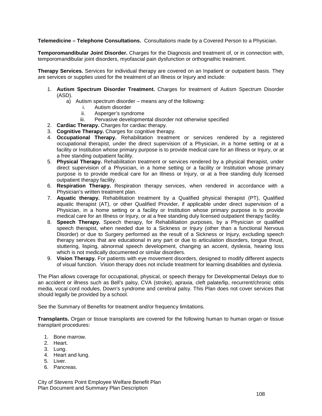**Telemedicine – Telephone Consultations.** Consultations made by a Covered Person to a Physician.

**Temporomandibular Joint Disorder.** Charges for the Diagnosis and treatment of, or in connection with, temporomandibular joint disorders, myofascial pain dysfunction or orthognathic treatment.

**Therapy Services.** Services for individual therapy are covered on an Inpatient or outpatient basis. They are services or supplies used for the treatment of an Illness or Injury and include:

- 1. **Autism Spectrum Disorder Treatment.** Charges for treatment of Autism Spectrum Disorder (ASD).
	- a) Autism spectrum disorder means any of the following:
		- i. Autism disorder<br>ii. Asperger's synd
		- Asperger's syndrome
		- iii. Pervasive developmental disorder not otherwise specified
- 2. **Cardiac Therapy.** Charges for cardiac therapy.
- 3. **Cognitive Therapy.** Charges for cognitive therapy.
- 4. **Occupational Therapy.** Rehabilitation treatment or services rendered by a registered occupational therapist, under the direct supervision of a Physician, in a home setting or at a facility or Institution whose primary purpose is to provide medical care for an Illness or Injury, or at a free standing outpatient facility.
- 5. **Physical Therapy.** Rehabilitation treatment or services rendered by a physical therapist, under direct supervision of a Physician, in a home setting or a facility or Institution whose primary purpose is to provide medical care for an Illness or Injury, or at a free standing duly licensed outpatient therapy facility.
- 6. **Respiration Therapy.** Respiration therapy services, when rendered in accordance with a Physician's written treatment plan.
- 7. **Aquatic therapy.** Rehabilitation treatment by a Qualified physical therapist (PT), Qualified aquatic therapist (AT), or other Qualified Provider, if applicable under direct supervision of a Physician, in a home setting or a facility or Institution whose primary purpose is to provide medical care for an Illness or Injury, or at a free standing duly licensed outpatient therapy facility.
- 8. **Speech Therapy.** Speech therapy, for Rehabilitation purposes, by a Physician or qualified speech therapist, when needed due to a Sickness or Injury (other than a functional Nervous Disorder) or due to Surgery performed as the result of a Sickness or Injury, excluding speech therapy services that are educational in any part or due to articulation disorders, tongue thrust, stuttering, lisping, abnormal speech development, changing an accent, dyslexia, hearing loss which is not medically documented or similar disorders.
- 9. **Vision Therapy.** For patients with eye movement disorders, designed to modify different aspects of visual function. Vision therapy does not include treatment for learning disabilities and dyslexia.

The Plan allows coverage for occupational, physical, or speech therapy for Developmental Delays due to an accident or illness such as Bell's palsy, CVA (stroke), apraxia, cleft palate/lip, recurrent/chronic otitis media, vocal cord nodules, Down's syndrome and cerebral palsy. This Plan does not cover services that should legally be provided by a school.

See the Summary of Benefits for treatment and/or frequency limitations.

**Transplants.** Organ or tissue transplants are covered for the following human to human organ or tissue transplant procedures:

- 1. Bone marrow.
- 2. Heart.
- 3. Lung.
- 4. Heart and lung.
- 5. Liver.
- 6. Pancreas.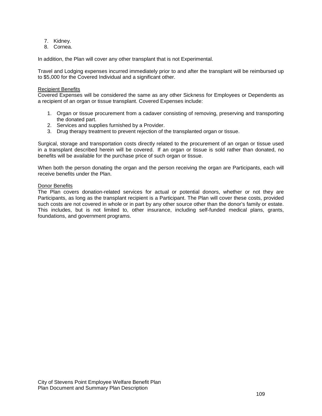- 7. Kidney.
- 8. Cornea.

In addition, the Plan will cover any other transplant that is not Experimental.

Travel and Lodging expenses incurred immediately prior to and after the transplant will be reimbursed up to \$5,000 for the Covered Individual and a significant other.

#### Recipient Benefits

Covered Expenses will be considered the same as any other Sickness for Employees or Dependents as a recipient of an organ or tissue transplant. Covered Expenses include:

- 1. Organ or tissue procurement from a cadaver consisting of removing, preserving and transporting the donated part.
- 2. Services and supplies furnished by a Provider.
- 3. Drug therapy treatment to prevent rejection of the transplanted organ or tissue.

Surgical, storage and transportation costs directly related to the procurement of an organ or tissue used in a transplant described herein will be covered. If an organ or tissue is sold rather than donated, no benefits will be available for the purchase price of such organ or tissue.

When both the person donating the organ and the person receiving the organ are Participants, each will receive benefits under the Plan.

#### Donor Benefits

The Plan covers donation-related services for actual or potential donors, whether or not they are Participants, as long as the transplant recipient is a Participant. The Plan will cover these costs, provided such costs are not covered in whole or in part by any other source other than the donor's family or estate. This includes, but is not limited to, other insurance, including self-funded medical plans, grants, foundations, and government programs.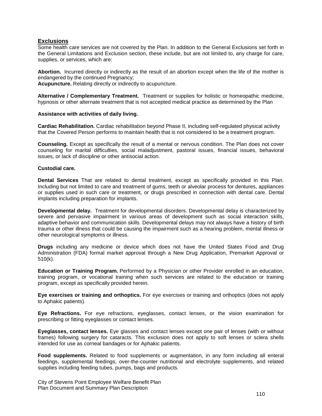## **Exclusions**

Some health care services are not covered by the Plan. In addition to the General Exclusions set forth in the General Limitations and Exclusion section, these include, but are not limited to, any charge for care, supplies, or services, which are:

**Abortion.** Incurred directly or indirectly as the result of an abortion except when the life of the mother is endangered by the continued Pregnancy;

**Acupuncture.** Relating directly or indirectly to acupuncture.

**Alternative / Complementary Treatment.** Treatment or supplies for holistic or homeopathic medicine, hypnosis or other alternate treatment that is not accepted medical practice as determined by the Plan

#### **Assistance with activities of daily living.**

**Cardiac Rehabilitation.** Cardiac rehabilitation beyond Phase II, including self-regulated physical activity that the Covered Person performs to maintain health that is not considered to be a treatment program.

**Counseling.** Except as specifically the result of a mental or nervous condition. The Plan does not cover counseling for marital difficulties, social maladjustment, pastoral issues, financial issues, behavioral issues, or lack of discipline or other antisocial action.

### **Custodial care.**

**Dental Services** That are related to dental treatment, except as specifically provided in this Plan. Including but not limited to care and treatment of gums, teeth or alveolar process for dentures, appliances or supplies used in such care or treatment, or drugs prescribed in connection with dental care. Dental implants including preparation for implants.

**Developmental delay.** Treatment for developmental disorders. Developmental delay is characterized by severe and pervasive impairment in various areas of development such as social interaction skills, adaptive behavior and communication skills. Developmental delays may not always have a history of birth trauma or other illness that could be causing the impairment such as a hearing problem, mental illness or other neurological symptoms or illness.

**Drugs** including any medicine or device which does not have the United States Food and Drug Administration (FDA) formal market approval through a New Drug Application, Premarket Approval or 510(k).

**Education or Training Program.** Performed by a Physician or other Provider enrolled in an education, training program, or vocational training when such services are related to the education or training program, except as specifically provided herein.

**Eye exercises or training and orthoptics.** For eye exercises or training and orthoptics (does not apply to Aphakic patients).

**Eye Refractions.** For eye refractions, eyeglasses, contact lenses, or the vision examination for prescribing or fitting eyeglasses or contact lenses.

**Eyeglasses, contact lenses.** Eye glasses and contact lenses except one pair of lenses (with or without frames) following surgery for cataracts. This exclusion does not apply to soft lenses or sclera shells intended for use as corneal bandages or for Aphakic patients.

**Food supplements.** Related to food supplements or augmentation, in any form including all enteral feedings, supplemental feedings, over-the-counter nutritional and electrolyte supplements, and related supplies including feeding tubes, pumps, bags and products.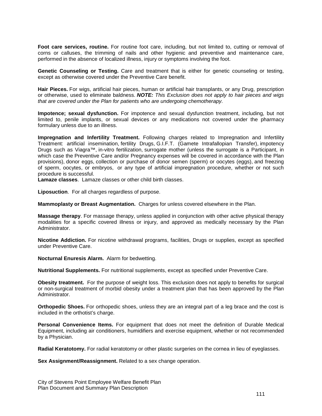**Foot care services, routine.** For routine foot care, including, but not limited to, cutting or removal of corns or calluses, the trimming of nails and other hygienic and preventive and maintenance care, performed in the absence of localized illness, injury or symptoms involving the foot.

**Genetic Counseling or Testing.** Care and treatment that is either for genetic counseling or testing, except as otherwise covered under the Preventive Care benefit.

**Hair Pieces.** For wigs, artificial hair pieces, human or artificial hair transplants, or any Drug, prescription or otherwise, used to eliminate baldness. *NOTE: This Exclusion does not apply to hair pieces and wigs that are covered under the Plan for patients who are undergoing chemotherapy.*

**Impotence; sexual dysfunction.** For impotence and sexual dysfunction treatment, including, but not limited to, penile implants, or sexual devices or any medications not covered under the pharmacy formulary unless due to an illness.

**Impregnation and Infertility Treatment.** Following charges related to Impregnation and Infertility Treatment: artificial insemination, fertility Drugs, G.I.F.T. (Gamete Intrafallopian Transfer), impotency Drugs such as Viagra™, in-vitro fertilization, surrogate mother (unless the surrogate is a Participant, in which case the Preventive Care and/or Pregnancy expenses will be covered in accordance with the Plan provisions), donor eggs, collection or purchase of donor semen (sperm) or oocytes (eggs), and freezing of sperm, oocytes, or embryos, or any type of artificial impregnation procedure, whether or not such procedure is successful.

**Lamaze classes**. Lamaze classes or other child birth classes.

**Liposuction**. For all charges regardless of purpose.

**Mammoplasty or Breast Augmentation.** Charges for unless covered elsewhere in the Plan.

**Massage therapy**. For massage therapy, unless applied in conjunction with other active physical therapy modalities for a specific covered illness or injury, and approved as medically necessary by the Plan Administrator.

**Nicotine Addiction.** For nicotine withdrawal programs, facilities, Drugs or supplies, except as specified under Preventive Care.

**Nocturnal Enuresis Alarm.** Alarm for bedwetting.

**Nutritional Supplements.** For nutritional supplements, except as specified under Preventive Care.

**Obesity treatment.** For the purpose of weight loss. This exclusion does not apply to benefits for surgical or non-surgical treatment of morbid obesity under a treatment plan that has been approved by the Plan Administrator.

**Orthopedic Shoes.** For orthopedic shoes, unless they are an integral part of a leg brace and the cost is included in the orthotist's charge.

**Personal Convenience Items.** For equipment that does not meet the definition of Durable Medical Equipment, including air conditioners, humidifiers and exercise equipment, whether or not recommended by a Physician.

**Radial Keratotomy.** For radial keratotomy or other plastic surgeries on the cornea in lieu of eyeglasses.

**Sex Assignment/Reassignment.** Related to a sex change operation.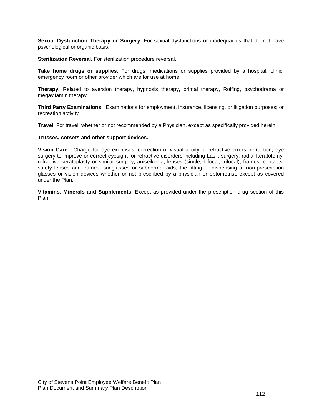**Sexual Dysfunction Therapy or Surgery.** For sexual dysfunctions or inadequacies that do not have psychological or organic basis.

**Sterilization Reversal.** For sterilization procedure reversal.

**Take home drugs or supplies.** For drugs, medications or supplies provided by a hospital, clinic, emergency room or other provider which are for use at home.

**Therapy.** Related to aversion therapy, hypnosis therapy, primal therapy, Rolfing, psychodrama or megavitamin therapy

**Third Party Examinations.** Examinations for employment, insurance, licensing, or litigation purposes; or recreation activity.

**Travel.** For travel, whether or not recommended by a Physician, except as specifically provided herein.

#### **Trusses, corsets and other support devices.**

**Vision Care.** Charge for eye exercises, correction of visual acuity or refractive errors, refraction, eye surgery to improve or correct eyesight for refractive disorders including Lasik surgery, radial keratotomy, refractive keratoplasty or similar surgery, aniseikonia, lenses (single, bifocal, trifocal), frames, contacts, safety lenses and frames, sunglasses or subnormal aids, the fitting or dispensing of non-prescription glasses or vision devices whether or not prescribed by a physician or optometrist; except as covered under the Plan.

**Vitamins, Minerals and Supplements.** Except as provided under the prescription drug section of this Plan.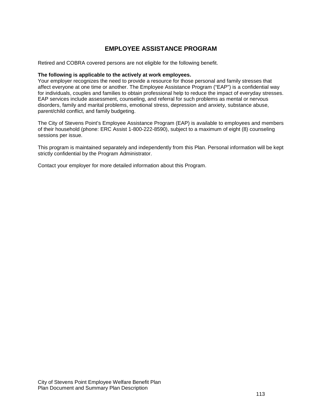# **EMPLOYEE ASSISTANCE PROGRAM**

Retired and COBRA covered persons are not eligible for the following benefit.

### **The following is applicable to the actively at work employees.**

Your employer recognizes the need to provide a resource for those personal and family stresses that affect everyone at one time or another. The Employee Assistance Program ("EAP") is a confidential way for individuals, couples and families to obtain professional help to reduce the impact of everyday stresses. EAP services include assessment, counseling, and referral for such problems as mental or nervous disorders, family and marital problems, emotional stress, depression and anxiety, substance abuse, parent/child conflict, and family budgeting.

The City of Stevens Point's Employee Assistance Program (EAP) is available to employees and members of their household (phone: ERC Assist 1-800-222-8590), subject to a maximum of eight (8) counseling sessions per issue.

This program is maintained separately and independently from this Plan. Personal information will be kept strictly confidential by the Program Administrator.

Contact your employer for more detailed information about this Program.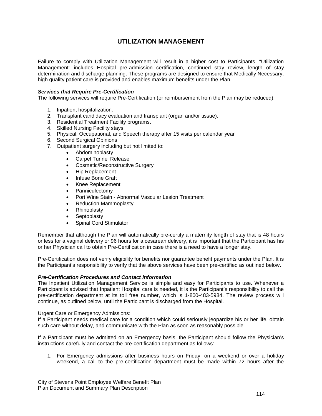# **UTILIZATION MANAGEMENT**

Failure to comply with Utilization Management will result in a higher cost to Participants. "Utilization Management" includes Hospital pre-admission certification, continued stay review, length of stay determination and discharge planning. These programs are designed to ensure that Medically Necessary, high quality patient care is provided and enables maximum benefits under the Plan.

### *Services that Require Pre-Certification*

The following services will require Pre-Certification (or reimbursement from the Plan may be reduced):

- 1. Inpatient hospitalization.
- 2. Transplant candidacy evaluation and transplant (organ and/or tissue).
- 3. Residential Treatment Facility programs.
- 4. Skilled Nursing Facility stays.
- 5. Physical, Occupational, and Speech therapy after 15 visits per calendar year
- 6. Second Surgical Opinions
- 7. Outpatient surgery including but not limited to:
	- Abdominoplasty
		- Carpel Tunnel Release
		- Cosmetic/Reconstructive Surgery
		- Hip Replacement
		- Infuse Bone Graft
		- Knee Replacement
		- Panniculectomy
		- Port Wine Stain Abnormal Vascular Lesion Treatment
		- Reduction Mammoplasty
		- Rhinoplasty
		- Septoplasty
		- Spinal Cord Stimulator

Remember that although the Plan will automatically pre-certify a maternity length of stay that is 48 hours or less for a vaginal delivery or 96 hours for a cesarean delivery, it is important that the Participant has his or her Physician call to obtain Pre-Certification in case there is a need to have a longer stay.

Pre-Certification does not verify eligibility for benefits nor guarantee benefit payments under the Plan. It is the Participant's responsibility to verify that the above services have been pre-certified as outlined below.

#### *Pre-Certification Procedures and Contact Information*

The Inpatient Utilization Management Service is simple and easy for Participants to use. Whenever a Participant is advised that Inpatient Hospital care is needed, it is the Participant's responsibility to call the pre-certification department at its toll free number, which is 1-800-483-5984. The review process will continue, as outlined below, until the Participant is discharged from the Hospital.

#### Urgent Care or Emergency Admissions:

If a Participant needs medical care for a condition which could seriously jeopardize his or her life, obtain such care without delay, and communicate with the Plan as soon as reasonably possible.

If a Participant must be admitted on an Emergency basis, the Participant should follow the Physician's instructions carefully and contact the pre-certification department as follows:

1. For Emergency admissions after business hours on Friday, on a weekend or over a holiday weekend, a call to the pre-certification department must be made within 72 hours after the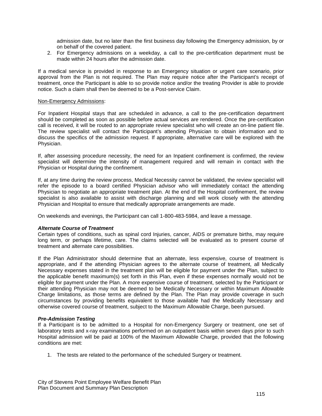admission date, but no later than the first business day following the Emergency admission, by or on behalf of the covered patient.

2. For Emergency admissions on a weekday, a call to the pre-certification department must be made within 24 hours after the admission date.

If a medical service is provided in response to an Emergency situation or urgent care scenario, prior approval from the Plan is not required. The Plan may require notice after the Participant's receipt of treatment, once the Participant is able to so provide notice and/or the treating Provider is able to provide notice. Such a claim shall then be deemed to be a Post-service Claim.

#### Non-Emergency Admissions:

For Inpatient Hospital stays that are scheduled in advance, a call to the pre-certification department should be completed as soon as possible before actual services are rendered. Once the pre-certification call is received, it will be routed to an appropriate review specialist who will create an on-line patient file. The review specialist will contact the Participant's attending Physician to obtain information and to discuss the specifics of the admission request. If appropriate, alternative care will be explored with the Physician.

If, after assessing procedure necessity, the need for an Inpatient confinement is confirmed, the review specialist will determine the intensity of management required and will remain in contact with the Physician or Hospital during the confinement.

If, at any time during the review process, Medical Necessity cannot be validated, the review specialist will refer the episode to a board certified Physician advisor who will immediately contact the attending Physician to negotiate an appropriate treatment plan. At the end of the Hospital confinement, the review specialist is also available to assist with discharge planning and will work closely with the attending Physician and Hospital to ensure that medically appropriate arrangements are made.

On weekends and evenings, the Participant can call 1-800-483-5984, and leave a message.

#### *Alternate Course of Treatment*

Certain types of conditions, such as spinal cord Injuries, cancer, AIDS or premature births, may require long term, or perhaps lifetime, care. The claims selected will be evaluated as to present course of treatment and alternate care possibilities.

If the Plan Administrator should determine that an alternate, less expensive, course of treatment is appropriate, and if the attending Physician agrees to the alternate course of treatment, all Medically Necessary expenses stated in the treatment plan will be eligible for payment under the Plan, subject to the applicable benefit maximum(s) set forth in this Plan, even if these expenses normally would not be eligible for payment under the Plan. A more expensive course of treatment, selected by the Participant or their attending Physician may not be deemed to be Medically Necessary or within Maximum Allowable Charge limitations, as those terms are defined by the Plan. The Plan may provide coverage in such circumstances by providing benefits equivalent to those available had the Medically Necessary and otherwise covered course of treatment, subject to the Maximum Allowable Charge, been pursued.

#### *Pre-Admission Testing*

If a Participant is to be admitted to a Hospital for non-Emergency Surgery or treatment, one set of laboratory tests and x-ray examinations performed on an outpatient basis within seven days prior to such Hospital admission will be paid at 100% of the Maximum Allowable Charge, provided that the following conditions are met:

1. The tests are related to the performance of the scheduled Surgery or treatment.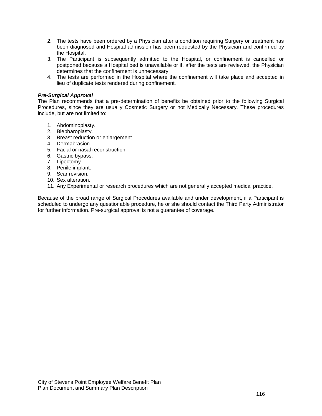- 2. The tests have been ordered by a Physician after a condition requiring Surgery or treatment has been diagnosed and Hospital admission has been requested by the Physician and confirmed by the Hospital.
- 3. The Participant is subsequently admitted to the Hospital, or confinement is cancelled or postponed because a Hospital bed is unavailable or if, after the tests are reviewed, the Physician determines that the confinement is unnecessary.
- 4. The tests are performed in the Hospital where the confinement will take place and accepted in lieu of duplicate tests rendered during confinement.

## *Pre-Surgical Approval*

The Plan recommends that a pre-determination of benefits be obtained prior to the following Surgical Procedures, since they are usually Cosmetic Surgery or not Medically Necessary. These procedures include, but are not limited to:

- 1. Abdominoplasty.
- 2. Blepharoplasty.
- 3. Breast reduction or enlargement.
- 4. Dermabrasion.
- 5. Facial or nasal reconstruction.
- 6. Gastric bypass.
- 7. Lipectomy.
- 8. Penile implant.
- 9. Scar revision.
- 10. Sex alteration.
- 11. Any Experimental or research procedures which are not generally accepted medical practice.

Because of the broad range of Surgical Procedures available and under development, if a Participant is scheduled to undergo any questionable procedure, he or she should contact the Third Party Administrator for further information. Pre-surgical approval is not a guarantee of coverage.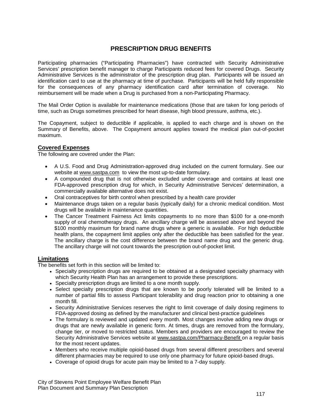# **PRESCRIPTION DRUG BENEFITS**

Participating pharmacies ("Participating Pharmacies") have contracted with Security Administrative Services' prescription benefit manager to charge Participants reduced fees for covered Drugs. Security Administrative Services is the administrator of the prescription drug plan. Participants will be issued an identification card to use at the pharmacy at time of purchase. Participants will be held fully responsible for the consequences of any pharmacy identification card after termination of coverage. No reimbursement will be made when a Drug is purchased from a non-Participating Pharmacy.

The Mail Order Option is available for maintenance medications (those that are taken for long periods of time, such as Drugs sometimes prescribed for heart disease, high blood pressure, asthma, etc.).

The Copayment, subject to deductible if applicable, is applied to each charge and is shown on the Summary of Benefits, above. The Copayment amount applies toward the medical plan out-of-pocket maximum.

### **Covered Expenses**

The following are covered under the Plan:

- A U.S. Food and Drug Administration-approved drug included on the current formulary. See our website at [www.sastpa.com](http://www.sastpa.com/) to view the most up-to-date formulary.
- A compounded drug that is not otherwise excluded under coverage and contains at least one FDA-approved prescription drug for which, in Security Administrative Services' determination, a commercially available alternative does not exist.
- Oral contraceptives for birth control when prescribed by a health care provider
- Maintenance drugs taken on a regular basis (typically daily) for a chronic medical condition. Most drugs will be available in maintenance quantities.
- The Cancer Treatment Fairness Act limits copayments to no more than \$100 for a one-month supply of oral chemotherapy drugs. An ancillary charge will be assessed above and beyond the \$100 monthly maximum for brand name drugs where a generic is available. For high deductible health plans, the copayment limit applies only after the deductible has been satisfied for the year. The ancillary charge is the cost difference between the brand name drug and the generic drug. The ancillary charge will not count towards the prescription out-of-pocket limit.

## **Limitations**

The benefits set forth in this section will be limited to:

- Specialty prescription drugs are required to be obtained at a designated specialty pharmacy with which Security Health Plan has an arrangement to provide these prescriptions.
- Specialty prescription drugs are limited to a one month supply.
- Select specialty prescription drugs that are known to be poorly tolerated will be limited to a number of partial fills to assess Participant tolerability and drug reaction prior to obtaining a one month fill.
- Security Administrative Services reserves the right to limit coverage of daily dosing regimens to FDA-approved dosing as defined by the manufacturer and clinical best-practice guidelines
- The formulary is reviewed and updated every month. Most changes involve adding new drugs or drugs that are newly available in generic form. At times, drugs are removed from the formulary, change tier, or moved to restricted status. Members and providers are encouraged to review the Security Administrative Services website at [www.sastpa.com/Pharmacy-Benefit o](http://www.sastpa.com/Pharmacy-Benefit)n a regular basis for the most recent updates.
- Members who receive multiple opioid-based drugs from several different prescribers and several different pharmacies may be required to use only one pharmacy for future opioid-based drugs.
- Coverage of opioid drugs for acute pain may be limited to a 7-day supply.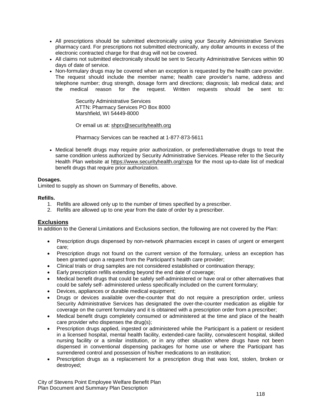- All prescriptions should be submitted electronically using your Security Administrative Services pharmacy card. For prescriptions not submitted electronically, any dollar amounts in excess of the electronic contracted charge for that drug will not be covered.
- All claims not submitted electronically should be sent to Security Administrative Services within 90 days of date of service.
- Non-formulary drugs may be covered when an exception is requested by the health care provider. The request should include the member name; health care provider's name, address and telephone number; drug strength, dosage form and directions; diagnosis; lab medical data; and<br>the medical reason for the request. Written requests should be sent to: medical reason for the request. Written requests should be sent to:

Security Administrative Services ATTN: Pharmacy Services PO Box 8000 Marshfield, WI 54449-8000

Or email us at: [shprx@securityhealth.org](mailto:shprx@securityhealth.org)

Pharmacy Services can be reached at 1-877-873-5611

• Medical benefit drugs may require prior authorization, or preferred/alternative drugs to treat the same condition unless authorized by Security Administrative Services. Please refer to the Security Health Plan website at<https://www.securityhealth.org/rxpa> for the most up-to-date list of medical benefit drugs that require prior authorization.

### **Dosages.**

Limited to supply as shown on Summary of Benefits, above.

### **Refills.**

- 1. Refills are allowed only up to the number of times specified by a prescriber.
- 2. Refills are allowed up to one year from the date of order by a prescriber.

## **Exclusions**

In addition to the General Limitations and Exclusions section, the following are not covered by the Plan:

- Prescription drugs dispensed by non-network pharmacies except in cases of urgent or emergent care;
- Prescription drugs not found on the current version of the formulary, unless an exception has been granted upon a request from the Participant's health care provider;
- Clinical trials or drug samples are not considered established or continuation therapy;
- Early prescription refills extending beyond the end date of coverage;
- Medical benefit drugs that could be safely self-administered or have oral or other alternatives that could be safely self- administered unless specifically included on the current formulary;
- Devices, appliances or durable medical equipment;
- Drugs or devices available over-the-counter that do not require a prescription order, unless Security Administrative Services has designated the over-the-counter medication as eligible for coverage on the current formulary and it is obtained with a prescription order from a prescriber;
- Medical benefit drugs completely consumed or administered at the time and place of the health care provider who dispenses the drug(s);
- Prescription drugs applied, ingested or administered while the Participant is a patient or resident in a licensed hospital, mental health facility, extended-care facility, convalescent hospital, skilled nursing facility or a similar institution, or in any other situation where drugs have not been dispensed in conventional dispensing packages for home use or where the Participant has surrendered control and possession of his/her medications to an institution;
- Prescription drugs as a replacement for a prescription drug that was lost, stolen, broken or destroyed;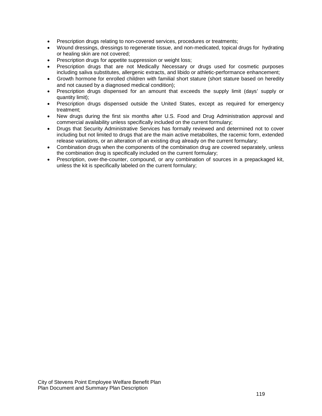- Prescription drugs relating to non-covered services, procedures or treatments;
- Wound dressings, dressings to regenerate tissue, and non-medicated, topical drugs for hydrating or healing skin are not covered;
- Prescription drugs for appetite suppression or weight loss;
- Prescription drugs that are not Medically Necessary or drugs used for cosmetic purposes including saliva substitutes, allergenic extracts, and libido or athletic-performance enhancement;
- Growth hormone for enrolled children with familial short stature (short stature based on heredity and not caused by a diagnosed medical condition);
- Prescription drugs dispensed for an amount that exceeds the supply limit (days' supply or quantity limit);
- Prescription drugs dispensed outside the United States, except as required for emergency treatment;
- New drugs during the first six months after U.S. Food and Drug Administration approval and commercial availability unless specifically included on the current formulary;
- Drugs that Security Administrative Services has formally reviewed and determined not to cover including but not limited to drugs that are the main active metabolites, the racemic form, extended release variations, or an alteration of an existing drug already on the current formulary;
- Combination drugs when the components of the combination drug are covered separately, unless the combination drug is specifically included on the current formulary;
- Prescription, over-the-counter, compound, or any combination of sources in a prepackaged kit, unless the kit is specifically labeled on the current formulary;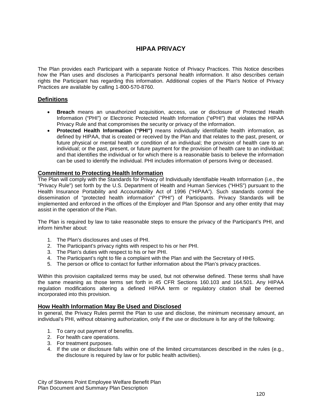# **HIPAA PRIVACY**

The Plan provides each Participant with a separate Notice of Privacy Practices. This Notice describes how the Plan uses and discloses a Participant's personal health information. It also describes certain rights the Participant has regarding this information. Additional copies of the Plan's Notice of Privacy Practices are available by calling 1-800-570-8760.

# **Definitions**

- **Breach** means an unauthorized acquisition, access, use or disclosure of Protected Health Information ("PHI") or Electronic Protected Health Information ("ePHI") that violates the HIPAA Privacy Rule and that compromises the security or privacy of the information.
- **Protected Health Information ("PHI")** means individually identifiable health information, as defined by HIPAA, that is created or received by the Plan and that relates to the past, present, or future physical or mental health or condition of an individual; the provision of health care to an individual; or the past, present, or future payment for the provision of health care to an individual; and that identifies the individual or for which there is a reasonable basis to believe the information can be used to identify the individual. PHI includes information of persons living or deceased.

## **Commitment to Protecting Health Information**

The Plan will comply with the Standards for Privacy of Individually Identifiable Health Information (i.e., the "Privacy Rule") set forth by the U.S. Department of Health and Human Services ("HHS") pursuant to the Health Insurance Portability and Accountability Act of 1996 ("HIPAA"). Such standards control the dissemination of "protected health information" ("PHI") of Participants. Privacy Standards will be implemented and enforced in the offices of the Employer and Plan Sponsor and any other entity that may assist in the operation of the Plan.

The Plan is required by law to take reasonable steps to ensure the privacy of the Participant's PHI, and inform him/her about:

- 1. The Plan's disclosures and uses of PHI.
- 2. The Participant's privacy rights with respect to his or her PHI.
- 3. The Plan's duties with respect to his or her PHI.
- 4. The Participant's right to file a complaint with the Plan and with the Secretary of HHS.
- 5. The person or office to contact for further information about the Plan's privacy practices.

Within this provision capitalized terms may be used, but not otherwise defined. These terms shall have the same meaning as those terms set forth in 45 CFR Sections 160.103 and 164.501. Any HIPAA regulation modifications altering a defined HIPAA term or regulatory citation shall be deemed incorporated into this provision.

#### **How Health Information May Be Used and Disclosed**

In general, the Privacy Rules permit the Plan to use and disclose, the minimum necessary amount, an individual's PHI, without obtaining authorization, only if the use or disclosure is for any of the following:

- 1. To carry out payment of benefits.
- 2. For health care operations.
- 3. For treatment purposes.
- 4. If the use or disclosure falls within one of the limited circumstances described in the rules (e.g., the disclosure is required by law or for public health activities).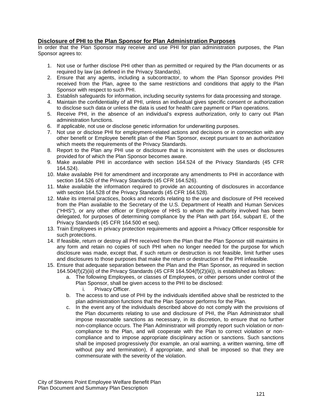# **Disclosure of PHI to the Plan Sponsor for Plan Administration Purposes**

In order that the Plan Sponsor may receive and use PHI for plan administration purposes, the Plan Sponsor agrees to:

- 1. Not use or further disclose PHI other than as permitted or required by the Plan documents or as required by law (as defined in the Privacy Standards).
- 2. Ensure that any agents, including a subcontractor, to whom the Plan Sponsor provides PHI received from the Plan, agree to the same restrictions and conditions that apply to the Plan Sponsor with respect to such PHI.
- 3. Establish safeguards for information, including security systems for data processing and storage.
- 4. Maintain the confidentiality of all PHI, unless an individual gives specific consent or authorization to disclose such data or unless the data is used for health care payment or Plan operations.
- 5. Receive PHI, in the absence of an individual's express authorization, only to carry out Plan administration functions.
- 6. If applicable, not use or disclose genetic information for underwriting purposes.
- 7. Not use or disclose PHI for employment-related actions and decisions or in connection with any other benefit or Employee benefit plan of the Plan Sponsor, except pursuant to an authorization which meets the requirements of the Privacy Standards.
- 8. Report to the Plan any PHI use or disclosure that is inconsistent with the uses or disclosures provided for of which the Plan Sponsor becomes aware.
- 9. Make available PHI in accordance with section 164.524 of the Privacy Standards (45 CFR 164.524).
- 10. Make available PHI for amendment and incorporate any amendments to PHI in accordance with section 164.526 of the Privacy Standards (45 CFR 164.526).
- 11. Make available the information required to provide an accounting of disclosures in accordance with section 164.528 of the Privacy Standards (45 CFR 164.528).
- 12. Make its internal practices, books and records relating to the use and disclosure of PHI received from the Plan available to the Secretary of the U.S. Department of Health and Human Services ("HHS"), or any other officer or Employee of HHS to whom the authority involved has been delegated, for purposes of determining compliance by the Plan with part 164, subpart E, of the Privacy Standards (45 CFR 164.500 et seq).
- 13. Train Employees in privacy protection requirements and appoint a Privacy Officer responsible for such protections.
- 14. If feasible, return or destroy all PHI received from the Plan that the Plan Sponsor still maintains in any form and retain no copies of such PHI when no longer needed for the purpose for which disclosure was made, except that, if such return or destruction is not feasible, limit further uses and disclosures to those purposes that make the return or destruction of the PHI infeasible.
- 15. Ensure that adequate separation between the Plan and the Plan Sponsor, as required in section 164.504(f)(2)(iii) of the Privacy Standards (45 CFR 164.504(f)(2)(iii)), is established as follows:
	- a. The following Employees, or classes of Employees, or other persons under control of the Plan Sponsor, shall be given access to the PHI to be disclosed:
		- i. Privacy Officer.
	- b. The access to and use of PHI by the individuals identified above shall be restricted to the plan administration functions that the Plan Sponsor performs for the Plan.
	- c. In the event any of the individuals described above do not comply with the provisions of the Plan documents relating to use and disclosure of PHI, the Plan Administrator shall impose reasonable sanctions as necessary, in its discretion, to ensure that no further non-compliance occurs. The Plan Administrator will promptly report such violation or noncompliance to the Plan, and will cooperate with the Plan to correct violation or noncompliance and to impose appropriate disciplinary action or sanctions. Such sanctions shall be imposed progressively (for example, an oral warning, a written warning, time off without pay and termination), if appropriate, and shall be imposed so that they are commensurate with the severity of the violation.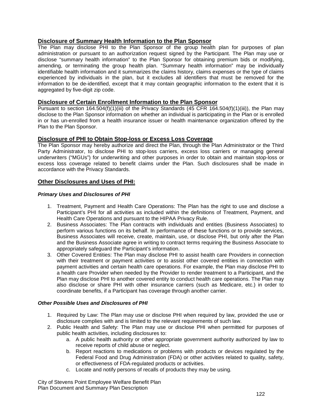# **Disclosure of Summary Health Information to the Plan Sponsor**

The Plan may disclose PHI to the Plan Sponsor of the group health plan for purposes of plan administration or pursuant to an authorization request signed by the Participant. The Plan may use or disclose "summary health information" to the Plan Sponsor for obtaining premium bids or modifying, amending, or terminating the group health plan. "Summary health information" may be individually identifiable health information and it summarizes the claims history, claims expenses or the type of claims experienced by individuals in the plan, but it excludes all identifiers that must be removed for the information to be de-identified, except that it may contain geographic information to the extent that it is aggregated by five-digit zip code.

## **Disclosure of Certain Enrollment Information to the Plan Sponsor**

Pursuant to section 164.504(f)(1)(iii) of the Privacy Standards (45 CFR 164.504(f)(1)(iii)), the Plan may disclose to the Plan Sponsor information on whether an individual is participating in the Plan or is enrolled in or has un-enrolled from a health insurance issuer or health maintenance organization offered by the Plan to the Plan Sponsor.

## **Disclosure of PHI to Obtain Stop-loss or Excess Loss Coverage**

The Plan Sponsor may hereby authorize and direct the Plan, through the Plan Administrator or the Third Party Administrator, to disclose PHI to stop-loss carriers, excess loss carriers or managing general underwriters ("MGUs") for underwriting and other purposes in order to obtain and maintain stop-loss or excess loss coverage related to benefit claims under the Plan. Such disclosures shall be made in accordance with the Privacy Standards.

# **Other Disclosures and Uses of PHI:**

### *Primary Uses and Disclosures of PHI*

- 1. Treatment, Payment and Health Care Operations: The Plan has the right to use and disclose a Participant's PHI for all activities as included within the definitions of Treatment, Payment, and Health Care Operations and pursuant to the HIPAA Privacy Rule.
- 2. Business Associates: The Plan contracts with individuals and entities (Business Associates) to perform various functions on its behalf. In performance of these functions or to provide services, Business Associates will receive, create, maintain, use, or disclose PHI, but only after the Plan and the Business Associate agree in writing to contract terms requiring the Business Associate to appropriately safeguard the Participant's information.
- 3. Other Covered Entities: The Plan may disclose PHI to assist health care Providers in connection with their treatment or payment activities or to assist other covered entities in connection with payment activities and certain health care operations. For example, the Plan may disclose PHI to a health care Provider when needed by the Provider to render treatment to a Participant, and the Plan may disclose PHI to another covered entity to conduct health care operations. The Plan may also disclose or share PHI with other insurance carriers (such as Medicare, etc.) in order to coordinate benefits, if a Participant has coverage through another carrier.

## *Other Possible Uses and Disclosures of PHI*

- 1. Required by Law: The Plan may use or disclose PHI when required by law, provided the use or disclosure complies with and is limited to the relevant requirements of such law.
- 2. Public Health and Safety: The Plan may use or disclose PHI when permitted for purposes of public health activities, including disclosures to:
	- a. A public health authority or other appropriate government authority authorized by law to receive reports of child abuse or neglect.
	- b. Report reactions to medications or problems with products or devices regulated by the Federal Food and Drug Administration (FDA) or other activities related to quality, safety, or effectiveness of FDA-regulated products or activities.
	- c. Locate and notify persons of recalls of products they may be using.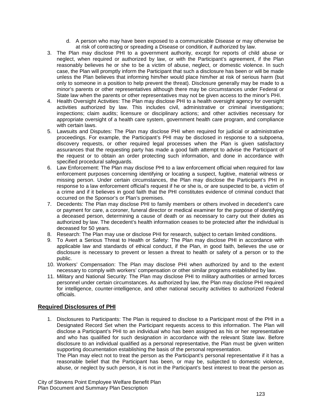- d. A person who may have been exposed to a communicable Disease or may otherwise be at risk of contracting or spreading a Disease or condition, if authorized by law.
- 3. The Plan may disclose PHI to a government authority, except for reports of child abuse or neglect, when required or authorized by law, or with the Participant's agreement, if the Plan reasonably believes he or she to be a victim of abuse, neglect, or domestic violence. In such case, the Plan will promptly inform the Participant that such a disclosure has been or will be made unless the Plan believes that informing him/her would place him/her at risk of serious harm (but only to someone in a position to help prevent the threat). Disclosure generally may be made to a minor's parents or other representatives although there may be circumstances under Federal or State law when the parents or other representatives may not be given access to the minor's PHI.
- 4. Health Oversight Activities: The Plan may disclose PHI to a health oversight agency for oversight activities authorized by law. This includes civil, administrative or criminal investigations; inspections; claim audits; licensure or disciplinary actions; and other activities necessary for appropriate oversight of a health care system, government health care program, and compliance with certain laws.
- 5. Lawsuits and Disputes: The Plan may disclose PHI when required for judicial or administrative proceedings. For example, the Participant's PHI may be disclosed in response to a subpoena, discovery requests, or other required legal processes when the Plan is given satisfactory assurances that the requesting party has made a good faith attempt to advise the Participant of the request or to obtain an order protecting such information, and done in accordance with specified procedural safeguards.
- 6. Law Enforcement: The Plan may disclose PHI to a law enforcement official when required for law enforcement purposes concerning identifying or locating a suspect, fugitive, material witness or missing person. Under certain circumstances, the Plan may disclose the Participant's PHI in response to a law enforcement official's request if he or she is, or are suspected to be, a victim of a crime and if it believes in good faith that the PHI constitutes evidence of criminal conduct that occurred on the Sponsor's or Plan's premises.
- 7. Decedents: The Plan may disclose PHI to family members or others involved in decedent's care or payment for care, a coroner, funeral director or medical examiner for the purpose of identifying a deceased person, determining a cause of death or as necessary to carry out their duties as authorized by law. The decedent's health information ceases to be protected after the individual is deceased for 50 years.
- 8. Research: The Plan may use or disclose PHI for research, subject to certain limited conditions.
- 9. To Avert a Serious Threat to Health or Safety: The Plan may disclose PHI in accordance with applicable law and standards of ethical conduct, if the Plan, in good faith, believes the use or disclosure is necessary to prevent or lessen a threat to health or safety of a person or to the public.
- 10. Workers' Compensation: The Plan may disclose PHI when authorized by and to the extent necessary to comply with workers' compensation or other similar programs established by law.
- 11. Military and National Security: The Plan may disclose PHI to military authorities or armed forces personnel under certain circumstances. As authorized by law, the Plan may disclose PHI required for intelligence, counter-intelligence, and other national security activities to authorized Federal officials.

# **Required Disclosures of PHI**

1. Disclosures to Participants: The Plan is required to disclose to a Participant most of the PHI in a Designated Record Set when the Participant requests access to this information. The Plan will disclose a Participant's PHI to an individual who has been assigned as his or her representative and who has qualified for such designation in accordance with the relevant State law. Before disclosure to an individual qualified as a personal representative, the Plan must be given written supporting documentation establishing the basis of the personal representation.

The Plan may elect not to treat the person as the Participant's personal representative if it has a reasonable belief that the Participant has been, or may be, subjected to domestic violence, abuse, or neglect by such person, it is not in the Participant's best interest to treat the person as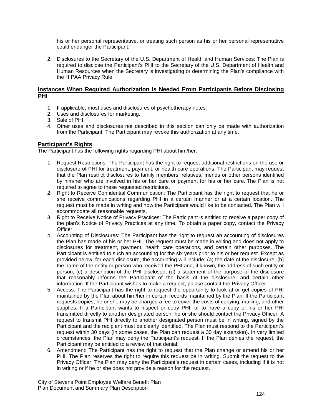his or her personal representative, or treating such person as his or her personal representative could endanger the Participant.

2. Disclosures to the Secretary of the U.S. Department of Health and Human Services: The Plan is required to disclose the Participant's PHI to the Secretary of the U.S. Department of Health and Human Resources when the Secretary is investigating or determining the Plan's compliance with the HIPAA Privacy Rule.

## **Instances When Required Authorization Is Needed From Participants Before Disclosing PHI**

- 1. If applicable, most uses and disclosures of psychotherapy notes.
- 2. Uses and disclosures for marketing.
- 3. Sale of PHI.
- 4. Other uses and disclosures not described in this section can only be made with authorization from the Participant. The Participant may revoke this authorization at any time.

# **Participant's Rights**

The Participant has the following rights regarding PHI about him/her:

- 1. Request Restrictions: The Participant has the right to request additional restrictions on the use or disclosure of PHI for treatment, payment, or health care operations. The Participant may request that the Plan restrict disclosures to family members, relatives, friends or other persons identified by him/her who are involved in his or her care or payment for his or her care. The Plan is not required to agree to these requested restrictions.
- 2. Right to Receive Confidential Communication: The Participant has the right to request that he or she receive communications regarding PHI in a certain manner or at a certain location. The request must be made in writing and how the Participant would like to be contacted. The Plan will accommodate all reasonable requests.
- 3. Right to Receive Notice of Privacy Practices: The Participant is entitled to receive a paper copy of the plan's Notice of Privacy Practices at any time. To obtain a paper copy, contact the Privacy Officer.
- 4. Accounting of Disclosures: The Participant has the right to request an accounting of disclosures the Plan has made of his or her PHI. The request must be made in writing and does not apply to disclosures for treatment, payment, health care operations, and certain other purposes. The Participant is entitled to such an accounting for the six years prior to his or her request. Except as provided below, for each disclosure, the accounting will include: (a) the date of the disclosure, (b) the name of the entity or person who received the PHI and, if known, the address of such entity or person; (c) a description of the PHI disclosed, (d) a statement of the purpose of the disclosure that reasonably informs the Participant of the basis of the disclosure, and certain other information. If the Participant wishes to make a request, please contact the Privacy Officer.
- 5. Access: The Participant has the right to request the opportunity to look at or get copies of PHI maintained by the Plan about him/her in certain records maintained by the Plan. If the Participant requests copies, he or she may be charged a fee to cover the costs of copying, mailing, and other supplies. If a Participant wants to inspect or copy PHI, or to have a copy of his or her PHI transmitted directly to another designated person, he or she should contact the Privacy Officer. A request to transmit PHI directly to another designated person must be in writing, signed by the Participant and the recipient must be clearly identified. The Plan must respond to the Participant's request within 30 days (in some cases, the Plan can request a 30 day extension). In very limited circumstances, the Plan may deny the Participant's request. If the Plan denies the request, the Participant may be entitled to a review of that denial.
- 6. Amendment: The Participant has the right to request that the Plan change or amend his or her PHI. The Plan reserves the right to require this request be in writing. Submit the request to the Privacy Officer. The Plan may deny the Participant's request in certain cases, including if it is not in writing or if he or she does not provide a reason for the request.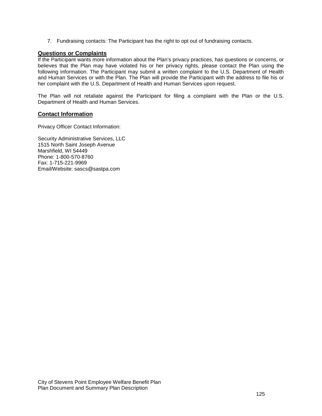7. Fundraising contacts: The Participant has the right to opt out of fundraising contacts.

## **Questions or Complaints**

If the Participant wants more information about the Plan's privacy practices, has questions or concerns, or believes that the Plan may have violated his or her privacy rights, please contact the Plan using the following information. The Participant may submit a written complaint to the U.S. Department of Health and Human Services or with the Plan. The Plan will provide the Participant with the address to file his or her complaint with the U.S. Department of Health and Human Services upon request.

The Plan will not retaliate against the Participant for filing a complaint with the Plan or the U.S. Department of Health and Human Services.

# **Contact Information**

Privacy Officer Contact Information:

Security Administrative Services, LLC 1515 North Saint Joseph Avenue Marshfield, WI 54449 Phone: 1-800-570-8760 Fax: 1-715-221-9969 Email/Website: sascs@sastpa.com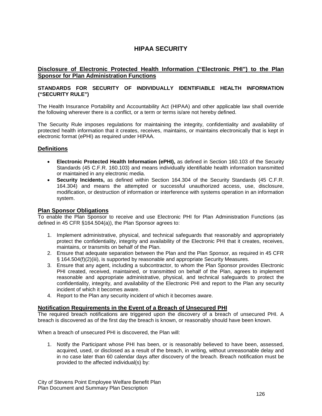# **HIPAA SECURITY**

## **Disclosure of Electronic Protected Health Information ("Electronic PHI") to the Plan Sponsor for Plan Administration Functions**

### **STANDARDS FOR SECURITY OF INDIVIDUALLY IDENTIFIABLE HEALTH INFORMATION ("SECURITY RULE")**

The Health Insurance Portability and Accountability Act (HIPAA) and other applicable law shall override the following wherever there is a conflict, or a term or terms is/are not hereby defined.

The Security Rule imposes regulations for maintaining the integrity, confidentiality and availability of protected health information that it creates, receives, maintains, or maintains electronically that is kept in electronic format (ePHI) as required under HIPAA.

## **Definitions**

- **Electronic Protected Health Information (ePHI),** as defined in Section 160.103 of the Security Standards (45 C.F.R. 160.103) and means individually identifiable health information transmitted or maintained in any electronic media.
- **Security Incidents,** as defined within Section 164.304 of the Security Standards (45 C.F.R. 164.304) and means the attempted or successful unauthorized access, use, disclosure, modification, or destruction of information or interference with systems operation in an information system.

### **Plan Sponsor Obligations**

To enable the Plan Sponsor to receive and use Electronic PHI for Plan Administration Functions (as defined in 45 CFR §164.504(a)), the Plan Sponsor agrees to:

- 1. Implement administrative, physical, and technical safeguards that reasonably and appropriately protect the confidentiality, integrity and availability of the Electronic PHI that it creates, receives, maintains, or transmits on behalf of the Plan.
- 2. Ensure that adequate separation between the Plan and the Plan Sponsor, as required in 45 CFR § 164.504(f)(2)(iii), is supported by reasonable and appropriate Security Measures.
- 3. Ensure that any agent, including a subcontractor, to whom the Plan Sponsor provides Electronic PHI created, received, maintained, or transmitted on behalf of the Plan, agrees to implement reasonable and appropriate administrative, physical, and technical safeguards to protect the confidentiality, integrity, and availability of the Electronic PHI and report to the Plan any security incident of which it becomes aware.
- 4. Report to the Plan any security incident of which it becomes aware.

### **Notification Requirements in the Event of a Breach of Unsecured PHI**

The required breach notifications are triggered upon the discovery of a breach of unsecured PHI. A breach is discovered as of the first day the breach is known, or reasonably should have been known.

When a breach of unsecured PHI is discovered, the Plan will:

1. Notify the Participant whose PHI has been, or is reasonably believed to have been, assessed, acquired, used, or disclosed as a result of the breach, in writing, without unreasonable delay and in no case later than 60 calendar days after discovery of the breach. Breach notification must be provided to the affected individual(s) by: